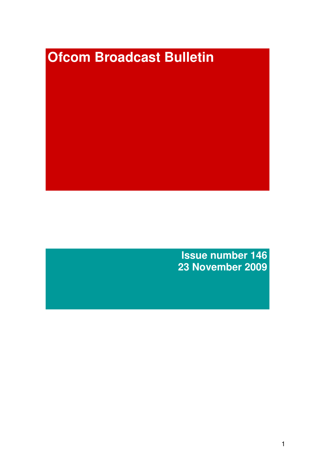# **Ofcom Broadcast Bulletin**

**Issue number 146 23 November 2009**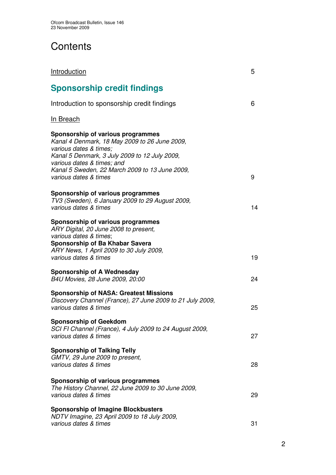# **Contents**

| <b>Introduction</b>                                                                                                                                                                                                                                                    | 5  |
|------------------------------------------------------------------------------------------------------------------------------------------------------------------------------------------------------------------------------------------------------------------------|----|
| <b>Sponsorship credit findings</b>                                                                                                                                                                                                                                     |    |
| Introduction to sponsorship credit findings                                                                                                                                                                                                                            | 6  |
| <u>In Breach</u>                                                                                                                                                                                                                                                       |    |
| Sponsorship of various programmes<br>Kanal 4 Denmark, 18 May 2009 to 26 June 2009,<br>various dates & times;<br>Kanal 5 Denmark, 3 July 2009 to 12 July 2009,<br>various dates & times; and<br>Kanal 5 Sweden, 22 March 2009 to 13 June 2009,<br>various dates & times | 9  |
| <b>Sponsorship of various programmes</b><br>TV3 (Sweden), 6 January 2009 to 29 August 2009,<br>various dates & times                                                                                                                                                   | 14 |
| Sponsorship of various programmes<br>ARY Digital, 20 June 2008 to present,<br>various dates & times;<br>Sponsorship of Ba Khabar Savera<br>ARY News, 1 April 2009 to 30 July 2009,<br>various dates & times                                                            | 19 |
| <b>Sponsorship of A Wednesday</b><br>B4U Movies, 28 June 2009, 20:00                                                                                                                                                                                                   | 24 |
| <b>Sponsorship of NASA: Greatest Missions</b><br>Discovery Channel (France), 27 June 2009 to 21 July 2009,<br>various dates & times                                                                                                                                    | 25 |
| <b>Sponsorship of Geekdom</b><br>SCI FI Channel (France), 4 July 2009 to 24 August 2009,<br>various dates & times                                                                                                                                                      | 27 |
| <b>Sponsorship of Talking Telly</b><br>GMTV, 29 June 2009 to present,<br>various dates & times                                                                                                                                                                         | 28 |
| <b>Sponsorship of various programmes</b><br>The History Channel, 22 June 2009 to 30 June 2009,<br>various dates & times                                                                                                                                                | 29 |
| <b>Sponsorship of Imagine Blockbusters</b><br>NDTV Imagine, 23 April 2009 to 18 July 2009,<br>various dates & times                                                                                                                                                    | 31 |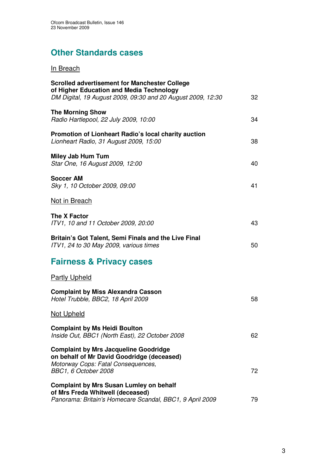# **Other Standards cases**

# In Breach

| <b>Scrolled advertisement for Manchester College</b><br>of Higher Education and Media Technology<br>DM Digital, 19 August 2009, 09:30 and 20 August 2009, 12:30 | 32 |
|-----------------------------------------------------------------------------------------------------------------------------------------------------------------|----|
| <b>The Morning Show</b><br>Radio Hartlepool, 22 July 2009, 10:00                                                                                                | 34 |
| Promotion of Lionheart Radio's local charity auction<br>Lionheart Radio, 31 August 2009, 15:00                                                                  | 38 |
| <b>Miley Jab Hum Tum</b><br>Star One, 16 August 2009, 12:00                                                                                                     | 40 |
| <b>Soccer AM</b><br>Sky 1, 10 October 2009, 09:00                                                                                                               | 41 |
| Not in Breach                                                                                                                                                   |    |
| <b>The X Factor</b><br>ITV1, 10 and 11 October 2009, 20:00                                                                                                      | 43 |
| Britain's Got Talent, Semi Finals and the Live Final<br>ITV1, 24 to 30 May 2009, various times                                                                  | 50 |
| <b>Fairness &amp; Privacy cases</b>                                                                                                                             |    |
| <b>Partly Upheld</b>                                                                                                                                            |    |
| <b>Complaint by Miss Alexandra Casson</b><br>Hotel Trubble, BBC2, 18 April 2009                                                                                 | 58 |
| Not Upheld                                                                                                                                                      |    |
| <b>Complaint by Ms Heidi Boulton</b><br>Inside Out, BBC1 (North East), 22 October 2008                                                                          | 62 |
| <b>Complaint by Mrs Jacqueline Goodridge</b><br>on behalf of Mr David Goodridge (deceased)<br>Motorway Cops: Fatal Consequences,<br>BBC1, 6 October 2008        | 72 |
| <b>Complaint by Mrs Susan Lumley on behalf</b><br>of Mrs Freda Whitwell (deceased)<br>Panorama: Britain's Homecare Scandal, BBC1, 9 April 2009                  | 79 |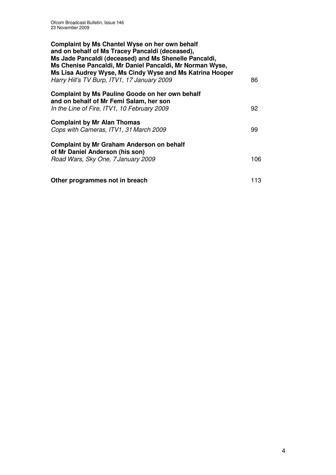| Complaint by Ms Chantel Wyse on her own behalf<br>and on behalf of Ms Tracey Pancaldi (deceased),<br>Ms Jade Pancaldi (deceased) and Ms Shenelle Pancaldi,<br>Ms Chenise Pancaldi, Mr Daniel Pancaldi, Mr Norman Wyse,<br>Ms Lisa Audrey Wyse, Ms Cindy Wyse and Ms Katrina Hooper<br>Harry Hill's TV Burp, ITV1, 17 January 2009 | 86  |
|-----------------------------------------------------------------------------------------------------------------------------------------------------------------------------------------------------------------------------------------------------------------------------------------------------------------------------------|-----|
| <b>Complaint by Ms Pauline Goode on her own behalf</b><br>and on behalf of Mr Femi Salam, her son<br>In the Line of Fire, ITV1, 10 February 2009                                                                                                                                                                                  | 92  |
| <b>Complaint by Mr Alan Thomas</b><br>Cops with Cameras, ITV1, 31 March 2009                                                                                                                                                                                                                                                      | 99  |
| <b>Complaint by Mr Graham Anderson on behalf</b><br>of Mr Daniel Anderson (his son)<br>Road Wars, Sky One, 7 January 2009                                                                                                                                                                                                         | 106 |
| Other programmes not in breach                                                                                                                                                                                                                                                                                                    | 113 |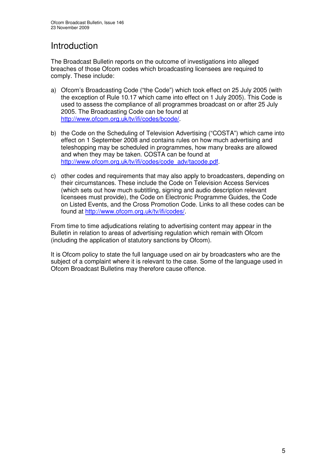# Introduction

The Broadcast Bulletin reports on the outcome of investigations into alleged breaches of those Ofcom codes which broadcasting licensees are required to comply. These include:

- a) Ofcom's Broadcasting Code ("the Code") which took effect on 25 July 2005 (with the exception of Rule 10.17 which came into effect on 1 July 2005). This Code is used to assess the compliance of all programmes broadcast on or after 25 July 2005. The Broadcasting Code can be found at http://www.ofcom.org.uk/tv/ifi/codes/bcode/.
- b) the Code on the Scheduling of Television Advertising ("COSTA") which came into effect on 1 September 2008 and contains rules on how much advertising and teleshopping may be scheduled in programmes, how many breaks are allowed and when they may be taken. COSTA can be found at http://www.ofcom.org.uk/tv/ifi/codes/code\_adv/tacode.pdf.
- c) other codes and requirements that may also apply to broadcasters, depending on their circumstances. These include the Code on Television Access Services (which sets out how much subtitling, signing and audio description relevant licensees must provide), the Code on Electronic Programme Guides, the Code on Listed Events, and the Cross Promotion Code. Links to all these codes can be found at http://www.ofcom.org.uk/tv/ifi/codes/.

From time to time adjudications relating to advertising content may appear in the Bulletin in relation to areas of advertising regulation which remain with Ofcom (including the application of statutory sanctions by Ofcom).

It is Ofcom policy to state the full language used on air by broadcasters who are the subject of a complaint where it is relevant to the case. Some of the language used in Ofcom Broadcast Bulletins may therefore cause offence.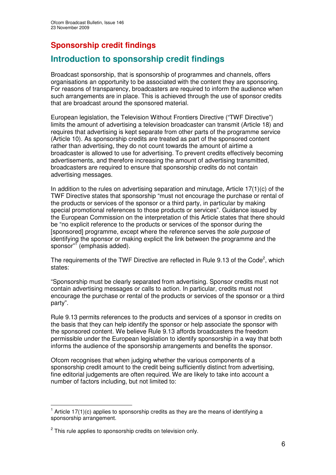# **Sponsorship credit findings**

# **Introduction to sponsorship credit findings**

Broadcast sponsorship, that is sponsorship of programmes and channels, offers organisations an opportunity to be associated with the content they are sponsoring. For reasons of transparency, broadcasters are required to inform the audience when such arrangements are in place. This is achieved through the use of sponsor credits that are broadcast around the sponsored material.

European legislation, the Television Without Frontiers Directive ("TWF Directive") limits the amount of advertising a television broadcaster can transmit (Article 18) and requires that advertising is kept separate from other parts of the programme service (Article 10). As sponsorship credits are treated as part of the sponsored content rather than advertising, they do not count towards the amount of airtime a broadcaster is allowed to use for advertising. To prevent credits effectively becoming advertisements, and therefore increasing the amount of advertising transmitted, broadcasters are required to ensure that sponsorship credits do not contain advertising messages.

In addition to the rules on advertising separation and minutage, Article  $17(1)(c)$  of the TWF Directive states that sponsorship "must not encourage the purchase or rental of the products or services of the sponsor or a third party, in particular by making special promotional references to those products or services". Guidance issued by the European Commission on the interpretation of this Article states that there should be "no explicit reference to the products or services of the sponsor during the [sponsored] programme, except where the reference serves the *sole purpose* of identifying the sponsor or making explicit the link between the programme and the sponsor" 1 (emphasis added).

The requirements of the TWF Directive are reflected in Rule 9.13 of the Code<sup>2</sup>, which states:

"Sponsorship must be clearly separated from advertising. Sponsor credits must not contain advertising messages or calls to action. In particular, credits must not encourage the purchase or rental of the products or services of the sponsor or a third party".

Rule 9.13 permits references to the products and services of a sponsor in credits on the basis that they can help identify the sponsor or help associate the sponsor with the sponsored content. We believe Rule 9.13 affords broadcasters the freedom permissible under the European legislation to identify sponsorship in a way that both informs the audience of the sponsorship arrangements and benefits the sponsor.

Ofcom recognises that when judging whether the various components of a sponsorship credit amount to the credit being sufficiently distinct from advertising, fine editorial judgements are often required. We are likely to take into account a number of factors including, but not limited to:

 $1$  Article 17(1)(c) applies to sponsorship credits as they are the means of identifying a sponsorship arrangement.

 $2$  This rule applies to sponsorship credits on television only.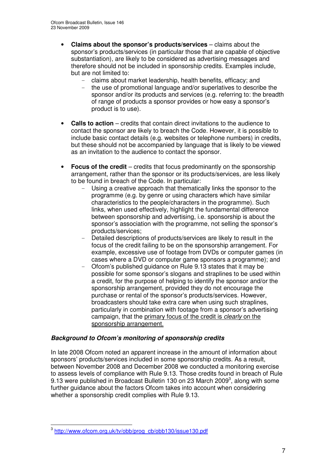- **Claims about the sponsor's products/services** claims about the sponsor's products/services (in particular those that are capable of objective substantiation), are likely to be considered as advertising messages and therefore should not be included in sponsorship credits. Examples include, but are not limited to:
	- claims about market leadership, health benefits, efficacy; and
	- the use of promotional language and/or superlatives to describe the sponsor and/or its products and services (e.g. referring to: the breadth of range of products a sponsor provides or how easy a sponsor's product is to use).
- **Calls to action** credits that contain direct invitations to the audience to contact the sponsor are likely to breach the Code. However, it is possible to include basic contact details (e.g. websites or telephone numbers) in credits, but these should not be accompanied by language that is likely to be viewed as an invitation to the audience to contact the sponsor.
- **Focus of the credit** credits that focus predominantly on the sponsorship arrangement, rather than the sponsor or its products/services, are less likely to be found in breach of the Code. In particular:
	- Using a creative approach that thematically links the sponsor to the programme (e.g. by genre or using characters which have similar characteristics to the people/characters in the programme). Such links, when used effectively, highlight the fundamental difference between sponsorship and advertising, i.e. sponsorship is about the sponsor's association with the programme, not selling the sponsor's products/services;
	- Detailed descriptions of products/services are likely to result in the focus of the credit failing to be on the sponsorship arrangement. For example, excessive use of footage from DVDs or computer games (in cases where a DVD or computer game sponsors a programme); and
	- Ofcom's published guidance on Rule 9.13 states that it may be possible for some sponsor's slogans and straplines to be used within a credit, for the purpose of helping to identify the sponsor and/or the sponsorship arrangement, provided they do not encourage the purchase or rental of the sponsor's products/services. However, broadcasters should take extra care when using such straplines, particularly in combination with footage from a sponsor's advertising campaign, that the primary focus of the credit is *clearly* on the sponsorship arrangement.

### *Background to Ofcom's monitoring of sponsorship credits*

In late 2008 Ofcom noted an apparent increase in the amount of information about sponsors' products/services included in some sponsorship credits. As a result, between November 2008 and December 2008 we conducted a monitoring exercise to assess levels of compliance with Rule 9.13. Those credits found in breach of Rule 9.13 were published in Broadcast Bulletin 130 on 23 March 2009<sup>3</sup>, along with some further guidance about the factors Ofcom takes into account when considering whether a sponsorship credit complies with Rule 9.13.

<sup>3</sup> http://www.ofcom.org.uk/tv/obb/prog\_cb/obb130/issue130.pdf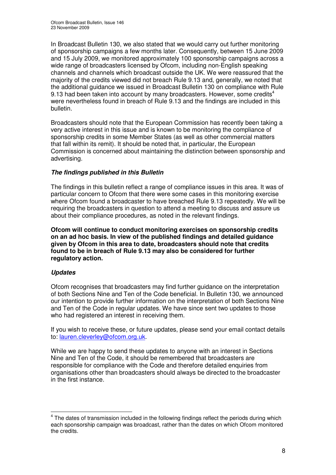In Broadcast Bulletin 130, we also stated that we would carry out further monitoring of sponsorship campaigns a few months later. Consequently, between 15 June 2009 and 15 July 2009, we monitored approximately 100 sponsorship campaigns across a wide range of broadcasters licensed by Ofcom, including non-English speaking channels and channels which broadcast outside the UK. We were reassured that the majority of the credits viewed did not breach Rule 9.13 and, generally, we noted that the additional guidance we issued in Broadcast Bulletin 130 on compliance with Rule 9.13 had been taken into account by many broadcasters. However, some credits<sup>4</sup> were nevertheless found in breach of Rule 9.13 and the findings are included in this bulletin.

Broadcasters should note that the European Commission has recently been taking a very active interest in this issue and is known to be monitoring the compliance of sponsorship credits in some Member States (as well as other commercial matters that fall within its remit). It should be noted that, in particular, the European Commission is concerned about maintaining the distinction between sponsorship and advertising.

### *The findings published in this Bulletin*

The findings in this bulletin reflect a range of compliance issues in this area. It was of particular concern to Ofcom that there were some cases in this monitoring exercise where Ofcom found a broadcaster to have breached Rule 9.13 repeatedly. We will be requiring the broadcasters in question to attend a meeting to discuss and assure us about their compliance procedures, as noted in the relevant findings.

**Ofcom will continue to conduct monitoring exercises on sponsorship credits on an ad hoc basis. In view of the published findings and detailed guidance given by Ofcom in this area to date, broadcasters should note that credits found to be in breach of Rule 9.13 may also be considered for further regulatory action.**

### *Updates*

Ofcom recognises that broadcasters may find further guidance on the interpretation of both Sections Nine and Ten of the Code beneficial. In Bulletin 130, we announced our intention to provide further information on the interpretation of both Sections Nine and Ten of the Code in regular updates. We have since sent two updates to those who had registered an interest in receiving them.

If you wish to receive these, or future updates, please send your email contact details to: lauren.cleverley@ofcom.org.uk.

While we are happy to send these updates to anyone with an interest in Sections Nine and Ten of the Code, it should be remembered that broadcasters are responsible for compliance with the Code and therefore detailed enquiries from organisations other than broadcasters should always be directed to the broadcaster in the first instance.

<sup>&</sup>lt;sup>4</sup> The dates of transmission included in the following findings reflect the periods during which each sponsorship campaign was broadcast, rather than the dates on which Ofcom monitored the credits.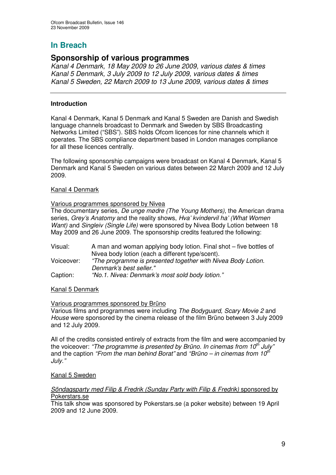# **Sponsorship of various programmes**

*Kanal 4 Denmark, 18 May 2009 to 26 June 2009, various dates & times Kanal 5 Denmark, 3 July 2009 to 12 July 2009, various dates & times Kanal 5 Sweden, 22 March 2009 to 13 June 2009, various dates & times*

### **Introduction**

Kanal 4 Denmark, Kanal 5 Denmark and Kanal 5 Sweden are Danish and Swedish language channels broadcast to Denmark and Sweden by SBS Broadcasting Networks Limited ("SBS"). SBS holds Ofcom licences for nine channels which it operates. The SBS compliance department based in London manages compliance for all these licences centrally.

The following sponsorship campaigns were broadcast on Kanal 4 Denmark, Kanal 5 Denmark and Kanal 5 Sweden on various dates between 22 March 2009 and 12 July 2009.

### Kanal 4 Denmark

### Various programmes sponsored by Nivea

The documentary series, *De unge mødre (The Young Mothers)*, the American drama series, *Grey's Anatomy* and the reality shows, *Hva' kvindervil ha' (What Women Want)* and *Singleiv (Single Life)* were sponsored by Nivea Body Lotion between 18 May 2009 and 26 June 2009. The sponsorship credits featured the following:

Visual: A man and woman applying body lotion. Final shot – five bottles of Nivea body lotion (each a different type/scent). Voiceover: *"The programme is presented together with Nivea Body Lotion. Denmark's best seller."* Caption: *"No.1. Nivea: Denmark's most sold body lotion."*

### Kanal 5 Denmark

### Various programmes sponsored by Brüno

Various films and programmes were including *The Bodyguard, Scary Movie 2* and *House* were sponsored by the cinema release of the film Brüno between 3 July 2009 and 12 July 2009.

All of the credits consisted entirely of extracts from the film and were accompanied by the voiceover: *"The programme is presented by Brüno. In cinemas from 10 th July"* and the caption *"From the man behind Borat"* and *"Brüno – in cinemas from 10 th July."*

### Kanal 5 Sweden

### *Söndagsparty med Filip & Fredrik (Sunday Party with Filip & Fredrik)* sponsored by Pokerstars.se

This talk show was sponsored by Pokerstars.se (a poker website) between 19 April 2009 and 12 June 2009.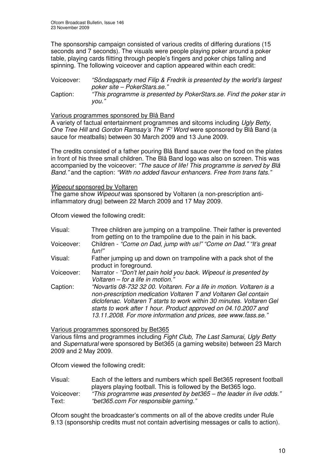The sponsorship campaign consisted of various credits of differing durations (15 seconds and 7 seconds). The visuals were people playing poker around a poker table, playing cards flitting through people's fingers and poker chips falling and spinning. The following voiceover and caption appeared within each credit:

Voiceover: *"Söndagsparty med Filip & Fredrik is presented by the world's largest poker site – PokerStars.se."* Caption: *"This programme is presented by PokerStars.se. Find the poker star in you."*

### Various programmes sponsored by Blå Band

A variety of factual entertainment programmes and sitcoms including *Ugly Betty*, *One Tree Hill* and *Gordon Ramsay's The 'F' Word* were sponsored by Blå Band (a sauce for meatballs) between 30 March 2009 and 13 June 2009.

The credits consisted of a father pouring Blå Band sauce over the food on the plates in front of his three small children. The Blå Band logo was also on screen. This was accompanied by the voiceover: *"The sauce of life! This programme is served by Blå Band."* and the caption: *"With no added flavour enhancers. Free from trans fats."*

### *Wipeout* sponsored by Voltaren

The game show *Wipeout* was sponsored by Voltaren (a non-prescription antiinflammatory drug) between 22 March 2009 and 17 May 2009.

Ofcom viewed the following credit:

| Visual:    | Three children are jumping on a trampoline. Their father is prevented<br>from getting on to the trampoline due to the pain in his back.                                                                                                                                                                                                                |
|------------|--------------------------------------------------------------------------------------------------------------------------------------------------------------------------------------------------------------------------------------------------------------------------------------------------------------------------------------------------------|
| Voiceover: | Children - "Come on Dad, jump with us!" "Come on Dad." "It's great<br>fun!"                                                                                                                                                                                                                                                                            |
| Visual:    | Father jumping up and down on trampoline with a pack shot of the<br>product in foreground.                                                                                                                                                                                                                                                             |
| Voiceover: | Narrator - "Don't let pain hold you back. Wipeout is presented by<br>Voltaren - for a life in motion."                                                                                                                                                                                                                                                 |
| Caption:   | "Novartis 08-732 32 00. Voltaren. For a life in motion. Voltaren is a<br>non-prescription medication Voltaren T and Voltaren Gel contain<br>diclofenac. Voltaren T starts to work within 30 minutes. Voltaren Gel<br>starts to work after 1 hour. Product approved on 04.10.2007 and<br>13.11.2008. For more information and prices, see www.fass.se." |

Various programmes sponsored by Bet365

Various films and programmes including *Fight Club, The Last Samurai, Ugly Betty* and *Supernatural* were sponsored by Bet365 (a gaming website) between 23 March 2009 and 2 May 2009.

Ofcom viewed the following credit:

| Visual:    | Each of the letters and numbers which spell Bet365 represent football |
|------------|-----------------------------------------------------------------------|
|            | players playing football. This is followed by the Bet365 logo.        |
| Voiceover: | "This programme was presented by bet365 – the leader in live odds."   |
| Text:      | "bet365.com For responsible gaming."                                  |

Ofcom sought the broadcaster's comments on all of the above credits under Rule 9.13 (sponsorship credits must not contain advertising messages or calls to action).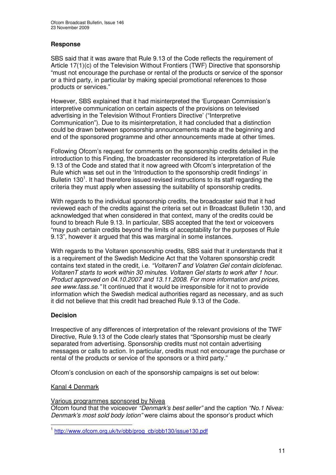### **Response**

SBS said that it was aware that Rule 9.13 of the Code reflects the requirement of Article 17(1)(c) of the Television Without Frontiers (TWF) Directive that sponsorship "must not encourage the purchase or rental of the products or service of the sponsor or a third party, in particular by making special promotional references to those products or services."

However, SBS explained that it had misinterpreted the 'European Commission's interpretive communication on certain aspects of the provisions on televised advertising in the Television Without Frontiers Directive' ("Interpretive Communication"). Due to its misinterpretation, it had concluded that a distinction could be drawn between sponsorship announcements made at the beginning and end of the sponsored programme and other announcements made at other times.

Following Ofcom's request for comments on the sponsorship credits detailed in the introduction to this Finding, the broadcaster reconsidered its interpretation of Rule 9.13 of the Code and stated that it now agreed with Ofcom's interpretation of the Rule which was set out in the 'Introduction to the sponsorship credit findings' in Bulletin 130<sup>1</sup>. It had therefore issued revised instructions to its staff regarding the criteria they must apply when assessing the suitability of sponsorship credits.

With regards to the individual sponsorship credits, the broadcaster said that it had reviewed each of the credits against the criteria set out in Broadcast Bulletin 130, and acknowledged that when considered in that context, many of the credits could be found to breach Rule 9.13. In particular, SBS accepted that the text or voiceovers "may push certain credits beyond the limits of acceptability for the purposes of Rule 9.13", however it argued that this was marginal in some instances.

With regards to the Voltaren sponsorship credits, SBS said that it understands that it is a requirement of the Swedish Medicine Act that the Voltaren sponsorship credit contains text stated in the credit, i.e. *"VoltarenT and Volatren Gel contain diclofenac. VoltarenT starts to work within 30 minutes. Voltaren Gel starts to work after 1 hour. Product approved on 04.10.2007 and 13.11.2008. For more information and prices, see www.fass.se."* It continued that it would be irresponsible for it not to provide information which the Swedish medical authorities regard as necessary, and as such it did not believe that this credit had breached Rule 9.13 of the Code.

### **Decision**

Irrespective of any differences of interpretation of the relevant provisions of the TWF Directive, Rule 9.13 of the Code clearly states that "Sponsorship must be clearly separated from advertising. Sponsorship credits must not contain advertising messages or calls to action. In particular, credits must not encourage the purchase or rental of the products or service of the sponsors or a third party."

Ofcom's conclusion on each of the sponsorship campaigns is set out below:

### Kanal 4 Denmark

Various programmes sponsored by Nivea

Ofcom found that the voiceover *"Denmark's best seller"* and the caption *"No.1 Nivea: Denmark's most sold body lotion"* were claims about the sponsor's product which

<sup>&</sup>lt;sup>1</sup> http://www.ofcom.org.uk/tv/obb/prog\_cb/obb130/issue130.pdf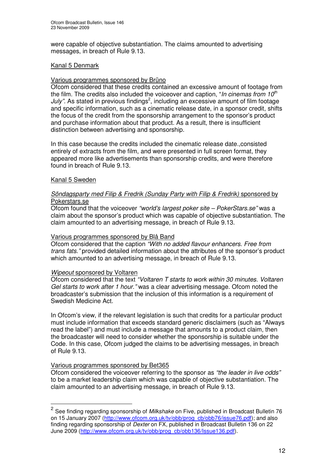were capable of objective substantiation. The claims amounted to advertising messages, in breach of Rule 9.13.

### Kanal 5 Denmark

### Various programmes sponsored by Brüno

Ofcom considered that these credits contained an excessive amount of footage from the film. The credits also included the voiceover and caption, "*In cinemas from 10 th* July". As stated in previous findings<sup>2</sup>, including an excessive amount of film footage and specific information, such as a cinematic release date, in a sponsor credit, shifts the focus of the credit from the sponsorship arrangement to the sponsor's product and purchase information about that product. As a result, there is insufficient distinction between advertising and sponsorship.

In this case because the credits included the cinematic release date.,consisted entirely of extracts from the film, and were presented in full screen format, they appeared more like advertisements than sponsorship credits, and were therefore found in breach of Rule 9.13.

### Kanal 5 Sweden

### *Söndagsparty med Filip & Fredrik (Sunday Party with Filip & Fredrik)* sponsored by Pokerstars.se

Ofcom found that the voiceover *"world's largest poker site – PokerStars.se"* was a claim about the sponsor's product which was capable of objective substantiation. The claim amounted to an advertising message, in breach of Rule 9.13.

### Various programmes sponsored by Blå Band

Ofcom considered that the caption *"With no added flavour enhancers. Free from trans fats."* provided detailed information about the attributes of the sponsor's product which amounted to an advertising message, in breach of Rule 9.13.

### *Wipeout* sponsored by Voltaren

Ofcom considered that the text *"Voltaren T starts to work within 30 minutes. Voltaren Gel starts to work after 1 hour."* was a clear advertising message. Ofcom noted the broadcaster's submission that the inclusion of this information is a requirement of Swedish Medicine Act.

In Ofcom's view, if the relevant legislation is such that credits for a particular product must include information that exceeds standard generic disclaimers (such as "Always read the label") and must include a message that amounts to a product claim, then the broadcaster will need to consider whether the sponsorship is suitable under the Code. In this case, Ofcom judged the claims to be advertising messages, in breach of Rule 9.13.

### Various programmes sponsored by Bet365

Ofcom considered the voiceover referring to the sponsor as *"the leader in live odds"* to be a market leadership claim which was capable of objective substantiation. The claim amounted to an advertising message, in breach of Rule 9.13.

<sup>2</sup> See finding regarding sponsorship of *Milkshake* on Five, published in Broadcast Bulletin 76 on 15 January 2007 (http://www.ofcom.org.uk/tv/obb/prog\_cb/obb76/issue76.pdf); and also finding regarding sponsorship of *Dexter* on FX, published in Broadcast Bulletin 136 on 22 June 2009 (http://www.ofcom.org.uk/tv/obb/prog\_cb/obb136/Issue136.pdf).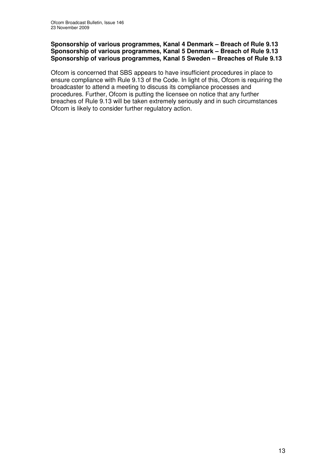### **Sponsorship of various programmes, Kanal 4 Denmark – Breach of Rule 9.13 Sponsorship of various programmes, Kanal 5 Denmark – Breach of Rule 9.13 Sponsorship of various programmes, Kanal 5 Sweden – Breaches of Rule 9.13**

Ofcom is concerned that SBS appears to have insufficient procedures in place to ensure compliance with Rule 9.13 of the Code. In light of this, Ofcom is requiring the broadcaster to attend a meeting to discuss its compliance processes and procedures. Further, Ofcom is putting the licensee on notice that any further breaches of Rule 9.13 will be taken extremely seriously and in such circumstances Ofcom is likely to consider further regulatory action.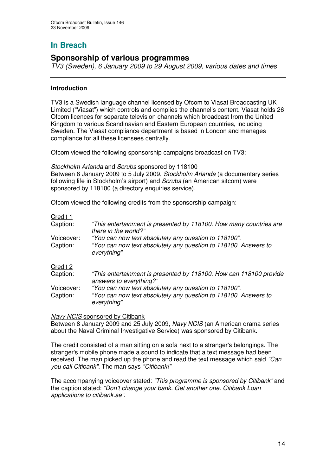# **Sponsorship of various programmes**

*TV3 (Sweden), 6 January 2009 to 29 August 2009, various dates and times*

### **Introduction**

TV3 is a Swedish language channel licensed by Ofcom to Viasat Broadcasting UK Limited ("Viasat") which controls and complies the channel's content. Viasat holds 26 Ofcom licences for separate television channels which broadcast from the United Kingdom to various Scandinavian and Eastern European countries, including Sweden. The Viasat compliance department is based in London and manages compliance for all these licensees centrally.

Ofcom viewed the following sponsorship campaigns broadcast on TV3:

### *Stockholm Arlanda* and *Scrubs* sponsored by 118100

Between 6 January 2009 to 5 July 2009, *Stockholm Arlanda* (a documentary series following life in Stockholm's airport) and *Scrubs* (an American sitcom) were sponsored by 118100 (a directory enquiries service).

Ofcom viewed the following credits from the sponsorship campaign:

### Credit 1

| "This entertainment is presented by 118100. How many countries are<br>there in the world?"                                              |
|-----------------------------------------------------------------------------------------------------------------------------------------|
| "You can now text absolutely any question to 118100".<br>"You can now text absolutely any question to 118100. Answers to<br>everything" |
|                                                                                                                                         |
| "This entertainment is presented by 118100. How can 118100 provide<br>answers to everything?"                                           |
| "You can now text absolutely any question to 118100".                                                                                   |
| "You can now text absolutely any question to 118100. Answers to<br>everything"                                                          |
|                                                                                                                                         |

### *Navy NCIS* sponsored by Citibank

Between 8 January 2009 and 25 July 2009, *Navy NCIS* (an American drama series about the Naval Criminal Investigative Service) was sponsored by Citibank.

The credit consisted of a man sitting on a sofa next to a stranger's belongings. The stranger's mobile phone made a sound to indicate that a text message had been received. The man picked up the phone and read the text message which said *"Can you call Citibank"*. The man says *"Citibank!"*

The accompanying voiceover stated: *"This programme is sponsored by Citibank"* and the caption stated: *"Don't change your bank. Get another one. Citibank Loan applications to citibank.se".*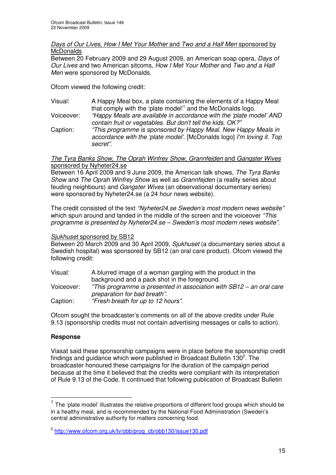### *Days of Our Lives*, *How I Met Your Mother* and *Two and a Half Men* sponsored by **McDonalds**

Between 20 February 2009 and 29 August 2009, an American soap opera, *Days of Our Lives* and two American sitcoms, *How I Met Your Mother* and *Two and a Half Men* were sponsored by McDonalds.

Ofcom viewed the following credit:

Visual: A Happy Meal box, a plate containing the elements of a Happy Meal that comply with the 'plate model' 1 and the McDonalds logo.

Voiceover: *"Happy Meals are available in accordance with the 'plate model' AND contain fruit or vegetables. But don't tell the kids. OK?"*

Caption: *"This programme is sponsored by Happy Meal. New Happy Meals in accordance with the 'plate model'*. [McDonalds logo] *I'm loving it. Top secret".*

### *The Tyra Banks Show*, *The Oprah Winfrey Show, Grannfejden* and *Gangster Wives* sponsored by Nyheter24.se

Between 16 April 2009 and 9 June 2009, the American talk shows, *The Tyra Banks Show* and *The Oprah Winfrey Show* as well as *Grannfejden* (a reality series about feuding neighbours) and *Gangster Wives* (an observational documentary series) were sponsored by Nyheter24.se (a 24 hour news website).

The credit consisted of the text *"Nyheter24.se Sweden's most modern news website"* which spun around and landed in the middle of the screen and the voiceover *"This programme is presented by Nyheter24.se – Sweden's most modern news website".*

### *Sjukhuset* sponsored by SB12

Between 20 March 2009 and 30 April 2009, *Sjukhuset* (a documentary series about a Swedish hospital) was sponsored by SB12 (an oral care product). Ofcom viewed the following credit:

| Visual:    | A blurred image of a woman gargling with the product in the                                          |
|------------|------------------------------------------------------------------------------------------------------|
|            | background and a pack shot in the foreground.                                                        |
| Voiceover: | "This programme is presented in association with SB12 - an oral care<br>preparation for bad breath". |
| Caption:   | "Fresh breath for up to 12 hours".                                                                   |

Ofcom sought the broadcaster's comments on all of the above credits under Rule 9.13 (sponsorship credits must not contain advertising messages or calls to action).

### **Response**

Viasat said these sponsorship campaigns were in place before the sponsorship credit findings and guidance which were published in Broadcast Bulletin 130 $^2$ . The broadcaster honoured these campaigns for the duration of the campaign period because at the time it believed that the credits were compliant with its interpretation of Rule 9.13 of the Code. It continued that following publication of Broadcast Bulletin

 $1$  The 'plate model' illustrates the relative proportions of different food groups which should be in a healthy meal, and is recommended by the National Food Administration (Sweden's central administrative authority for matters concerning food.

<sup>2</sup> http://www.ofcom.org.uk/tv/obb/prog\_cb/obb130/issue130.pdf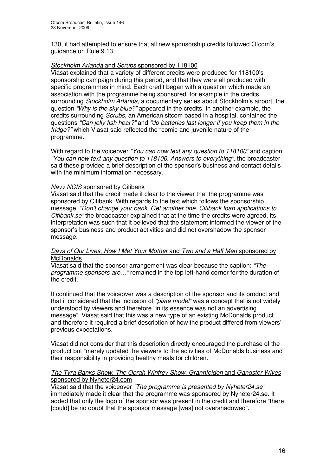130, it had attempted to ensure that all new sponsorship credits followed Ofcom's guidance on Rule 9.13.

### *Stockholm Arlanda* and *Scrubs* sponsored by 118100

Viasat explained that a variety of different credits were produced for 118100's sponsorship campaign during this period, and that they were all produced with specific programmes in mind. Each credit began with a question which made an association with the programme being sponsored, for example in the credits surrounding *Stockholm Arlanda,* a documentary series about Stockholm's airport, the question *"Why is the sky blue?"* appeared in the credits. In another example, the credits surrounding *Scrubs*, an American sitcom based in a hospital, contained the questions *"Can jelly fish hear?"* and *"do batteries last longer if you keep them in the fridge?"* which Viasat said reflected the "comic and juvenile nature of the programme."

With regard to the voiceover *"You can now text any question to 118100"* and caption *"You can now text any question to 118100. Answers to everything"*, the broadcaster said these provided a brief description of the sponsor's business and contact details with the minimum information necessary.

### *Navy NCIS* sponsored by Citibank

Viasat said that the credit made it clear to the viewer that the programme was sponsored by Citibank. With regards to the text which follows the sponsorship message: *"Don't change your bank. Get another one. Citibank loan applications to Citibank.se"* the broadcaster explained that at the time the credits were agreed, its interpretation was such that it believed that the statement informed the viewer of the sponsor's business and product activities and did not overshadow the sponsor message.

### *Days of Our Lives*, *How I Met Your Mother* and *Two and a Half Men* sponsored by **McDonalds**

Viasat said that the sponsor arrangement was clear because the caption: *"The programme sponsors are…"* remained in the top left-hand corner for the duration of the credit.

It continued that the voiceover was a description of the sponsor and its product and that it considered that the inclusion of *"plate model"* was a concept that is not widely understood by viewers and therefore "in its essence was not an advertising message". Viasat said that this was a new type of an existing McDonalds product and therefore it required a brief description of how the product differed from viewers' previous expectations.

Viasat did not consider that this description directly encouraged the purchase of the product but "merely updated the viewers to the activities of McDonalds business and their responsibility in providing healthy meals for children."

### *The Tyra Banks Show*, *The Oprah Winfrey Show, Grannfejden* and *Gangster Wives* sponsored by Nyheter24.com

Viasat said that the voiceover *"The programme is presented by Nyheter24.se"* immediately made it clear that the programme was sponsored by Nyheter24.se. It added that only the logo of the sponsor was present in the credit and therefore "there [could] be no doubt that the sponsor message [was] not overshadowed".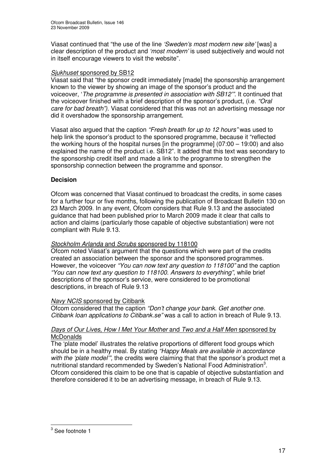Viasat continued that "the use of the line *'Sweden's most modern new site'* [was] a clear description of the product and *'most modern'* is used subjectively and would not in itself encourage viewers to visit the website".

### *Sjukhuset* sponsored by SB12

Viasat said that "the sponsor credit immediately [made] the sponsorship arrangement known to the viewer by showing an image of the sponsor's product and the voiceover, '*The programme is presented in association with SB12'".* It continued that the voiceover finished with a brief description of the sponsor's product, (i.e. *"Oral care for bad breath")*. Viasat considered that this was not an advertising message nor did it overshadow the sponsorship arrangement.

Viasat also argued that the caption *"Fresh breath for up to 12 hours"* was used to help link the sponsor's product to the sponsored programme, because it "reflected the working hours of the hospital nurses [in the programme] (07:00 – 19:00) and also explained the name of the product i.e. SB12". It added that this text was secondary to the sponsorship credit itself and made a link to the programme to strengthen the sponsorship connection between the programme and sponsor.

### **Decision**

Ofcom was concerned that Viasat continued to broadcast the credits, in some cases for a further four or five months, following the publication of Broadcast Bulletin 130 on 23 March 2009. In any event, Ofcom considers that Rule 9.13 and the associated guidance that had been published prior to March 2009 made it clear that calls to action and claims (particularly those capable of objective substantiation) were not compliant with Rule 9.13.

### *Stockholm Arlanda* and *Scrubs* sponsored by 118100

Ofcom noted Viasat's argument that the questions which were part of the credits created an association between the sponsor and the sponsored programmes. However, the voiceover *"You can now text any question to 118100"* and the caption *"You can now text any question to 118100. Answers to everything"*, while brief descriptions of the sponsor's service, were considered to be promotional descriptions, in breach of Rule 9.13

### *Navy NCIS* sponsored by Citibank

Ofcom considered that the caption *"Don't change your bank. Get another one. Citibank loan applications to Citibank.se"* was a call to action in breach of Rule 9.13.

### *Days of Our Lives*, *How I Met Your Mother* and *Two and a Half Men* sponsored by **McDonalds**

The 'plate model' illustrates the relative proportions of different food groups which should be in a healthy meal. By stating *"Happy Meals are available in accordance with the 'plate model'",* the credits were claiming that that the sponsor's product met a nutritional standard recommended by Sweden's National Food Administration<sup>3</sup>. Ofcom considered this claim to be one that is capable of objective substantiation and therefore considered it to be an advertising message, in breach of Rule 9.13.

 $3$  See footnote 1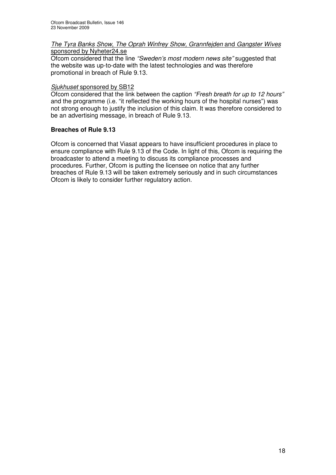### *The Tyra Banks Show*, *The Oprah Winfrey Show, Grannfejden* and *Gangster Wives* sponsored by Nyheter24.se

Ofcom considered that the line *"Sweden's most modern news site"* suggested that the website was up-to-date with the latest technologies and was therefore promotional in breach of Rule 9.13.

### *Sjukhuset* sponsored by SB12

Ofcom considered that the link between the caption *"Fresh breath for up to 12 hours"* and the programme (i.e. "it reflected the working hours of the hospital nurses") was not strong enough to justify the inclusion of this claim. It was therefore considered to be an advertising message, in breach of Rule 9.13.

### **Breaches of Rule 9.13**

Ofcom is concerned that Viasat appears to have insufficient procedures in place to ensure compliance with Rule 9.13 of the Code. In light of this, Ofcom is requiring the broadcaster to attend a meeting to discuss its compliance processes and procedures. Further, Ofcom is putting the licensee on notice that any further breaches of Rule 9.13 will be taken extremely seriously and in such circumstances Ofcom is likely to consider further regulatory action.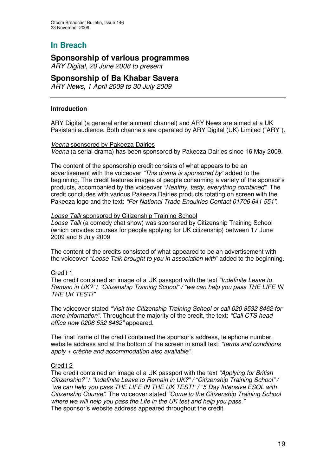# **Sponsorship of various programmes**

*ARY Digital, 20 June 2008 to present*

### **Sponsorship of Ba Khabar Savera**

*ARY News, 1 April 2009 to 30 July 2009*

### **Introduction**

ARY Digital (a general entertainment channel) and ARY News are aimed at a UK Pakistani audience. Both channels are operated by ARY Digital (UK) Limited ("ARY").

### *Veena* sponsored by Pakeeza Dairies

*Veena* (a serial drama) has been sponsored by Pakeeza Dairies since 16 May 2009.

The content of the sponsorship credit consists of what appears to be an advertisement with the voiceover *"This drama is sponsored by"* added to the beginning. The credit features images of people consuming a variety of the sponsor's products, accompanied by the voiceover *"Healthy, tasty, everything combined".* The credit concludes with various Pakeeza Dairies products rotating on screen with the Pakeeza logo and the text: *"For National Trade Enquiries Contact 01706 641 551".*

### *Loose Talk* sponsored by Citizenship Training School

*Loose Talk* (a comedy chat show) was sponsored by Citizenship Training School (which provides courses for people applying for UK citizenship) between 17 June 2009 and 8 July 2009

The content of the credits consisted of what appeared to be an advertisement with the voiceover *"Loose Talk brought to you in association with*" added to the beginning.

### Credit 1

The credit contained an image of a UK passport with the text *"Indefinite Leave to Remain in UK?"* / *"Citizenship Training School" / "we can help you pass THE LIFE IN THE UK TEST!"*

The voiceover stated *"Visit the Citizenship Training School or call 020 8532 8462 for more information"*. Throughout the majority of the credit, the text: *"Call CTS head office now 0208 532 8462"* appeared.

The final frame of the credit contained the sponsor's address, telephone number, website address and at the bottom of the screen in small text: *"terms and conditions apply + crèche and accommodation also available"*.

### Credit 2

The credit contained an image of a UK passport with the text *"Applying for British Citizenship?"* / *"Indefinite Leave to Remain in UK?" / "Citizenship Training School" / "we can help you pass THE LIFE IN THE UK TEST!" / "5 Day Intensive ESOL with Citizenship Course".* The voiceover stated *"Come to the Citizenship Training School where we will help you pass the Life in the UK test and help you pass."* The sponsor's website address appeared throughout the credit.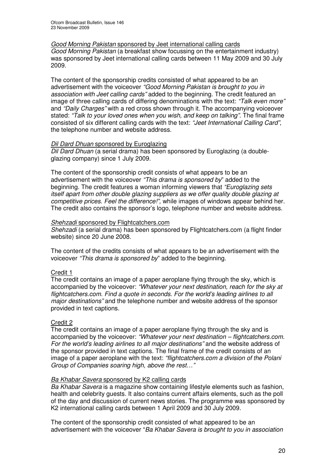### *Good Morning Pakistan* sponsored by Jeet international calling cards

*Good Morning Pakistan* (a breakfast show focussing on the entertainment industry) was sponsored by Jeet international calling cards between 11 May 2009 and 30 July 2009.

The content of the sponsorship credits consisted of what appeared to be an advertisement with the voiceover *"Good Morning Pakistan is brought to you in association with Jeet calling cards"* added to the beginning. The credit featured an image of three calling cards of differing denominations with the text: *"Talk even more"* and *"Daily Charges"* with a red cross shown through it. The accompanying voiceover stated: *"Talk to your loved ones when you wish, and keep on talking".* The final frame consisted of six different calling cards with the text: *"Jeet International Calling Card"*, the telephone number and website address.

### *Dil Dard Dhuan* sponsored by Euroglazing

*Dil Dard Dhuan* (a serial drama) has been sponsored by Euroglazing (a doubleglazing company) since 1 July 2009.

The content of the sponsorship credit consists of what appears to be an advertisement with the voiceover *"This drama is sponsored by*" added to the beginning. The credit features a woman informing viewers that *"Euroglazing sets itself apart from other double glazing suppliers as we offer quality double glazing at competitive prices. Feel the difference!",* while images of windows appear behind her. The credit also contains the sponsor's logo, telephone number and website address.

### *Shehzadi* sponsored by Flightcatchers.com

*Shehzadi* (a serial drama) has been sponsored by Flightcatchers.com (a flight finder website) since 20 June 2008.

The content of the credits consists of what appears to be an advertisement with the voiceover *"This drama is sponsored by*" added to the beginning.

### Credit 1

The credit contains an image of a paper aeroplane flying through the sky, which is accompanied by the voiceover: *"Whatever your next destination, reach for the sky at flightcatchers.com. Find a quote in seconds. For the world's leading airlines to all major destinations"* and the telephone number and website address of the sponsor provided in text captions.

### Credit 2

The credit contains an image of a paper aeroplane flying through the sky and is accompanied by the voiceover: *"Whatever your next destination – flightcatchers.com. For the world's leading airlines to all major destinations"* and the website address of the sponsor provided in text captions. The final frame of the credit consists of an image of a paper aeroplane with the text: *"flightcatchers.com a division of the Polani Group of Companies soaring high, above the rest…"*

### *Ba Khabar Savera* sponsored by K2 calling cards

*Ba Khabar Savera* is a magazine show containing lifestyle elements such as fashion, health and celebrity guests. It also contains current affairs elements, such as the poll of the day and discussion of current news stories. The programme was sponsored by K2 international calling cards between 1 April 2009 and 30 July 2009.

The content of the sponsorship credit consisted of what appeared to be an advertisement with the voiceover "*Ba Khabar Savera is brought to you in association*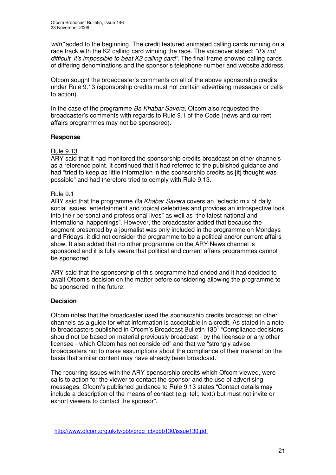*with"* added to the beginning. The credit featured animated calling cards running on a race track with the K2 calling card winning the race. The voiceover stated: *"It's not difficult, it's impossible to beat K2 calling card".* The final frame showed calling cards of differing denominations and the sponsor's telephone number and website address.

Ofcom sought the broadcaster's comments on all of the above sponsorship credits under Rule 9.13 (sponsorship credits must not contain advertising messages or calls to action).

In the case of the programme *Ba Khabar Savera*, Ofcom also requested the broadcaster's comments with regards to Rule 9.1 of the Code (news and current affairs programmes may not be sponsored).

### **Response**

### Rule 9.13

ARY said that it had monitored the sponsorship credits broadcast on other channels as a reference point. It continued that it had referred to the published guidance and had "tried to keep as little information in the sponsorship credits as [it] thought was possible" and had therefore tried to comply with Rule 9.13.

### Rule 9.1

ARY said that the programme *Ba Khabar Savera* covers an "eclectic mix of daily social issues, entertainment and topical celebrities and provides an introspective look into their personal and professional lives" as well as "the latest national and international happenings". However, the broadcaster added that because the segment presented by a journalist was only included in the programme on Mondays and Fridays, it did not consider the programme to be a political and/or current affairs show. It also added that no other programme on the ARY News channel is sponsored and it is fully aware that political and current affairs programmes cannot be sponsored.

ARY said that the sponsorship of this programme had ended and it had decided to await Ofcom's decision on the matter before considering allowing the programme to be sponsored in the future.

### **Decision**

Ofcom notes that the broadcaster used the sponsorship credits broadcast on other channels as a guide for what information is acceptable in a credit. As stated in a note to broadcasters published in Ofcom's Broadcast Bulletin 130<sup>1</sup> "Compliance decisions should not be based on material previously broadcast - by the licensee or any other licensee - which Ofcom has not considered" and that we "strongly advise broadcasters not to make assumptions about the compliance of their material on the basis that similar content may have already been broadcast."

The recurring issues with the ARY sponsorship credits which Ofcom viewed, were calls to action for the viewer to contact the sponsor and the use of advertising messages. Ofcom's published guidance to Rule 9.13 states "Contact details may include a description of the means of contact (e.g. tel:, text:) but must not invite or exhort viewers to contact the sponsor".

<sup>&</sup>lt;sup>1</sup> http://www.ofcom.org.uk/tv/obb/prog\_cb/obb130/issue130.pdf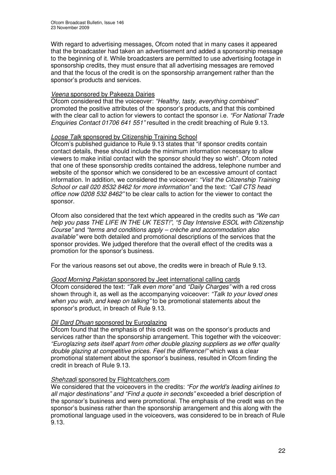With regard to advertising messages, Ofcom noted that in many cases it appeared that the broadcaster had taken an advertisement and added a sponsorship message to the beginning of it. While broadcasters are permitted to use advertising footage in sponsorship credits, they must ensure that all advertising messages are removed and that the focus of the credit is on the sponsorship arrangement rather than the sponsor's products and services.

### *Veena* sponsored by Pakeeza Dairies

Ofcom considered that the voiceover: *"Healthy, tasty, everything combined"* promoted the positive attributes of the sponsor's products, and that this combined with the clear call to action for viewers to contact the sponsor i.e. *"For National Trade Enquiries Contact 01706 641 551"* resulted in the credit breaching of Rule 9.13.

### *Loose Talk* sponsored by Citizenship Training School

Ofcom's published guidance to Rule 9.13 states that "if sponsor credits contain contact details, these should include the minimum information necessary to allow viewers to make initial contact with the sponsor should they so wish". Ofcom noted that one of these sponsorship credits contained the address, telephone number and website of the sponsor which we considered to be an excessive amount of contact information. In addition, we considered the voiceover: *"Visit the Citizenship Training School or call 020 8532 8462 for more information"* and the text: *"Call CTS head office now 0208 532 8462"* to be clear calls to action for the viewer to contact the sponsor.

Ofcom also considered that the text which appeared in the credits such as *"We can help you pass THE LIFE IN THE UK TEST!"*, *"5 Day Intensive ESOL with Citizenship Course"* and *"terms and conditions apply – crèche and accommodation also available"* were both detailed and promotional descriptions of the services that the sponsor provides. We judged therefore that the overall effect of the credits was a promotion for the sponsor's business.

For the various reasons set out above, the credits were in breach of Rule 9.13.

### *Good Morning Pakistan* sponsored by Jeet international calling cards

Ofcom considered the text: *"Talk even more"* and *"Daily Charges"* with a red cross shown through it, as well as the accompanying voiceover: *"Talk to your loved ones when you wish, and keep on talking"* to be promotional statements about the sponsor's product, in breach of Rule 9.13.

### *Dil Dard Dhuan* sponsored by Euroglazing

Ofcom found that the emphasis of this credit was on the sponsor's products and services rather than the sponsorship arrangement. This together with the voiceover: *"Euroglazing sets itself apart from other double glazing suppliers as we offer quality double glazing at competitive prices. Feel the difference!"* which was a clear promotional statement about the sponsor's business, resulted in Ofcom finding the credit in breach of Rule 9.13.

### *Shehzadi* sponsored by Flightcatchers.com

We considered that the voiceovers in the credits: *"For the world's leading airlines to all major destinations" and "Find a quote in seconds"* exceeded a brief description of the sponsor's business and were promotional. The emphasis of the credit was on the sponsor's business rather than the sponsorship arrangement and this along with the promotional language used in the voiceovers, was considered to be in breach of Rule 9.13.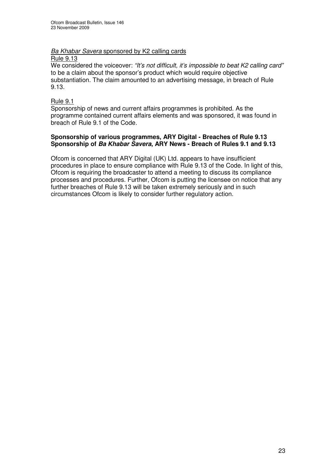# *Ba Khabar Savera* sponsored by K2 calling cards

Rule 9.13

We considered the voiceover: *"It's not difficult, it's impossible to beat K2 calling card"* to be a claim about the sponsor's product which would require objective substantiation. The claim amounted to an advertising message, in breach of Rule 9.13.

### Rule 9.1

Sponsorship of news and current affairs programmes is prohibited. As the programme contained current affairs elements and was sponsored, it was found in breach of Rule 9.1 of the Code.

### **Sponsorship of various programmes, ARY Digital - Breaches of Rule 9.13 Sponsorship of** *Ba Khabar Savera***, ARY News - Breach of Rules 9.1 and 9.13**

Ofcom is concerned that ARY Digital (UK) Ltd. appears to have insufficient procedures in place to ensure compliance with Rule 9.13 of the Code. In light of this, Ofcom is requiring the broadcaster to attend a meeting to discuss its compliance processes and procedures. Further, Ofcom is putting the licensee on notice that any further breaches of Rule 9.13 will be taken extremely seriously and in such circumstances Ofcom is likely to consider further regulatory action.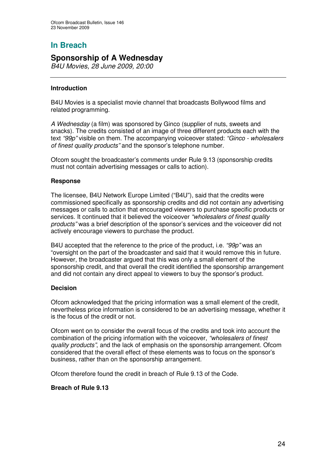# **Sponsorship of A Wednesday**

*B4U Movies, 28 June 2009, 20:00*

### **Introduction**

B4U Movies is a specialist movie channel that broadcasts Bollywood films and related programming.

*A Wednesday* (a film) was sponsored by Ginco (supplier of nuts, sweets and snacks). The credits consisted of an image of three different products each with the text *"99p"* visible on them. The accompanying voiceover stated: *"Ginco - wholesalers of finest quality products"* and the sponsor's telephone number.

Ofcom sought the broadcaster's comments under Rule 9.13 (sponsorship credits must not contain advertising messages or calls to action).

### **Response**

The licensee, B4U Network Europe Limited ("B4U"), said that the credits were commissioned specifically as sponsorship credits and did not contain any advertising messages or calls to action that encouraged viewers to purchase specific products or services. It continued that it believed the voiceover *"wholesalers of finest quality products"* was a brief description of the sponsor's services and the voiceover did not actively encourage viewers to purchase the product.

B4U accepted that the reference to the price of the product, i.e. *"99p"* was an "oversight on the part of the broadcaster and said that it would remove this in future. However, the broadcaster argued that this was only a small element of the sponsorship credit, and that overall the credit identified the sponsorship arrangement and did not contain any direct appeal to viewers to buy the sponsor's product.

### **Decision**

Ofcom acknowledged that the pricing information was a small element of the credit, nevertheless price information is considered to be an advertising message, whether it is the focus of the credit or not.

Ofcom went on to consider the overall focus of the credits and took into account the combination of the pricing information with the voiceover, *"wholesalers of finest quality products"*, and the lack of emphasis on the sponsorship arrangement. Ofcom considered that the overall effect of these elements was to focus on the sponsor's business, rather than on the sponsorship arrangement.

Ofcom therefore found the credit in breach of Rule 9.13 of the Code.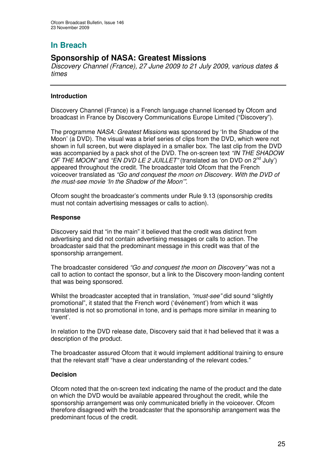# **Sponsorship of NASA: Greatest Missions**

*Discovery Channel (France), 27 June 2009 to 21 July 2009, various dates & times*

### **Introduction**

Discovery Channel (France) is a French language channel licensed by Ofcom and broadcast in France by Discovery Communications Europe Limited ("Discovery").

The programme *NASA: Greatest Missions* was sponsored by 'In the Shadow of the Moon' (a DVD). The visual was a brief series of clips from the DVD, which were not shown in full screen, but were displayed in a smaller box. The last clip from the DVD was accompanied by a pack shot of the DVD. The on-screen text *"IN THE SHADOW OF THE MOON"* and *"EN DVD LE 2 JUILLET"* (translated as 'on DVD on 2 nd July') appeared throughout the credit*.* The broadcaster told Ofcom that the French voiceover translated as *"Go and conquest the moon on Discovery. With the DVD of the must-see movie 'In the Shadow of the Moon'"*.

Ofcom sought the broadcaster's comments under Rule 9.13 (sponsorship credits must not contain advertising messages or calls to action).

### **Response**

Discovery said that "in the main" it believed that the credit was distinct from advertising and did not contain advertising messages or calls to action. The broadcaster said that the predominant message in this credit was that of the sponsorship arrangement.

The broadcaster considered *"Go and conquest the moon on Discovery"* was not a call to action to contact the sponsor, but a link to the Discovery moon-landing content that was being sponsored.

Whilst the broadcaster accepted that in translation, *"must-see"* did sound "slightly promotional", it stated that the French word ('événement') from which it was translated is not so promotional in tone, and is perhaps more similar in meaning to 'event'.

In relation to the DVD release date, Discovery said that it had believed that it was a description of the product.

The broadcaster assured Ofcom that it would implement additional training to ensure that the relevant staff "have a clear understanding of the relevant codes."

### **Decision**

Ofcom noted that the on-screen text indicating the name of the product and the date on which the DVD would be available appeared throughout the credit, while the sponsorship arrangement was only communicated briefly in the voiceover. Ofcom therefore disagreed with the broadcaster that the sponsorship arrangement was the predominant focus of the credit.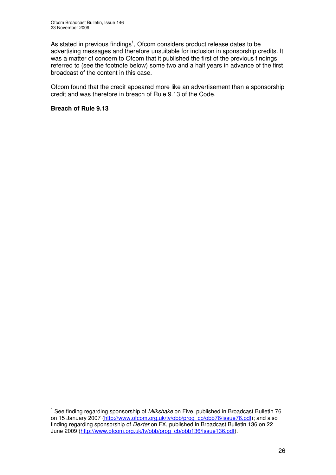As stated in previous findings<sup>1</sup>, Ofcom considers product release dates to be advertising messages and therefore unsuitable for inclusion in sponsorship credits. It was a matter of concern to Ofcom that it published the first of the previous findings referred to (see the footnote below) some two and a half years in advance of the first broadcast of the content in this case.

Ofcom found that the credit appeared more like an advertisement than a sponsorship credit and was therefore in breach of Rule 9.13 of the Code.

<sup>&</sup>lt;sup>1</sup> See finding regarding sponsorship of *Milkshake* on Five, published in Broadcast Bulletin 76 on 15 January 2007 (http://www.ofcom.org.uk/ty/obb/prog\_cb/obb76/issue76.pdf); and also finding regarding sponsorship of *Dexter* on FX, published in Broadcast Bulletin 136 on 22 June 2009 (http://www.ofcom.org.uk/tv/obb/prog\_cb/obb136/Issue136.pdf).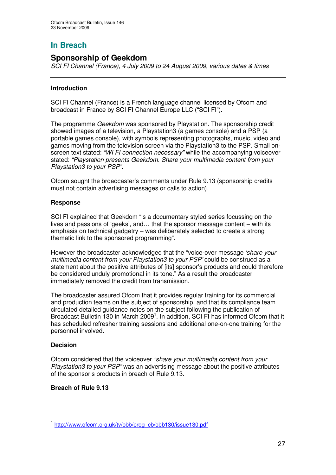# **Sponsorship of Geekdom**

*SCI FI Channel (France), 4 July 2009 to 24 August 2009, various dates & times*

### **Introduction**

SCI FI Channel (France) is a French language channel licensed by Ofcom and broadcast in France by SCI FI Channel Europe LLC ("SCI FI").

The programme *Geekdom* was sponsored by Playstation. The sponsorship credit showed images of a television, a Playstation3 (a games console) and a PSP (a portable games console), with symbols representing photographs, music, video and games moving from the television screen via the Playstation3 to the PSP. Small onscreen text stated: *"WI FI connection necessary"* while the accompanying voiceover stated: *"Playstation presents Geekdom. Share your multimedia content from your Playstation3 to your PSP".*

Ofcom sought the broadcaster's comments under Rule 9.13 (sponsorship credits must not contain advertising messages or calls to action).

### **Response**

SCI FI explained that Geekdom "is a documentary styled series focussing on the lives and passions of 'geeks', and… that the sponsor message content – with its emphasis on technical gadgetry – was deliberately selected to create a strong thematic link to the sponsored programming".

However the broadcaster acknowledged that the "voice-over message *'share your multimedia content from your Playstation3 to your PSP'* could be construed as a statement about the positive attributes of [its] sponsor's products and could therefore be considered unduly promotional in its tone." As a result the broadcaster immediately removed the credit from transmission.

The broadcaster assured Ofcom that it provides regular training for its commercial and production teams on the subject of sponsorship, and that its compliance team circulated detailed guidance notes on the subject following the publication of Broadcast Bulletin 130 in March 2009<sup>1</sup>. In addition, SCI FI has informed Ofcom that it has scheduled refresher training sessions and additional one-on-one training for the personnel involved.

### **Decision**

Ofcom considered that the voiceover *"share your multimedia content from your Playstation3 to your PSP"* was an advertising message about the positive attributes of the sponsor's products in breach of Rule 9.13.

<sup>&</sup>lt;sup>1</sup> http://www.ofcom.org.uk/tv/obb/prog\_cb/obb130/issue130.pdf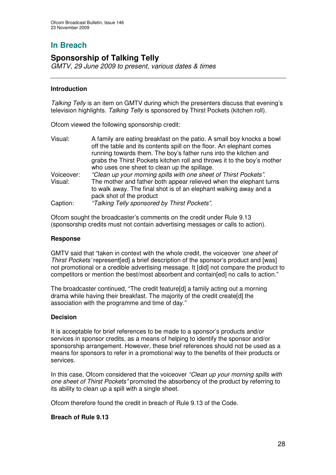# **Sponsorship of Talking Telly**

*GMTV, 29 June 2009 to present, various dates & times*

### **Introduction**

*Talking Telly* is an item on GMTV during which the presenters discuss that evening's television highlights. *Talking Telly* is sponsored by Thirst Pockets (kitchen roll).

Ofcom viewed the following sponsorship credit:

| Visual:    | A family are eating breakfast on the patio. A small boy knocks a bowl<br>off the table and its contents spill on the floor. An elephant comes<br>running towards them. The boy's father runs into the kitchen and<br>grabs the Thirst Pockets kitchen roll and throws it to the boy's mother |
|------------|----------------------------------------------------------------------------------------------------------------------------------------------------------------------------------------------------------------------------------------------------------------------------------------------|
|            | who uses one sheet to clean up the spillage.                                                                                                                                                                                                                                                 |
| Voiceover: | "Clean up your morning spills with one sheet of Thirst Pockets".                                                                                                                                                                                                                             |
| Visual:    | The mother and father both appear relieved when the elephant turns                                                                                                                                                                                                                           |
|            | to walk away. The final shot is of an elephant walking away and a<br>pack shot of the product                                                                                                                                                                                                |
|            |                                                                                                                                                                                                                                                                                              |
| Caption:   | "Talking Telly sponsored by Thirst Pockets".                                                                                                                                                                                                                                                 |

Ofcom sought the broadcaster's comments on the credit under Rule 9.13 (sponsorship credits must not contain advertising messages or calls to action).

### **Response**

GMTV said that "taken in context with the whole credit, the voiceover *'one sheet of Thirst Pockets'* represent[ed] a brief description of the sponsor's product and [was] not promotional or a credible advertising message. It [did] not compare the product to competitors or mention the best/most absorbent and contain[ed] no calls to action."

The broadcaster continued, "The credit feature[d] a family acting out a morning drama while having their breakfast. The majority of the credit create[d] the association with the programme and time of day."

### **Decision**

It is acceptable for brief references to be made to a sponsor's products and/or services in sponsor credits, as a means of helping to identify the sponsor and/or sponsorship arrangement. However, these brief references should not be used as a means for sponsors to refer in a promotional way to the benefits of their products or services.

In this case, Ofcom considered that the voiceover *"Clean up your morning spills with one sheet of Thirst Pockets"* promoted the absorbency of the product by referring to its ability to clean up a spill with a single sheet.

Ofcom therefore found the credit in breach of Rule 9.13 of the Code.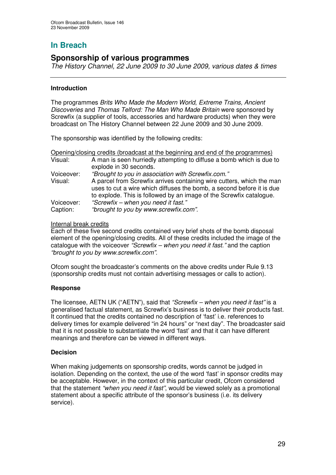# **Sponsorship of various programmes**

*The History Channel, 22 June 2009 to 30 June 2009, various dates & times*

### **Introduction**

The programmes *Brits Who Made the Modern World*, *Extreme Trains, Ancient Discoveries* and *Thomas Telford: The Man Who Made Britain* were sponsored by Screwfix (a supplier of tools, accessories and hardware products) when they were broadcast on The History Channel between 22 June 2009 and 30 June 2009.

The sponsorship was identified by the following credits:

| Opening/closing credits (broadcast at the beginning and end of the programmes) |                                                                       |
|--------------------------------------------------------------------------------|-----------------------------------------------------------------------|
| Visual:                                                                        | A man is seen hurriedly attempting to diffuse a bomb which is due to  |
|                                                                                | explode in 30 seconds.                                                |
| Voiceover:                                                                     | "Brought to you in association with Screwfix.com."                    |
| Visual:                                                                        | A parcel from Screwfix arrives containing wire cutters, which the man |
|                                                                                | uses to cut a wire which diffuses the bomb, a second before it is due |
|                                                                                | to explode. This is followed by an image of the Screwfix catalogue.   |
| Voiceover:                                                                     | "Screwfix - when you need it fast."                                   |
| Caption:                                                                       | "brought to you by www.screwfix.com".                                 |

### Internal break credits

Each of these five second credits contained very brief shots of the bomb disposal element of the opening/closing credits. All of these credits included the image of the catalogue with the voiceover *"Screwfix – when you need it fast."* and the caption *"brought to you by www.screwfix.com".*

Ofcom sought the broadcaster's comments on the above credits under Rule 9.13 (sponsorship credits must not contain advertising messages or calls to action).

### **Response**

The licensee, AETN UK ("AETN"), said that *"Screwfix – when you need it fast"* is a generalised factual statement, as Screwfix's business is to deliver their products fast. It continued that the credits contained no description of 'fast' i.e. references to delivery times for example delivered "in 24 hours" or "next day". The broadcaster said that it is not possible to substantiate the word 'fast' and that it can have different meanings and therefore can be viewed in different ways.

### **Decision**

When making judgements on sponsorship credits, words cannot be judged in isolation. Depending on the context, the use of the word 'fast' in sponsor credits may be acceptable. However, in the context of this particular credit, Ofcom considered that the statement *"when you need it fast"*, would be viewed solely as a promotional statement about a specific attribute of the sponsor's business (i.e. its delivery service).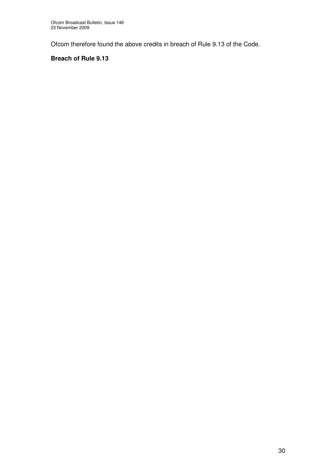Ofcom therefore found the above credits in breach of Rule 9.13 of the Code.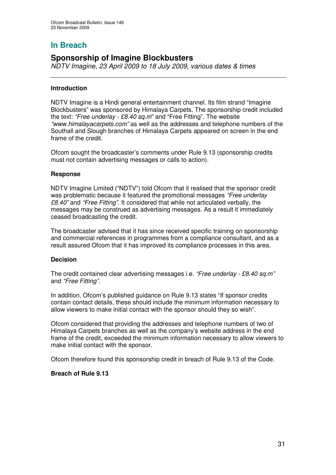# **Sponsorship of Imagine Blockbusters**

*NDTV Imagine, 23 April 2009 to 18 July 2009, various dates & times*

### **Introduction**

NDTV Imagine is a Hindi general entertainment channel. Its film strand "Imagine Blockbusters" was sponsored by Himalaya Carpets. The sponsorship credit included the text: *"Free underlay - £8.40 sq.m*" and "Free Fitting". The website *"www.himalayacarpets.com"* as well as the addresses and telephone numbers of the Southall and Slough branches of Himalaya Carpets appeared on screen in the end frame of the credit.

Ofcom sought the broadcaster's comments under Rule 9.13 (sponsorship credits must not contain advertising messages or calls to action).

### **Response**

NDTV Imagine Limited ("NDTV") told Ofcom that it realised that the sponsor credit was problematic because it featured the promotional messages *"Free underlay £8.40"* and *"Free Fitting"*. It considered that while not articulated verbally, the messages may be construed as advertising messages. As a result it immediately ceased broadcasting the credit.

The broadcaster advised that it has since received specific training on sponsorship and commercial references in programmes from a compliance consultant, and as a result assured Ofcom that it has improved its compliance processes in this area.

### **Decision**

The credit contained clear advertising messages i.e. *"Free underlay - £8.40 sq.m"* and *"Free Fitting"*.

In addition, Ofcom's published guidance on Rule 9.13 states "If sponsor credits contain contact details, these should include the minimum information necessary to allow viewers to make initial contact with the sponsor should they so wish".

Ofcom considered that providing the addresses and telephone numbers of two of Himalaya Carpets branches as well as the company's website address in the end frame of the credit, exceeded the minimum information necessary to allow viewers to make initial contact with the sponsor.

Ofcom therefore found this sponsorship credit in breach of Rule 9.13 of the Code.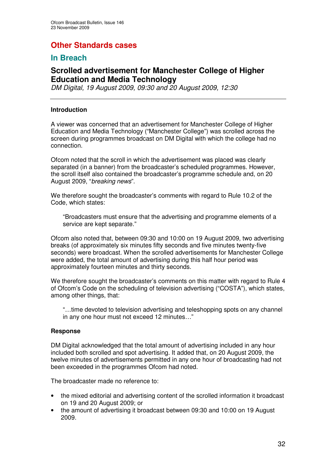# **Other Standards cases**

# **In Breach**

# **Scrolled advertisement for Manchester College of Higher Education and Media Technology**

*DM Digital, 19 August 2009, 09:30 and 20 August 2009, 12:30*

### **Introduction**

A viewer was concerned that an advertisement for Manchester College of Higher Education and Media Technology ("Manchester College") was scrolled across the screen during programmes broadcast on DM Digital with which the college had no connection.

Ofcom noted that the scroll in which the advertisement was placed was clearly separated (in a banner) from the broadcaster's scheduled programmes. However, the scroll itself also contained the broadcaster's programme schedule and, on 20 August 2009, "*breaking news*".

We therefore sought the broadcaster's comments with regard to Rule 10.2 of the Code, which states:

"Broadcasters must ensure that the advertising and programme elements of a service are kept separate."

Ofcom also noted that, between 09:30 and 10:00 on 19 August 2009, two advertising breaks (of approximately six minutes fifty seconds and five minutes twenty-five seconds) were broadcast. When the scrolled advertisements for Manchester College were added, the total amount of advertising during this half hour period was approximately fourteen minutes and thirty seconds.

We therefore sought the broadcaster's comments on this matter with regard to Rule 4 of Ofcom's Code on the scheduling of television advertising ("COSTA"), which states, among other things, that:

"…time devoted to television advertising and teleshopping spots on any channel in any one hour must not exceed 12 minutes…"

### **Response**

DM Digital acknowledged that the total amount of advertising included in any hour included both scrolled and spot advertising. It added that, on 20 August 2009, the twelve minutes of advertisements permitted in any one hour of broadcasting had not been exceeded in the programmes Ofcom had noted.

The broadcaster made no reference to:

- the mixed editorial and advertising content of the scrolled information it broadcast on 19 and 20 August 2009; or
- the amount of advertising it broadcast between 09:30 and 10:00 on 19 August 2009.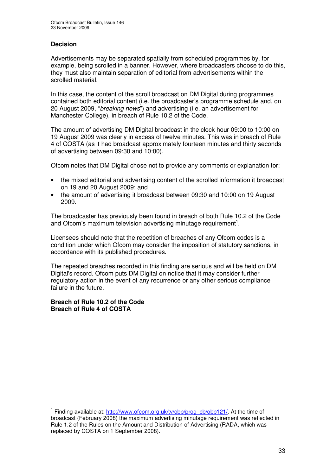### **Decision**

Advertisements may be separated spatially from scheduled programmes by, for example, being scrolled in a banner. However, where broadcasters choose to do this, they must also maintain separation of editorial from advertisements within the scrolled material.

In this case, the content of the scroll broadcast on DM Digital during programmes contained both editorial content (i.e. the broadcaster's programme schedule and, on 20 August 2009, "*breaking news*") and advertising (i.e. an advertisement for Manchester College), in breach of Rule 10.2 of the Code.

The amount of advertising DM Digital broadcast in the clock hour 09:00 to 10:00 on 19 August 2009 was clearly in excess of twelve minutes. This was in breach of Rule 4 of COSTA (as it had broadcast approximately fourteen minutes and thirty seconds of advertising between 09:30 and 10:00).

Ofcom notes that DM Digital chose not to provide any comments or explanation for:

- the mixed editorial and advertising content of the scrolled information it broadcast on 19 and 20 August 2009; and
- the amount of advertising it broadcast between 09:30 and 10:00 on 19 August 2009.

The broadcaster has previously been found in breach of both Rule 10.2 of the Code and Ofcom's maximum television advertising minutage requirement<sup>1</sup>.

Licensees should note that the repetition of breaches of any Ofcom codes is a condition under which Ofcom may consider the imposition of statutory sanctions, in accordance with its published procedures.

The repeated breaches recorded in this finding are serious and will be held on DM Digital's record. Ofcom puts DM Digital on notice that it may consider further regulatory action in the event of any recurrence or any other serious compliance failure in the future.

### **Breach of Rule 10.2 of the Code Breach of Rule 4 of COSTA**

<sup>&</sup>lt;sup>1</sup> Finding available at: http://www.ofcom.org.uk/tv/obb/prog\_cb/obb121/. At the time of broadcast (February 2008) the maximum advertising minutage requirement was reflected in Rule 1.2 of the Rules on the Amount and Distribution of Advertising (RADA, which was replaced by COSTA on 1 September 2008).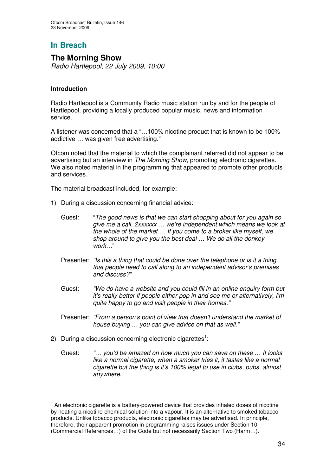# **The Morning Show**

*Radio Hartlepool, 22 July 2009, 10:00*

### **Introduction**

Radio Hartlepool is a Community Radio music station run by and for the people of Hartlepool, providing a locally produced popular music, news and information service.

A listener was concerned that a "…100% nicotine product that is known to be 100% addictive … was given free advertising."

Ofcom noted that the material to which the complainant referred did not appear to be advertising but an interview in *The Morning Show*, promoting electronic cigarettes. We also noted material in the programming that appeared to promote other products and services.

The material broadcast included, for example:

- 1) During a discussion concerning financial advice:
	- Guest: "*The good news is that we can start shopping about for you again so give me a call, 2xxxxxx … we're independent which means we look at the whole of the market … If you come to a broker like myself, we shop around to give you the best deal … We do all the donkey work…*"
	- Presenter: *"Is this a thing that could be done over the telephone or is it a thing that people need to call along to an independent advisor's premises and discuss?"*
	- Guest: *"We do have a website and you could fill in an online enquiry form but it's really better if people either pop in and see me or alternatively, I'm quite happy to go and visit people in their homes."*
	- Presenter: *"From a person's point of view that doesn't understand the market of house buying … you can give advice on that as well."*
- 2) During a discussion concerning electronic cigarettes<sup>1</sup>:
	- Guest: *"… you'd be amazed on how much you can save on these … It looks like a normal cigarette, when a smoker tries it, it tastes like a normal cigarette but the thing is it's 100% legal to use in clubs, pubs, almost anywhere."*

<sup>&</sup>lt;sup>1</sup> An electronic cigarette is a battery-powered device that provides inhaled doses of nicotine by heating a nicotine-chemical solution into a vapour. It is an alternative to smoked tobacco products. Unlike tobacco products, electronic cigarettes may be advertised. In principle, therefore, their apparent promotion in programming raises issues under Section 10 (Commercial References…) of the Code but not necessarily Section Two (Harm…).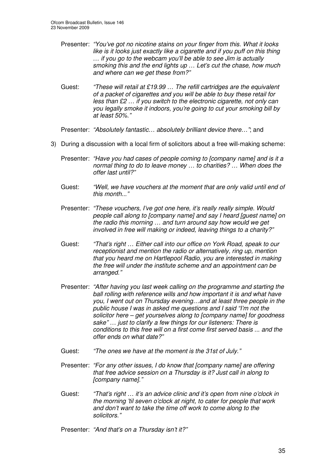- Presenter: *"You've got no nicotine stains on your finger from this. What it looks like is it looks just exactly like a cigarette and if you puff on this thing … if you go to the webcam you'll be able to see Jim is actually smoking this and the end lights up … Let's cut the chase, how much and where can we get these from?"*
- Guest: *"These will retail at £19.99 … The refill cartridges are the equivalent of a packet of cigarettes and you will be able to buy these retail for less than £2 … if you switch to the electronic cigarette, not only can you legally smoke it indoors, you're going to cut your smoking bill by at least 50%."*

Presenter: *"Absolutely fantastic… absolutely brilliant device there…"*; and

- 3) During a discussion with a local firm of solicitors about a free will-making scheme:
	- Presenter: *"Have you had cases of people coming to [company name] and is it a normal thing to do to leave money … to charities? … When does the offer last until?"*
	- Guest: *"Well, we have vouchers at the moment that are only valid until end of this month..."*
	- Presenter: *"These vouchers, I've got one here, it's really really simple. Would people call along to [company name] and say I heard [guest name] on the radio this morning … and turn around say how would we get involved in free will making or indeed, leaving things to a charity?"*
	- Guest: *"That's right … Either call into our office on York Road, speak to our receptionist and mention the radio or alternatively, ring up, mention that you heard me on Hartlepool Radio, you are interested in making the free will under the institute scheme and an appointment can be arranged."*
	- Presenter: *"After having you last week calling on the programme and starting the ball rolling with reference wills and how important it is and what have you, I went out on Thursday evening…and at least three people in the public house I was in asked me questions and I said "I'm not the solicitor here – get yourselves along to [company name] for goodness sake" … just to clarify a few things for our listeners: There is conditions to this free will on a first come first served basis ... and the offer ends on what date?"*
	- Guest: *"The ones we have at the moment is the 31st of July."*
	- Presenter: *"For any other issues, I do know that [company name] are offering that free advice session on a Thursday is it? Just call in along to [company name]."*
	- Guest: *"That's right … it's an advice clinic and it's open from nine o'clock in the morning 'til seven o'clock at night, to cater for people that work and don't want to take the time off work to come along to the solicitors."*
	- Presenter: *"And that's on a Thursday isn't it?"*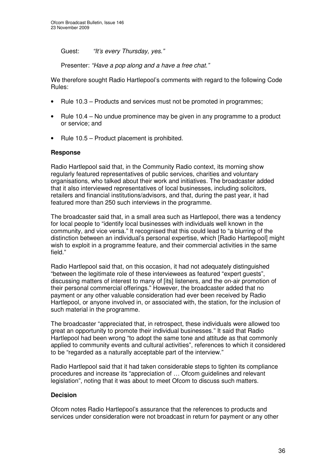Guest: *"It's every Thursday, yes."*

Presenter: *"Have a pop along and a have a free chat."*

We therefore sought Radio Hartlepool's comments with regard to the following Code Rules:

- Rule 10.3 Products and services must not be promoted in programmes;
- Rule 10.4 No undue prominence may be given in any programme to a product or service; and
- Rule 10.5 Product placement is prohibited.

### **Response**

Radio Hartlepool said that, in the Community Radio context, its morning show regularly featured representatives of public services, charities and voluntary organisations, who talked about their work and initiatives. The broadcaster added that it also interviewed representatives of local businesses, including solicitors, retailers and financial institutions/advisors, and that, during the past year, it had featured more than 250 such interviews in the programme.

The broadcaster said that, in a small area such as Hartlepool, there was a tendency for local people to "identify local businesses with individuals well known in the community, and vice versa." It recognised that this could lead to "a blurring of the distinction between an individual's personal expertise, which [Radio Hartlepool] might wish to exploit in a programme feature, and their commercial activities in the same field."

Radio Hartlepool said that, on this occasion, it had not adequately distinguished "between the legitimate role of these interviewees as featured "expert guests", discussing matters of interest to many of [its] listeners, and the on-air promotion of their personal commercial offerings." However, the broadcaster added that no payment or any other valuable consideration had ever been received by Radio Hartlepool, or anyone involved in, or associated with, the station, for the inclusion of such material in the programme.

The broadcaster "appreciated that, in retrospect, these individuals were allowed too great an opportunity to promote their individual businesses." It said that Radio Hartlepool had been wrong "to adopt the same tone and attitude as that commonly applied to community events and cultural activities", references to which it considered to be "regarded as a naturally acceptable part of the interview."

Radio Hartlepool said that it had taken considerable steps to tighten its compliance procedures and increase its "appreciation of … Ofcom guidelines and relevant legislation", noting that it was about to meet Ofcom to discuss such matters.

### **Decision**

Ofcom notes Radio Hartlepool's assurance that the references to products and services under consideration were not broadcast in return for payment or any other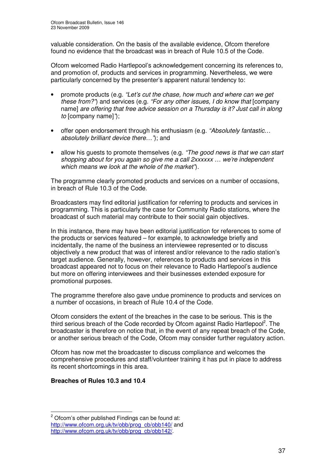valuable consideration. On the basis of the available evidence, Ofcom therefore found no evidence that the broadcast was in breach of Rule 10.5 of the Code.

Ofcom welcomed Radio Hartlepool's acknowledgement concerning its references to, and promotion of, products and services in programming. Nevertheless, we were particularly concerned by the presenter's apparent natural tendency to:

- promote products (e.g. *"Let's cut the chase, how much and where can we get these from?"*) and services (e.g. *"For any other issues, I do know that* [company name] *are offering that free advice session on a Thursday is it? Just call in along to* [company name]*"*);
- offer open endorsement through his enthusiasm (e.g. *"Absolutely fantastic… absolutely brilliant device there…"*); and
- allow his guests to promote themselves (e.g. *"The good news is that we can start shopping about for you again so give me a call 2xxxxxx … we're independent which means we look at the whole of the market"*).

The programme clearly promoted products and services on a number of occasions, in breach of Rule 10.3 of the Code.

Broadcasters may find editorial justification for referring to products and services in programming. This is particularly the case for Community Radio stations, where the broadcast of such material may contribute to their social gain objectives.

In this instance, there may have been editorial justification for references to some of the products or services featured – for example, to acknowledge briefly and incidentally, the name of the business an interviewee represented or to discuss objectively a new product that was of interest and/or relevance to the radio station's target audience. Generally, however, references to products and services in this broadcast appeared not to focus on their relevance to Radio Hartlepool's audience but more on offering interviewees and their businesses extended exposure for promotional purposes.

The programme therefore also gave undue prominence to products and services on a number of occasions, in breach of Rule 10.4 of the Code.

Ofcom considers the extent of the breaches in the case to be serious. This is the third serious breach of the Code recorded by Ofcom against Radio Hartlepool<sup>2</sup>. The broadcaster is therefore on notice that, in the event of any repeat breach of the Code, or another serious breach of the Code, Ofcom may consider further regulatory action.

Ofcom has now met the broadcaster to discuss compliance and welcomes the comprehensive procedures and staff/volunteer training it has put in place to address its recent shortcomings in this area.

## **Breaches of Rules 10.3 and 10.4**

 $2$  Ofcom's other published Findings can be found at: http://www.ofcom.org.uk/tv/obb/prog\_cb/obb140/ and http://www.ofcom.org.uk/tv/obb/prog\_cb/obb142/.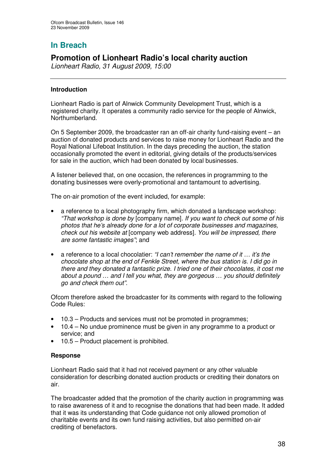## **In Breach**

## **Promotion of Lionheart Radio's local charity auction**

*Lionheart Radio, 31 August 2009, 15:00*

## **Introduction**

Lionheart Radio is part of Alnwick Community Development Trust, which is a registered charity. It operates a community radio service for the people of Alnwick, Northumberland.

On 5 September 2009, the broadcaster ran an off-air charity fund-raising event – an auction of donated products and services to raise money for Lionheart Radio and the Royal National Lifeboat Institution. In the days preceding the auction, the station occasionally promoted the event in editorial, giving details of the products/services for sale in the auction, which had been donated by local businesses.

A listener believed that, on one occasion, the references in programming to the donating businesses were overly-promotional and tantamount to advertising.

The on-air promotion of the event included, for example:

- a reference to a local photography firm, which donated a landscape workshop: *"That workshop is done by* [company name]*. If you want to check out some of his photos that he's already done for a lot of corporate businesses and magazines, check out his website at* [company web address]*. You will be impressed, there are some fantastic images"*; and
- a reference to a local chocolatier: *"I can't remember the name of it … it's the chocolate shop at the end of Fenkle Street, where the bus station is. I did go in there and they donated a fantastic prize. I tried one of their chocolates, it cost me about a pound … and I tell you what, they are gorgeous … you should definitely go and check them out"*.

Ofcom therefore asked the broadcaster for its comments with regard to the following Code Rules:

- 10.3 Products and services must not be promoted in programmes:
- 10.4 No undue prominence must be given in any programme to a product or service; and
- 10.5 Product placement is prohibited.

### **Response**

Lionheart Radio said that it had not received payment or any other valuable consideration for describing donated auction products or crediting their donators on air.

The broadcaster added that the promotion of the charity auction in programming was to raise awareness of it and to recognise the donations that had been made. It added that it was its understanding that Code guidance not only allowed promotion of charitable events and its own fund raising activities, but also permitted on-air crediting of benefactors.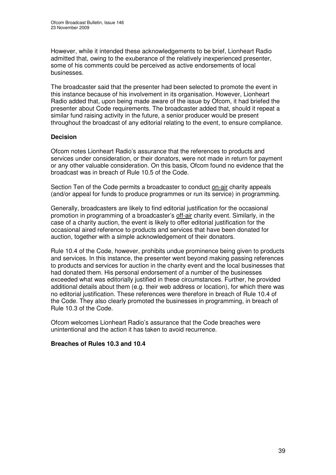However, while it intended these acknowledgements to be brief, Lionheart Radio admitted that, owing to the exuberance of the relatively inexperienced presenter, some of his comments could be perceived as active endorsements of local businesses.

The broadcaster said that the presenter had been selected to promote the event in this instance because of his involvement in its organisation. However, Lionheart Radio added that, upon being made aware of the issue by Ofcom, it had briefed the presenter about Code requirements. The broadcaster added that, should it repeat a similar fund raising activity in the future, a senior producer would be present throughout the broadcast of any editorial relating to the event, to ensure compliance.

## **Decision**

Ofcom notes Lionheart Radio's assurance that the references to products and services under consideration, or their donators, were not made in return for payment or any other valuable consideration. On this basis, Ofcom found no evidence that the broadcast was in breach of Rule 10.5 of the Code.

Section Ten of the Code permits a broadcaster to conduct on-air charity appeals (and/or appeal for funds to produce programmes or run its service) in programming.

Generally, broadcasters are likely to find editorial justification for the occasional promotion in programming of a broadcaster's off-air charity event. Similarly, in the case of a charity auction, the event is likely to offer editorial justification for the occasional aired reference to products and services that have been donated for auction, together with a simple acknowledgement of their donators.

Rule 10.4 of the Code, however, prohibits undue prominence being given to products and services. In this instance, the presenter went beyond making passing references to products and services for auction in the charity event and the local businesses that had donated them. His personal endorsement of a number of the businesses exceeded what was editorially justified in these circumstances. Further, he provided additional details about them (e.g. their web address or location), for which there was no editorial justification. These references were therefore in breach of Rule 10.4 of the Code. They also clearly promoted the businesses in programming, in breach of Rule 10.3 of the Code.

Ofcom welcomes Lionheart Radio's assurance that the Code breaches were unintentional and the action it has taken to avoid recurrence.

### **Breaches of Rules 10.3 and 10.4**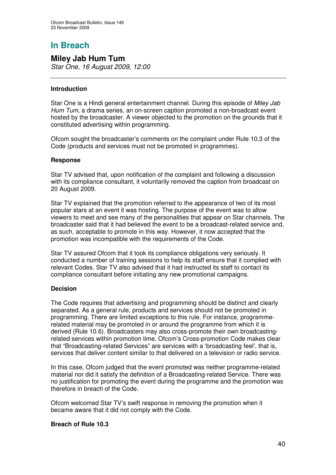# **In Breach**

## **Miley Jab Hum Tum**

*Star One, 16 August 2009, 12:00*

## **Introduction**

Star One is a Hindi general entertainment channel. During this episode of *Miley Jab Hum Tum*, a drama series, an on-screen caption promoted a non-broadcast event hosted by the broadcaster. A viewer objected to the promotion on the grounds that it constituted advertising within programming.

Ofcom sought the broadcaster's comments on the complaint under Rule 10.3 of the Code (products and services must not be promoted in programmes).

### **Response**

Star TV advised that, upon notification of the complaint and following a discussion with its compliance consultant, it voluntarily removed the caption from broadcast on 20 August 2009.

Star TV explained that the promotion referred to the appearance of two of its most popular stars at an event it was hosting. The purpose of the event was to allow viewers to meet and see many of the personalities that appear on Star channels. The broadcaster said that it had believed the event to be a broadcast-related service and, as such, acceptable to promote in this way. However, it now accepted that the promotion was incompatible with the requirements of the Code.

Star TV assured Ofcom that it took its compliance obligations very seriously. It conducted a number of training sessions to help its staff ensure that it complied with relevant Codes. Star TV also advised that it had instructed its staff to contact its compliance consultant before initiating any new promotional campaigns.

## **Decision**

The Code requires that advertising and programming should be distinct and clearly separated. As a general rule, products and services should not be promoted in programming. There are limited exceptions to this rule. For instance, programmerelated material may be promoted in or around the programme from which it is derived (Rule 10.6). Broadcasters may also cross-promote their own broadcastingrelated services within promotion time. Ofcom's Cross-promotion Code makes clear that "Broadcasting-related Services" are services with a 'broadcasting feel', that is, services that deliver content similar to that delivered on a television or radio service.

In this case, Ofcom judged that the event promoted was neither programme-related material nor did it satisfy the definition of a Broadcasting-related Service. There was no justification for promoting the event during the programme and the promotion was therefore in breach of the Code.

Ofcom welcomed Star TV's swift response in removing the promotion when it became aware that it did not comply with the Code.

### **Breach of Rule 10.3**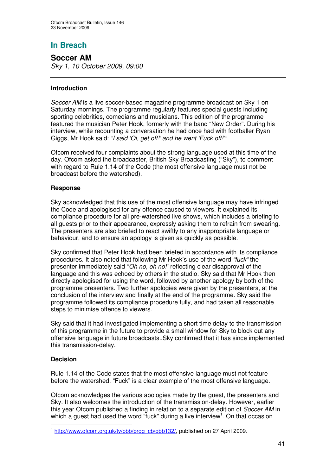## **In Breach**

**Soccer AM** *Sky 1, 10 October 2009, 09:00*

## **Introduction**

*Soccer AM* is a live soccer-based magazine programme broadcast on Sky 1 on Saturday mornings. The programme regularly features special guests including sporting celebrities, comedians and musicians. This edition of the programme featured the musician Peter Hook, formerly with the band "New Order". During his interview, while recounting a conversation he had once had with footballer Ryan Giggs, Mr Hook said: *"I said 'Oi, get off!' and he went 'Fuck off!'"*

Ofcom received four complaints about the strong language used at this time of the day. Ofcom asked the broadcaster, British Sky Broadcasting ("Sky"), to comment with regard to Rule 1.14 of the Code (the most offensive language must not be broadcast before the watershed).

### **Response**

Sky acknowledged that this use of the most offensive language may have infringed the Code and apologised for any offence caused to viewers. It explained its compliance procedure for all pre-watershed live shows, which includes a briefing to all guests prior to their appearance, expressly asking them to refrain from swearing. The presenters are also briefed to react swiftly to any inappropriate language or behaviour, and to ensure an apology is given as quickly as possible.

Sky confirmed that Peter Hook had been briefed in accordance with its compliance procedures. It also noted that following Mr Hook's use of the word *"fuck"* the presenter immediately said "*Oh no, oh no!*" reflecting clear disapproval of the language and this was echoed by others in the studio. Sky said that Mr Hook then directly apologised for using the word, followed by another apology by both of the programme presenters. Two further apologies were given by the presenters, at the conclusion of the interview and finally at the end of the programme. Sky said the programme followed its compliance procedure fully, and had taken all reasonable steps to minimise offence to viewers.

Sky said that it had investigated implementing a short time delay to the transmission of this programme in the future to provide a small window for Sky to block out any offensive language in future broadcasts..Sky confirmed that it has since implemented this transmission-delay.

### **Decision**

Rule 1.14 of the Code states that the most offensive language must not feature before the watershed. "Fuck" is a clear example of the most offensive language.

Ofcom acknowledges the various apologies made by the guest, the presenters and Sky. It also welcomes the introduction of the transmission-delay. However, earlier this year Ofcom published a finding in relation to a separate edition of *Soccer AM* in which a guest had used the word "fuck" during a live interview<sup>1</sup>. On that occasion

<sup>1</sup> http://www.ofcom.org.uk/tv/obb/prog\_cb/obb132/, published on 27 April 2009.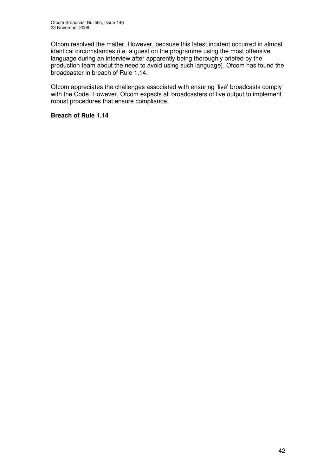Ofcom resolved the matter. However, because this latest incident occurred in almost identical circumstances (i.e. a guest on the programme using the most offensive language during an interview after apparently being thoroughly briefed by the production team about the need to avoid using such language), Ofcom has found the broadcaster in breach of Rule 1.14.

Ofcom appreciates the challenges associated with ensuring 'live' broadcasts comply with the Code. However, Ofcom expects all broadcasters of live output to implement robust procedures that ensure compliance.

## **Breach of Rule 1.14**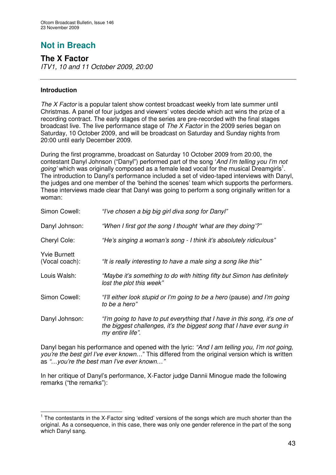# **Not in Breach**

## **The X Factor**

*ITV1, 10 and 11 October 2009, 20:00*

## **Introduction**

*The X Factor* is a popular talent show contest broadcast weekly from late summer until Christmas. A panel of four judges and viewers' votes decide which act wins the prize of a recording contract. The early stages of the series are pre-recorded with the final stages broadcast live. The live performance stage of *The X Factor* in the 2009 series began on Saturday, 10 October 2009, and will be broadcast on Saturday and Sunday nights from 20:00 until early December 2009.

During the first programme, broadcast on Saturday 10 October 2009 from 20:00, the contestant Danyl Johnson ("Danyl") performed part of the song '*And I'm telling you I'm not* going' which was originally composed as a female lead vocal for the musical Dreamgirls<sup>1</sup>. The introduction to Danyl's performance included a set of video-taped interviews with Danyl, the judges and one member of the 'behind the scenes' team which supports the performers. These interviews made clear that Danyl was going to perform a song originally written for a woman:

| Simon Cowell:                         | "I've chosen a big big girl diva song for Danyl"                                                                                                                         |
|---------------------------------------|--------------------------------------------------------------------------------------------------------------------------------------------------------------------------|
| Danyl Johnson:                        | "When I first got the song I thought 'what are they doing'?"                                                                                                             |
| Cheryl Cole:                          | "He's singing a woman's song - I think it's absolutely ridiculous"                                                                                                       |
| <b>Yvie Burnett</b><br>(Vocal coach): | "It is really interesting to have a male sing a song like this"                                                                                                          |
| Louis Walsh:                          | "Maybe it's something to do with hitting fifty but Simon has definitely<br>lost the plot this week"                                                                      |
| Simon Cowell:                         | "I'll either look stupid or I'm going to be a hero (pause) and I'm going<br>to be a hero"                                                                                |
| Danyl Johnson:                        | "I'm going to have to put everything that I have in this song, it's one of<br>the biggest challenges, it's the biggest song that I have ever sung in<br>my entire life". |

Danyl began his performance and opened with the lyric: *"And I am telling you, I'm not going, you're the best girl I've ever known…*" This differed from the original version which is written as *"…you're the best man I've ever known…"*

In her critique of Danyl's performance, X-Factor judge Dannii Minogue made the following remarks ("the remarks"):

<sup>&</sup>lt;sup>1</sup> The contestants in the X-Factor sing 'edited' versions of the songs which are much shorter than the original. As a consequence, in this case, there was only one gender reference in the part of the song which Danyl sang.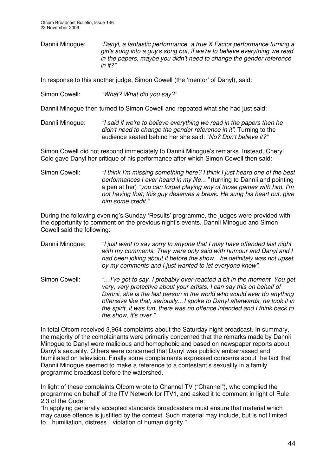Dannii Minogue: *"Danyl, a fantastic performance, a true X Factor performance turning a girl's song into a guy's song but, if we're to believe everything we read in the papers, maybe you didn't need to change the gender reference in it?"*

In response to this another judge, Simon Cowell (the 'mentor' of Danyl), said:

Simon Cowell: *"What? What did you say?"*

Dannii Minogue then turned to Simon Cowell and repeated what she had just said:

Dannii Minogue: *"I said if we're to believe everything we read in the papers then he didn't need to change the gender reference in it".* Turning to the audience seated behind her she said: *"No? Don't believe it?"*

Simon Cowell did not respond immediately to Dannii Minogue's remarks. Instead, Cheryl Cole gave Danyl her critique of his performance after which Simon Cowell then said:

Simon Cowell: *"I think I'm missing something here? I think I just heard one of the best performances I ever heard in my life…"* (turning to Dannii and pointing a pen at her) *"you can forget playing any of those games with him, I'm not having that, this guy deserves a break. He sung his heart out, give him some credit."*

During the following evening's Sunday 'Results' programme, the judges were provided with the opportunity to comment on the previous night's events. Dannii Minogue and Simon Cowell said the following:

Dannii Minogue: *"I just want to say sorry to anyone that I may have offended last night with my comments. They were only said with humour and Danyl and I had been joking about it before the show…he definitely was not upset by my comments and I just wanted to let everyone know".*

Simon Cowell: *"…I've got to say, I probably over-reacted a bit in the moment. You get very, very protective about your artists. I can say this on behalf of Dannii, she is the last person in the world who would ever do anything offensive like that, seriously…I spoke to Danyl afterwards, he took it in the spirit, it was fun, there was no offence intended and I think back to the show, it's over."*

In total Ofcom received 3,964 complaints about the Saturday night broadcast. In summary, the majority of the complainants were primarily concerned that the remarks made by Dannii Minogue to Danyl were malicious and homophobic and based on newspaper reports about Danyl's sexuality. Others were concerned that Danyl was publicly embarrassed and humiliated on television. Finally some complainants expressed concerns about the fact that Dannii Minogue seemed to make a reference to a contestant's sexuality in a family programme broadcast before the watershed.

In light of these complaints Ofcom wrote to Channel TV ("Channel"), who complied the programme on behalf of the ITV Network for ITV1, and asked it to comment in light of Rule 2.3 of the Code:

"In applying generally accepted standards broadcasters must ensure that material which may cause offence is justified by the context. Such material may include, but is not limited to…humiliation, distress…violation of human dignity."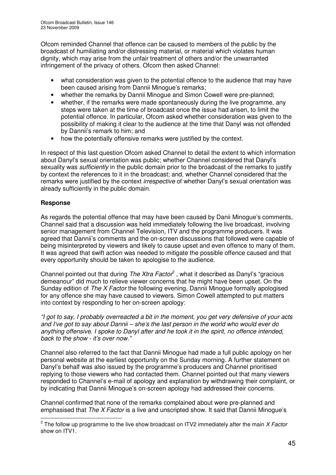Ofcom reminded Channel that offence can be caused to members of the public by the broadcast of humiliating and/or distressing material, or material which violates human dignity, which may arise from the unfair treatment of others and/or the unwarranted infringement of the privacy of others. Ofcom then asked Channel:

- what consideration was given to the potential offence to the audience that may have been caused arising from Dannii Minogue's remarks;
- whether the remarks by Dannii Minogue and Simon Cowell were pre-planned;
- whether, if the remarks were made spontaneously during the live programme, any steps were taken at the time of broadcast once the issue had arisen, to limit the potential offence. In particular, Ofcom asked whether consideration was given to the possibility of making it clear to the audience at the time that Danyl was not offended by Dannii's remark to him; and
- how the potentially offensive remarks were justified by the context.

In respect of this last question Ofcom asked Channel to detail the extent to which information about Danyl's sexual orientation was public; whether Channel considered that Danyl's sexuality was *sufficiently* in the public domain prior to the broadcast of the remarks to justify by context the references to it in the broadcast; and, whether Channel considered that the remarks were justified by the context *irrespective* of whether Danyl's sexual orientation was already sufficiently in the public domain.

## **Response**

As regards the potential offence that may have been caused by Danii Minogue's comments, Channel said that a discussion was held immediately following the live broadcast, involving senior management from Channel Television, ITV and the programme producers. It was agreed that Dannii's comments and the on-screen discussions that followed were capable of being misinterpreted by viewers and likely to cause upset and even offence to many of them. It was agreed that swift action was needed to mitigate the possible offence caused and that every opportunity should be taken to apologise to the audience.

Channel pointed out that during *The Xtra Factor* 2 , what it described as Danyl's "gracious demeanour" did much to relieve viewer concerns that he might have been upset. On the Sunday edition of *The X Factor* the following evening, Dannii Minogue formally apologised for any offence she may have caused to viewers. Simon Cowell attempted to put matters into context by responding to her on-screen apology:

"I got to say, I probably overreacted a bit in the moment, you get very defensive of your acts *and I've got to say about Dannii – she's the last person in the world who would ever do anything offensive. I spoke to Danyl after and he took it in the spirit, no offence intended, back to the show - it's over now."*

Channel also referred to the fact that Dannii Minogue had made a full public apology on her personal website at the earliest opportunity on the Sunday morning. A further statement on Danyl's behalf was also issued by the programme's producers and Channel prioritised replying to those viewers who had contacted them. Channel pointed out that many viewers responded to Channel's e-mail of apology and explanation by withdrawing their complaint, or by indicating that Dannii Minogue's on-screen apology had addressed their concerns.

Channel confirmed that none of the remarks complained about were pre-planned and emphasised that *The X Factor* is a live and unscripted show. It said that Dannii Minogue's

<sup>2</sup> The follow up programme to the live show broadcast on ITV2 immediately after the main *X Factor* show on ITV1.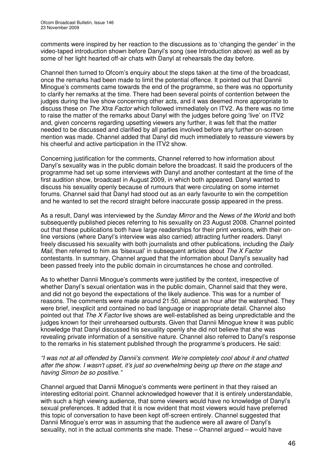comments were inspired by her reaction to the discussions as to 'changing the gender' in the video-taped introduction shown before Danyl's song (see Introduction above) as well as by some of her light hearted off-air chats with Danyl at rehearsals the day before.

Channel then turned to Ofcom's enquiry about the steps taken at the time of the broadcast, once the remarks had been made to limit the potential offence. It pointed out that Dannii Minogue's comments came towards the end of the programme, so there was no opportunity to clarify her remarks at the time. There had been several points of contention between the judges during the live show concerning other acts, and it was deemed more appropriate to discuss these on *The Xtra Factor* which followed immediately on ITV2. As there was no time to raise the matter of the remarks about Danyl with the judges before going 'live' on ITV2 and, given concerns regarding upsetting viewers any further, it was felt that the matter needed to be discussed and clarified by all parties involved before any further on-screen mention was made. Channel added that Danyl did much immediately to reassure viewers by his cheerful and active participation in the ITV2 show.

Concerning justification for the comments, Channel referred to how information about Danyl's sexuality was in the public domain before the broadcast. It said the producers of the programme had set up some interviews with Danyl and another contestant at the time of the first audition show, broadcast in August 2009, in which both appeared. Danyl wanted to discuss his sexuality openly because of rumours that were circulating on some internet forums. Channel said that Danyl had stood out as an early favourite to win the competition and he wanted to set the record straight before inaccurate gossip appeared in the press.

As a result, Danyl was interviewed by the *Sunday Mirror* and the *News of the World* and both subsequently published pieces referring to his sexuality on 23 August 2008. Channel pointed out that these publications both have large readerships for their print versions, with their online versions (where Danyl's interview was also carried) attracting further readers. Danyl freely discussed his sexuality with both journalists and other publications, including the *Daily Mail,* then referred to him as 'bisexual' in subsequent articles about *The X Factor* contestants. In summary, Channel argued that the information about Danyl's sexuality had been passed freely into the public domain in circumstances he chose and controlled.

As to whether Dannii Minogue's comments were justified by the context, irrespective of whether Danyl's sexual orientation was in the public domain, Channel said that they were, and did not go beyond the expectations of the likely audience. This was for a number of reasons. The comments were made around 21:50, almost an hour after the watershed. They were brief, inexplicit and contained no bad language or inappropriate detail. Channel also pointed out that *The X Factor* live shows are well-established as being unpredictable and the judges known for their unrehearsed outbursts. Given that Dannii Minogue knew it was public knowledge that Danyl discussed his sexuality openly she did not believe that she was revealing private information of a sensitive nature. Channel also referred to Danyl's response to the remarks in his statement published through the programme's producers. He said:

*"I was not at all offended by Dannii's comment. We're completely cool about it and chatted after the show. I wasn't upset, it's just so overwhelming being up there on the stage and having Simon be so positive*.*"*

Channel argued that Dannii Minogue's comments were pertinent in that they raised an interesting editorial point. Channel acknowledged however that it is entirely understandable, with such a high viewing audience, that some viewers would have no knowledge of Danyl's sexual preferences. It added that it is now evident that most viewers would have preferred this topic of conversation to have been kept off-screen entirely. Channel suggested that Dannii Minogue's error was in assuming that the audience were all aware of Danyl's sexuality, not in the actual comments she made. These – Channel argued – would have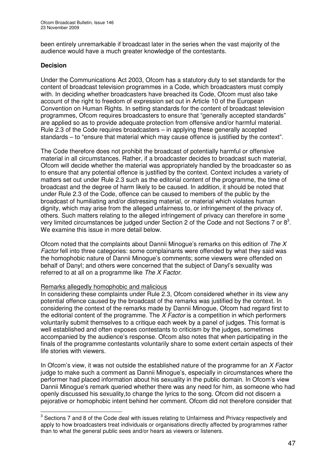been entirely unremarkable if broadcast later in the series when the vast majority of the audience would have a much greater knowledge of the contestants.

## **Decision**

Under the Communications Act 2003, Ofcom has a statutory duty to set standards for the content of broadcast television programmes in a Code, which broadcasters must comply with. In deciding whether broadcasters have breached its Code, Ofcom must also take account of the right to freedom of expression set out in Article 10 of the European Convention on Human Rights. In setting standards for the content of broadcast television programmes, Ofcom requires broadcasters to ensure that "generally accepted standards" are applied so as to provide adequate protection from offensive and/or harmful material. Rule 2.3 of the Code requires broadcasters – in applying these generally accepted standards – to "ensure that material which may cause offence is justified by the context".

The Code therefore does not prohibit the broadcast of potentially harmful or offensive material in all circumstances. Rather, if a broadcaster decides to broadcast such material, Ofcom will decide whether the material was appropriately handled by the broadcaster so as to ensure that any potential offence is justified by the context. Context includes a variety of matters set out under Rule 2.3 such as the editorial content of the programme, the time of broadcast and the degree of harm likely to be caused. In addition, it should be noted that under Rule 2.3 of the Code, offence can be caused to members of the public by the broadcast of humiliating and/or distressing material, or material which violates human dignity, which may arise from the alleged unfairness to, or infringement of the privacy of, others. Such matters relating to the alleged infringement of privacy can therefore in some very limited circumstances be judged under Section 2 of the Code and not Sections 7 or  $8^3$ . We examine this issue in more detail below.

Ofcom noted that the complaints about Dannii Minogue's remarks on this edition of *The X Factor* fell into three categories: some complainants were offended by what they said was the homophobic nature of Dannii Minogue's comments; some viewers were offended on behalf of Danyl; and others were concerned that the subject of Danyl's sexuality was referred to at all on a programme like *The X Factor*.

### Remarks allegedly homophobic and malicious

In considering these complaints under Rule 2.3, Ofcom considered whether in its view any potential offence caused by the broadcast of the remarks was justified by the context. In considering the context of the remarks made by Dannii Minogue, Ofcom had regard first to the editorial content of the programme. The *X Factor* is a competition in which performers voluntarily submit themselves to a critique each week by a panel of judges. This format is well established and often exposes contestants to criticism by the judges, sometimes accompanied by the audience's response. Ofcom also notes that when participating in the finals of the programme contestants voluntarily share to some extent certain aspects of their life stories with viewers.

In Ofcom's view, it was not outside the established nature of the programme for an *X Factor* judge to make such a comment as Dannii Minogue's, especially in circumstances where the performer had placed information about his sexuality in the public domain. In Ofcom's view Dannii Minogue's remark queried whether there was any need for him, as someone who had openly discussed his sexuality,to change the lyrics to the song. Ofcom did not discern a pejorative or homophobic intent behind her comment. Ofcom did not therefore consider that

 $^3$  Sections 7 and 8 of the Code deal with issues relating to Unfairness and Privacy respectively and apply to how broadcasters treat individuals or organisations directly affected by programmes rather than to what the general public sees and/or hears as viewers or listeners.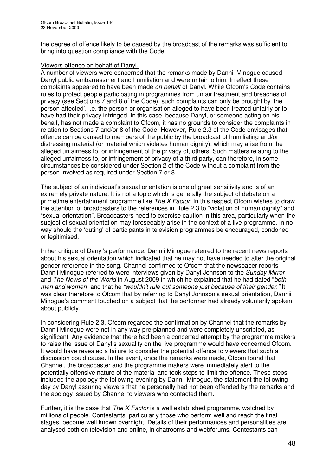the degree of offence likely to be caused by the broadcast of the remarks was sufficient to bring into question compliance with the Code.

#### Viewers offence on behalf of Danyl.

A number of viewers were concerned that the remarks made by Dannii Minogue caused Danyl public embarrassment and humiliation and were unfair to him. In effect these complaints appeared to have been made *on behalf* of Danyl. While Ofcom's Code contains rules to protect people participating in programmes from unfair treatment and breaches of privacy (see Sections 7 and 8 of the Code), such complaints can only be brought by 'the person affected', i.e. the person or organisation alleged to have been treated unfairly or to have had their privacy infringed. In this case, because Danyl, or someone acting on his behalf, has not made a complaint to Ofcom, it has no grounds to consider the complaints in relation to Sections 7 and/or 8 of the Code. However, Rule 2.3 of the Code envisages that offence can be caused to members of the public by the broadcast of humiliating and/or distressing material (or material which violates human dignity), which may arise from the alleged unfairness to, or infringement of the privacy of, others. Such matters relating to the alleged unfairness to, or infringement of privacy of a third party, can therefore, in some circumstances be considered under Section 2 of the Code without a complaint from the person involved as required under Section 7 or 8.

The subject of an individual's sexual orientation is one of great sensitivity and is of an extremely private nature. It is not a topic which is generally the subject of debate on a primetime entertainment programme like *The X Factor.* In this respect Ofcom wishes to draw the attention of broadcasters to the references in Rule 2.3 to "violation of human dignity" and "sexual orientation". Broadcasters need to exercise caution in this area, particularly when the subject of sexual orientation may foreseeably arise in the context of a live programme*.* In no way should the 'outing' of participants in television programmes be encouraged, condoned or legitimised.

In her critique of Danyl's performance, Dannii Minogue referred to the recent news reports about his sexual orientation which indicated that he may not have needed to alter the original gender reference in the song. Channel confirmed to Ofcom that the newspaper reports Dannii Minogue referred to were interviews given by Danyl Johnson to the *Sunday Mirror* and *The News of the World* in August 2009 in which he explained that he had dated "*both men and women*" and that he *"wouldn't rule out someone just because of their gender."* It was clear therefore to Ofcom that by referring to Danyl Johnson's sexual orientation, Dannii Minogue's comment touched on a subject that the performer had already voluntarily spoken about publicly.

In considering Rule 2.3, Ofcom regarded the confirmation by Channel that the remarks by Dannii Minogue were not in any way pre-planned and were completely unscripted, as significant. Any evidence that there had been a concerted attempt by the programme makers to raise the issue of Danyl's sexuality on the live programme would have concerned Ofcom. It would have revealed a failure to consider the potential offence to viewers that such a discussion could cause. In the event, once the remarks were made, Ofcom found that Channel, the broadcaster and the programme makers were immediately alert to the potentially offensive nature of the material and took steps to limit the offence. These steps included the apology the following evening by Dannii Minogue, the statement the following day by Danyl assuring viewers that he personally had not been offended by the remarks and the apology issued by Channel to viewers who contacted them.

Further, it is the case that *The X Factor* is a well established programme, watched by millions of people. Contestants, particularly those who perform well and reach the final stages, become well known overnight. Details of their performances and personalities are analysed both on television and online, in chatrooms and webforums. Contestants can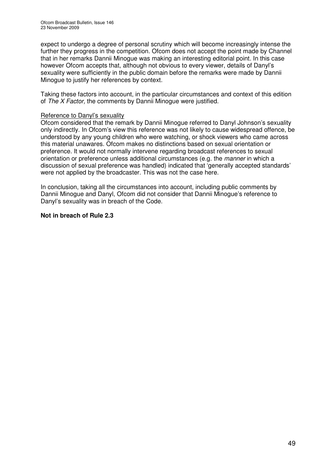expect to undergo a degree of personal scrutiny which will become increasingly intense the further they progress in the competition. Ofcom does not accept the point made by Channel that in her remarks Dannii Minogue was making an interesting editorial point. In this case however Ofcom accepts that, although not obvious to every viewer, details of Danyl's sexuality were sufficiently in the public domain before the remarks were made by Dannii Minogue to justify her references by context.

Taking these factors into account, in the particular circumstances and context of this edition of *The X Factor,* the comments by Dannii Minogue were justified.

#### Reference to Danyl's sexuality

Ofcom considered that the remark by Dannii Minogue referred to Danyl Johnson's sexuality only indirectly. In Ofcom's view this reference was not likely to cause widespread offence, be understood by any young children who were watching, or shock viewers who came across this material unawares. Ofcom makes no distinctions based on sexual orientation or preference. It would not normally intervene regarding broadcast references to sexual orientation or preference unless additional circumstances (e.g. the *manner* in which a discussion of sexual preference was handled) indicated that 'generally accepted standards' were not applied by the broadcaster. This was not the case here.

In conclusion, taking all the circumstances into account, including public comments by Dannii Minogue and Danyl, Ofcom did not consider that Dannii Minogue's reference to Danyl's sexuality was in breach of the Code.

#### **Not in breach of Rule 2.3**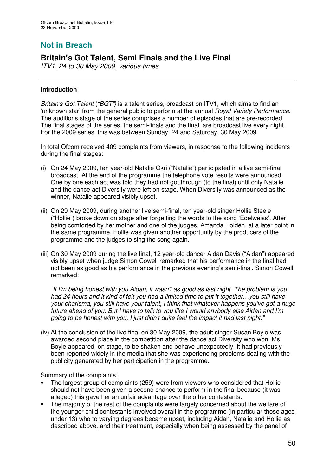# **Not in Breach**

# **Britain's Got Talent, Semi Finals and the Live Final**

*ITV1, 24 to 30 May 2009, various times*

## **Introduction**

*Britain's Got Talent* (*"BGT")* is a talent series, broadcast on ITV1, which aims to find an 'unknown star' from the general public to perform at the annual *Royal Variety Performance*. The auditions stage of the series comprises a number of episodes that are pre-recorded. The final stages of the series, the semi-finals and the final, are broadcast live every night. For the 2009 series, this was between Sunday, 24 and Saturday, 30 May 2009.

In total Ofcom received 409 complaints from viewers, in response to the following incidents during the final stages:

- (i) On 24 May 2009, ten year-old Natalie Okri ("Natalie") participated in a live semi-final broadcast. At the end of the programme the telephone vote results were announced. One by one each act was told they had not got through (to the final) until only Natalie and the dance act Diversity were left on stage. When Diversity was announced as the winner, Natalie appeared visibly upset.
- (ii) On 29 May 2009, during another live semi-final, ten year-old singer Hollie Steele ("Hollie") broke down on stage after forgetting the words to the song 'Edelweiss'. After being comforted by her mother and one of the judges, Amanda Holden, at a later point in the same programme, Hollie was given another opportunity by the producers of the programme and the judges to sing the song again.
- (iii) On 30 May 2009 during the live final, 12 year-old dancer Aidan Davis ("Aidan") appeared visibly upset when judge Simon Cowell remarked that his performance in the final had not been as good as his performance in the previous evening's semi-final. Simon Cowell remarked:

*"If I'm being honest with you Aidan, it wasn't as good as last night. The problem is you had 24 hours and it kind of felt you had a limited time to put it together…you still have your charisma, you still have your talent, I think that whatever happens you've got a huge future ahead of you. But I have to talk to you like I would anybody else Aidan and I'm going to be honest with you, I just didn't quite feel the impact it had last night."*

(iv) At the conclusion of the live final on 30 May 2009, the adult singer Susan Boyle was awarded second place in the competition after the dance act Diversity who won. Ms Boyle appeared, on stage, to be shaken and behave unexpectedly. It had previously been reported widely in the media that she was experiencing problems dealing with the publicity generated by her participation in the programme.

Summary of the complaints:

- The largest group of complaints (259) were from viewers who considered that Hollie should not have been given a second chance to perform in the final because (it was alleged) this gave her an unfair advantage over the other contestants.
- The majority of the rest of the complaints were largely concerned about the welfare of the younger child contestants involved overall in the programme (in particular those aged under 13) who to varying degrees became upset, including Aidan, Natalie and Hollie as described above, and their treatment, especially when being assessed by the panel of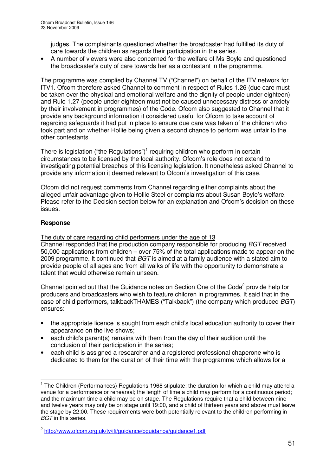judges. The complainants questioned whether the broadcaster had fulfilled its duty of care towards the children as regards their participation in the series.

• A number of viewers were also concerned for the welfare of Ms Boyle and questioned the broadcaster's duty of care towards her as a contestant in the programme.

The programme was complied by Channel TV ("Channel") on behalf of the ITV network for ITV1. Ofcom therefore asked Channel to comment in respect of Rules 1.26 (due care must be taken over the physical and emotional welfare and the dignity of people under eighteen) and Rule 1.27 (people under eighteen must not be caused unnecessary distress or anxiety by their involvement in programmes) of the Code. Ofcom also suggested to Channel that it provide any background information it considered useful for Ofcom to take account of regarding safeguards it had put in place to ensure due care was taken of the children who took part and on whether Hollie being given a second chance to perform was unfair to the other contestants.

There is legislation ("the Regulations")<sup>1</sup> requiring children who perform in certain circumstances to be licensed by the local authority. Ofcom's role does not extend to investigating potential breaches of this licensing legislation. It nonetheless asked Channel to provide any information it deemed relevant to Ofcom's investigation of this case.

Ofcom did not request comments from Channel regarding either complaints about the alleged unfair advantage given to Hollie Steel or complaints about Susan Boyle's welfare. Please refer to the Decision section below for an explanation and Ofcom's decision on these issues.

## **Response**

The duty of care regarding child performers under the age of 13

Channel responded that the production company responsible for producing *BGT* received 50,000 applications from children – over 75% of the total applications made to appear on the 2009 programme. It continued that *BGT* is aimed at a family audience with a stated aim to provide people of all ages and from all walks of life with the opportunity to demonstrate a talent that would otherwise remain unseen.

Channel pointed out that the Guidance notes on Section One of the Code<sup>2</sup> provide help for producers and broadcasters who wish to feature children in programmes. It said that in the case of child performers, talkbackTHAMES ("Talkback") (the company which produced *BGT*) ensures:

- the appropriate licence is sought from each child's local education authority to cover their appearance on the live shows;
- each child's parent(s) remains with them from the day of their audition until the conclusion of their participation in the series;
- each child is assigned a researcher and a registered professional chaperone who is dedicated to them for the duration of their time with the programme which allows for a

 $1$  The Children (Performances) Regulations 1968 stipulate: the duration for which a child may attend a venue for a performance or rehearsal; the length of time a child may perform for a continuous period; and the maximum time a child may be on stage. The Regulations require that a child between nine and twelve years may only be on stage until 19:00, and a child of thirteen years and above must leave the stage by 22:00. These requirements were both potentially relevant to the children performing in *BGT* in this series.

<sup>2</sup> http://www.ofcom.org.uk/tv/ifi/guidance/bguidance/guidance1.pdf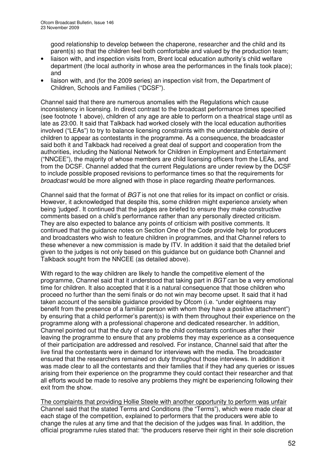good relationship to develop between the chaperone, researcher and the child and its parent(s) so that the children feel both comfortable and valued by the production team;

- liaison with, and inspection visits from, Brent local education authority's child welfare department (the local authority in whose area the performances in the finals took place); and
- liaison with, and (for the 2009 series) an inspection visit from, the Department of Children, Schools and Families ("DCSF").

Channel said that there are numerous anomalies with the Regulations which cause inconsistency in licensing. In direct contrast to the broadcast performance times specified (see footnote 1 above), children of any age are able to perform on a theatrical stage until as late as 23:00. It said that Talkback had worked closely with the local education authorities involved ("LEAs") to try to balance licensing constraints with the understandable desire of children to appear as contestants in the programme. As a consequence, the broadcaster said both it and Talkback had received a great deal of support and cooperation from the authorities, including the National Network for Children in Employment and Entertainment ("NNCEE"), the majority of whose members are child licensing officers from the LEAs, and from the DCSF. Channel added that the current Regulations are under review by the DCSF to include possible proposed revisions to performance times so that the requirements for *broadcast* would be more aligned with those in place regarding *theatre* performances.

Channel said that the format of *BGT* is not one that relies for its impact on conflict or crisis. However, it acknowledged that despite this, some children might experience anxiety when being 'judged'. It continued that the judges are briefed to ensure they make constructive comments based on a child's performance rather than any personally directed criticism. They are also expected to balance any points of criticism with positive comments. It continued that the guidance notes on Section One of the Code provide help for producers and broadcasters who wish to feature children in programmes, and that Channel refers to these whenever a new commission is made by ITV. In addition it said that the detailed brief given to the judges is not only based on this guidance but on guidance both Channel and Talkback sought from the NNCEE (as detailed above).

With regard to the way children are likely to handle the competitive element of the programme, Channel said that it understood that taking part in *BGT* can be a very emotional time for children. It also accepted that it is a natural consequence that those children who proceed no further than the semi finals or do not win may become upset. It said that it had taken account of the sensible guidance provided by Ofcom (i.e. "under eighteens may benefit from the presence of a familiar person with whom they have a positive attachment") by ensuring that a child performer's parent(s) is with them throughout their experience on the programme along with a professional chaperone and dedicated researcher. In addition, Channel pointed out that the duty of care to the child contestants continues after their leaving the programme to ensure that any problems they may experience as a consequence of their participation are addressed and resolved. For instance, Channel said that after the live final the contestants were in demand for interviews with the media. The broadcaster ensured that the researchers remained on duty throughout those interviews. In addition it was made clear to all the contestants and their families that if they had any queries or issues arising from their experience on the programme they could contact their researcher and that all efforts would be made to resolve any problems they might be experiencing following their exit from the show.

The complaints that providing Hollie Steele with another opportunity to perform was unfair Channel said that the stated Terms and Conditions (the "Terms"), which were made clear at each stage of the competition, explained to performers that the producers were able to change the rules at any time and that the decision of the judges was final. In addition, the official programme rules stated that: "the producers reserve their right in their sole discretion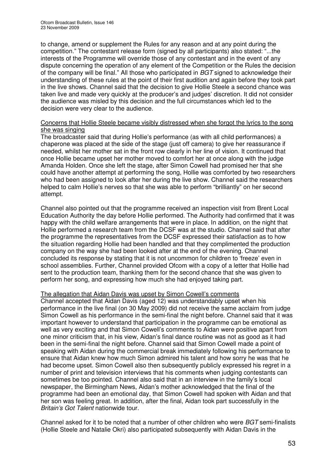to change, amend or supplement the Rules for any reason and at any point during the competition." The contestant release form (signed by all participants) also stated: "...the interests of the Programme will override those of any contestant and in the event of any dispute concerning the operation of any element of the Competition or the Rules the decision of the company will be final." All those who participated in *BGT* signed to acknowledge their understanding of these rules at the point of their first audition and again before they took part in the live shows. Channel said that the decision to give Hollie Steele a second chance was taken live and made very quickly at the producer's and judges' discretion. It did not consider the audience was misled by this decision and the full circumstances which led to the decision were very clear to the audience.

#### Concerns that Hollie Steele became visibly distressed when she forgot the lyrics to the song she was singing

The broadcaster said that during Hollie's performance (as with all child performances) a chaperone was placed at the side of the stage (just off camera) to give her reassurance if needed, whilst her mother sat in the front row clearly in her line of vision. It continued that once Hollie became upset her mother moved to comfort her at once along with the judge Amanda Holden. Once she left the stage, after Simon Cowell had promised her that she could have another attempt at performing the song, Hollie was comforted by two researchers who had been assigned to look after her during the live show. Channel said the researchers helped to calm Hollie's nerves so that she was able to perform "brilliantly" on her second attempt.

Channel also pointed out that the programme received an inspection visit from Brent Local Education Authority the day before Hollie performed. The Authority had confirmed that it was happy with the child welfare arrangements that were in place. In addition, on the night that Hollie performed a research team from the DCSF was at the studio. Channel said that after the programme the representatives from the DCSF expressed their satisfaction as to how the situation regarding Hollie had been handled and that they complimented the production company on the way she had been looked after at the end of the evening. Channel concluded its response by stating that it is not uncommon for children to 'freeze' even in school assemblies. Further, Channel provided Ofcom with a copy of a letter that Hollie had sent to the production team, thanking them for the second chance that she was given to perform her song, and expressing how much she had enjoyed taking part.

### The allegation that Aidan Davis was upset by Simon Cowell's comments

Channel accepted that Aidan Davis (aged 12) was understandably upset when his performance in the live final (on 30 May 2009) did not receive the same acclaim from judge Simon Cowell as his performance in the semi-final the night before. Channel said that it was important however to understand that participation in the programme can be emotional as well as very exciting and that Simon Cowell's comments to Aidan were positive apart from one minor criticism that, in his view, Aidan's final dance routine was not as good as it had been in the semi-final the night before. Channel said that Simon Cowell made a point of speaking with Aidan during the commercial break immediately following his performance to ensure that Aidan knew how much Simon admired his talent and how sorry he was that he had become upset. Simon Cowell also then subsequently publicly expressed his regret in a number of print and television interviews that his comments when judging contestants can sometimes be too pointed. Channel also said that in an interview in the family's local newspaper, the Birmingham News, Aidan's mother acknowledged that the final of the programme had been an emotional day, that Simon Cowell had spoken with Aidan and that her son was feeling great. In addition, after the final, Aidan took part successfully in the *Britain's Got Talent* nationwide tour.

Channel asked for it to be noted that a number of other children who were *BGT* semi-finalists (Hollie Steele and Natalie Okri) also participated subsequently with Aidan Davis in the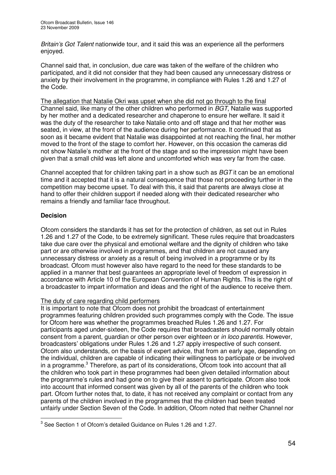*Britain's Got Talent* nationwide tour, and it said this was an experience all the performers enjoyed.

Channel said that, in conclusion, due care was taken of the welfare of the children who participated, and it did not consider that they had been caused any unnecessary distress or anxiety by their involvement in the programme, in compliance with Rules 1.26 and 1.27 of the Code.

The allegation that Natalie Okri was upset when she did not go through to the final Channel said, like many of the other children who performed in *BGT*, Natalie was supported by her mother and a dedicated researcher and chaperone to ensure her welfare. It said it was the duty of the researcher to take Natalie onto and off stage and that her mother was seated, in view, at the front of the audience during her performance. It continued that as soon as it became evident that Natalie was disappointed at not reaching the final, her mother moved to the front of the stage to comfort her. However, on this occasion the cameras did not show Natalie's mother at the front of the stage and so the impression might have been given that a small child was left alone and uncomforted which was very far from the case.

Channel accepted that for children taking part in a show such as *BGT* it can be an emotional time and it accepted that it is a natural consequence that those not proceeding further in the competition may become upset. To deal with this, it said that parents are always close at hand to offer their children support if needed along with their dedicated researcher who remains a friendly and familiar face throughout.

## **Decision**

Ofcom considers the standards it has set for the protection of children, as set out in Rules 1.26 and 1.27 of the Code, to be extremely significant. These rules require that broadcasters take due care over the physical and emotional welfare and the dignity of children who take part or are otherwise involved in programmes, and that children are not caused any unnecessary distress or anxiety as a result of being involved in a programme or by its broadcast. Ofcom must however also have regard to the need for these standards to be applied in a manner that best guarantees an appropriate level of freedom of expression in accordance with Article 10 of the European Convention of Human Rights. This is the right of a broadcaster to impart information and ideas and the right of the audience to receive them.

### The duty of care regarding child performers

It is important to note that Ofcom does not prohibit the broadcast of entertainment programmes featuring children provided such programmes comply with the Code. The issue for Ofcom here was whether the programmes breached Rules 1.26 and 1.27. For participants aged under-sixteen, the Code requires that broadcasters should normally obtain consent from a parent, guardian or other person over eighteen or *in loco parentis*. However, broadcasters' obligations under Rules 1.26 and 1.27 apply irrespective of such consent. Ofcom also understands, on the basis of expert advice, that from an early age, depending on the individual, children are capable of indicating their willingness to participate or be involved in a programme. <sup>3</sup> Therefore, as part of its considerations, Ofcom took into account that all the children who took part in these programmes had been given detailed information about the programme's rules and had gone on to give their assent to participate. Ofcom also took into account that informed consent was given by all of the parents of the children who took part. Ofcom further notes that, to date, it has not received any complaint or contact from any parents of the children involved in the programmes that the children had been treated unfairly under Section Seven of the Code. In addition, Ofcom noted that neither Channel nor

 $3$  See Section 1 of Ofcom's detailed Guidance on Rules 1.26 and 1.27.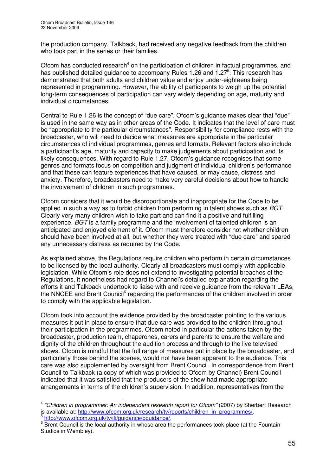the production company, Talkback, had received any negative feedback from the children who took part in the series or their families.

Ofcom has conducted research<sup>4</sup> on the participation of children in factual programmes, and has published detailed guidance to accompany Rules 1.26 and 1.27<sup>5</sup>. This research has demonstrated that both adults and children value and enjoy under-eighteens being represented in programming. However, the ability of participants to weigh up the potential long-term consequences of participation can vary widely depending on age, maturity and individual circumstances.

Central to Rule 1.26 is the concept of "due care". Ofcom's guidance makes clear that "due" is used in the same way as in other areas of the Code. It indicates that the level of care must be "appropriate to the particular circumstances". Responsibility for compliance rests with the broadcaster, who will need to decide what measures are appropriate in the particular circumstances of individual programmes, genres and formats. Relevant factors also include a participant's age, maturity and capacity to make judgements about participation and its likely consequences. With regard to Rule 1.27, Ofcom's guidance recognises that some genres and formats focus on competition and judgment of individual children's performance and that these can feature experiences that have caused, or may cause, distress and anxiety. Therefore, broadcasters need to make very careful decisions about how to handle the involvement of children in such programmes.

Ofcom considers that it would be disproportionate and inappropriate for the Code to be applied in such a way as to forbid children from performing in talent shows such as *BGT*. Clearly very many children wish to take part and can find it a positive and fulfilling experience. *BGT* is a family programme and the involvement of talented children is an anticipated and enjoyed element of it. Ofcom must therefore consider not whether children should have been involved at all, but whether they were treated with "due care" and spared any unnecessary distress as required by the Code.

As explained above, the Regulations require children who perform in certain circumstances to be licensed by the local authority. Clearly all broadcasters must comply with applicable legislation. While Ofcom's role does not extend to investigating potential breaches of the Regulations, it nonetheless had regard to Channel's detailed explanation regarding the efforts it and Talkback undertook to liaise with and receive guidance from the relevant LEAs, the NNCEE and Brent Council<sup>6</sup> regarding the performances of the children involved in order to comply with the applicable legislation.

Ofcom took into account the evidence provided by the broadcaster pointing to the various measures it put in place to ensure that due care was provided to the children throughout their participation in the programmes. Ofcom noted in particular the actions taken by the broadcaster, production team, chaperones, carers and parents to ensure the welfare and dignity of the children throughout the audition process and through to the live televised shows. Ofcom is mindful that the full range of measures put in place by the broadcaster, and particularly those behind the scenes, would not have been apparent to the audience. This care was also supplemented by oversight from Brent Council. In correspondence from Brent Council to Talkback (a copy of which was provided to Ofcom by Channel) Brent Council indicated that it was satisfied that the producers of the show had made appropriate arrangements in terms of the children's supervision. In addition, representatives from the

<sup>4</sup> *"Children in programmes: An independent research report for Ofcom"* (2007) by Sherbert Research is available at: <u>http://www.ofcom.org.uk/research/tv/reports/children\_in\_programmes/</u>.<br><sup>5</sup> http://www.ofcom.org.uk/tv/ifi/quidenee/bauidenee/ http://www.ofcom.org.uk/ty/ifi/guidance/bguidance/.

<sup>&</sup>lt;sup>6</sup> Brent Council is the local authority in whose area the performances took place (at the Fountain Studios in Wembley).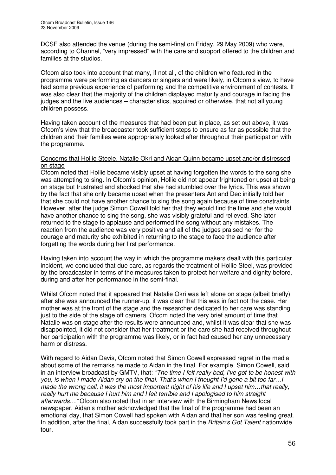DCSF also attended the venue (during the semi-final on Friday, 29 May 2009) who were, according to Channel, "very impressed" with the care and support offered to the children and families at the studios.

Ofcom also took into account that many, if not all, of the children who featured in the programme were performing as dancers or singers and were likely, in Ofcom's view, to have had some previous experience of performing and the competitive environment of contests. It was also clear that the majority of the children displayed maturity and courage in facing the judges and the live audiences – characteristics, acquired or otherwise, that not all young children possess.

Having taken account of the measures that had been put in place, as set out above, it was Ofcom's view that the broadcaster took sufficient steps to ensure as far as possible that the children and their families were appropriately looked after throughout their participation with the programme.

#### Concerns that Hollie Steele, Natalie Okri and Aidan Quinn became upset and/or distressed on stage

Ofcom noted that Hollie became visibly upset at having forgotten the words to the song she was attempting to sing. In Ofcom's opinion, Hollie did not appear frightened or upset at being on stage but frustrated and shocked that she had stumbled over the lyrics. This was shown by the fact that she only became upset when the presenters Ant and Dec initially told her that she could not have another chance to sing the song again because of time constraints. However, after the judge Simon Cowell told her that they would find the time and she would have another chance to sing the song, she was visibly grateful and relieved. She later returned to the stage to applause and performed the song without any mistakes. The reaction from the audience was very positive and all of the judges praised her for the courage and maturity she exhibited in returning to the stage to face the audience after forgetting the words during her first performance.

Having taken into account the way in which the programme makers dealt with this particular incident, we concluded that due care, as regards the treatment of Hollie Steel, was provided by the broadcaster in terms of the measures taken to protect her welfare and dignity before, during and after her performance in the semi-final.

Whilst Ofcom noted that it appeared that Natalie Okri was left alone on stage (albeit briefly) after she was announced the runner-up, it was clear that this was in fact not the case. Her mother was at the front of the stage and the researcher dedicated to her care was standing just to the side of the stage off camera. Ofcom noted the very brief amount of time that Natalie was on stage after the results were announced and, whilst it was clear that she was disappointed, it did not consider that her treatment or the care she had received throughout her participation with the programme was likely, or in fact had caused her any unnecessary harm or distress.

With regard to Aidan Davis, Ofcom noted that Simon Cowell expressed regret in the media about some of the remarks he made to Aidan in the final. For example, Simon Cowell, said in an interview broadcast by GMTV, that: *"The time I felt really bad, I've got to be honest with* you, is when I made Aidan cry on the final. That's when I thought I'd gone a bit too far... *made the wrong call, it was the most important night of his life and I upset him…that really, really hurt me because I hurt him and I felt terrible and I apologised to him straight afterwards…"* Ofcom also noted that in an interview with the Birmingham News local newspaper, Aidan's mother acknowledged that the final of the programme had been an emotional day, that Simon Cowell had spoken with Aidan and that her son was feeling great. In addition, after the final, Aidan successfully took part in the *Britain's Got Talent* nationwide tour.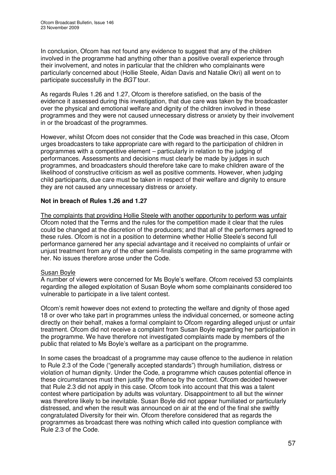In conclusion, Ofcom has not found any evidence to suggest that any of the children involved in the programme had anything other than a positive overall experience through their involvement, and notes in particular that the children who complainants were particularly concerned about (Hollie Steele, Aidan Davis and Natalie Okri) all went on to participate successfully in the *BGT* tour.

As regards Rules 1.26 and 1.27, Ofcom is therefore satisfied, on the basis of the evidence it assessed during this investigation, that due care was taken by the broadcaster over the physical and emotional welfare and dignity of the children involved in these programmes and they were not caused unnecessary distress or anxiety by their involvement in or the broadcast of the programmes.

However, whilst Ofcom does not consider that the Code was breached in this case, Ofcom urges broadcasters to take appropriate care with regard to the participation of children in programmes with a competitive element – particularly in relation to the judging of performances. Assessments and decisions must clearly be made by judges in such programmes, and broadcasters should therefore take care to make children aware of the likelihood of constructive criticism as well as positive comments. However, when judging child participants, due care must be taken in respect of their welfare and dignity to ensure they are not caused any unnecessary distress or anxiety.

## **Not in breach of Rules 1.26 and 1.27**

The complaints that providing Hollie Steele with another opportunity to perform was unfair Ofcom noted that the Terms and the rules for the competition made it clear that the rules could be changed at the discretion of the producers; and that all of the performers agreed to these rules. Ofcom is not in a position to determine whether Hollie Steele's second full performance garnered her any special advantage and it received no complaints of unfair or unjust treatment from any of the other semi-finalists competing in the same programme with her. No issues therefore arose under the Code.

## Susan Boyle

A number of viewers were concerned for Ms Boyle's welfare. Ofcom received 53 complaints regarding the alleged exploitation of Susan Boyle whom some complainants considered too vulnerable to participate in a live talent contest.

Ofcom's remit however does not extend to protecting the welfare and dignity of those aged 18 or over who take part in programmes unless the individual concerned, or someone acting directly on their behalf, makes a formal complaint to Ofcom regarding alleged unjust or unfair treatment. Ofcom did not receive a complaint from Susan Boyle regarding her participation in the programme. We have therefore not investigated complaints made by members of the public that related to Ms Boyle's welfare as a participant on the programme.

In some cases the broadcast of a programme may cause offence to the audience in relation to Rule 2.3 of the Code ("generally accepted standards") through humiliation, distress or violation of human dignity. Under the Code, a programme which causes potential offence in these circumstances must then justify the offence by the context. Ofcom decided however that Rule 2.3 did not apply in this case. Ofcom took into account that this was a talent contest where participation by adults was voluntary. Disappointment to all but the winner was therefore likely to be inevitable. Susan Boyle did not appear humiliated or particularly distressed, and when the result was announced on air at the end of the final she swiftly congratulated Diversity for their win. Ofcom therefore considered that as regards the programmes as broadcast there was nothing which called into question compliance with Rule 2.3 of the Code.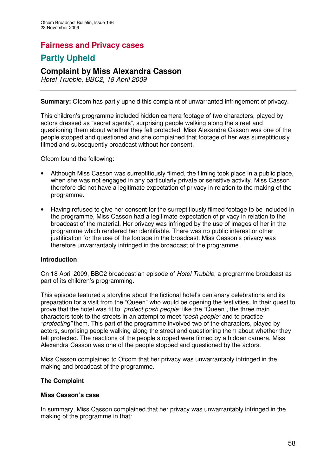# **Fairness and Privacy cases**

# **Partly Upheld**

## **Complaint by Miss Alexandra Casson**

*Hotel Trubble, BBC2, 18 April 2009*

**Summary:** Ofcom has partly upheld this complaint of unwarranted infringement of privacy.

This children's programme included hidden camera footage of two characters, played by actors dressed as "secret agents", surprising people walking along the street and questioning them about whether they felt protected. Miss Alexandra Casson was one of the people stopped and questioned and she complained that footage of her was surreptitiously filmed and subsequently broadcast without her consent.

Ofcom found the following:

- Although Miss Casson was surreptitiously filmed, the filming took place in a public place, when she was not engaged in any particularly private or sensitive activity. Miss Casson therefore did not have a legitimate expectation of privacy in relation to the making of the programme.
- Having refused to give her consent for the surreptitiously filmed footage to be included in the programme, Miss Casson had a legitimate expectation of privacy in relation to the broadcast of the material. Her privacy was infringed by the use of images of her in the programme which rendered her identifiable. There was no public interest or other justification for the use of the footage in the broadcast. Miss Casson's privacy was therefore unwarrantably infringed in the broadcast of the programme.

## **Introduction**

On 18 April 2009, BBC2 broadcast an episode of *Hotel Trubble*, a programme broadcast as part of its children's programming.

This episode featured a storyline about the fictional hotel's centenary celebrations and its preparation for a visit from the "Queen" who would be opening the festivities. In their quest to prove that the hotel was fit to *"protect posh people"* like the "Queen", the three main characters took to the streets in an attempt to meet *"posh people"* and to practice *"protecting"* them. This part of the programme involved two of the characters, played by actors, surprising people walking along the street and questioning them about whether they felt protected. The reactions of the people stopped were filmed by a hidden camera. Miss Alexandra Casson was one of the people stopped and questioned by the actors.

Miss Casson complained to Ofcom that her privacy was unwarrantably infringed in the making and broadcast of the programme.

## **The Complaint**

### **Miss Casson's case**

In summary, Miss Casson complained that her privacy was unwarrantably infringed in the making of the programme in that: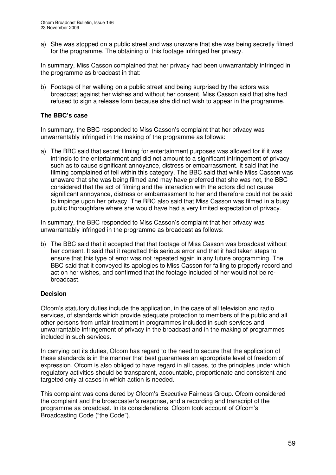a) She was stopped on a public street and was unaware that she was being secretly filmed for the programme. The obtaining of this footage infringed her privacy.

In summary, Miss Casson complained that her privacy had been unwarrantably infringed in the programme as broadcast in that:

b) Footage of her walking on a public street and being surprised by the actors was broadcast against her wishes and without her consent. Miss Casson said that she had refused to sign a release form because she did not wish to appear in the programme.

### **The BBC's case**

In summary, the BBC responded to Miss Casson's complaint that her privacy was unwarrantably infringed in the making of the programme as follows:

a) The BBC said that secret filming for entertainment purposes was allowed for if it was intrinsic to the entertainment and did not amount to a significant infringement of privacy such as to cause significant annoyance, distress or embarrassment. It said that the filming complained of fell within this category. The BBC said that while Miss Casson was unaware that she was being filmed and may have preferred that she was not, the BBC considered that the act of filming and the interaction with the actors did not cause significant annoyance, distress or embarrassment to her and therefore could not be said to impinge upon her privacy. The BBC also said that Miss Casson was filmed in a busy public thoroughfare where she would have had a very limited expectation of privacy.

In summary, the BBC responded to Miss Casson's complaint that her privacy was unwarrantably infringed in the programme as broadcast as follows:

b) The BBC said that it accepted that that footage of Miss Casson was broadcast without her consent. It said that it regretted this serious error and that it had taken steps to ensure that this type of error was not repeated again in any future programming. The BBC said that it conveyed its apologies to Miss Casson for failing to properly record and act on her wishes, and confirmed that the footage included of her would not be rebroadcast.

## **Decision**

Ofcom's statutory duties include the application, in the case of all television and radio services, of standards which provide adequate protection to members of the public and all other persons from unfair treatment in programmes included in such services and unwarrantable infringement of privacy in the broadcast and in the making of programmes included in such services.

In carrying out its duties, Ofcom has regard to the need to secure that the application of these standards is in the manner that best guarantees an appropriate level of freedom of expression. Ofcom is also obliged to have regard in all cases, to the principles under which regulatory activities should be transparent, accountable, proportionate and consistent and targeted only at cases in which action is needed.

This complaint was considered by Ofcom's Executive Fairness Group. Ofcom considered the complaint and the broadcaster's response, and a recording and transcript of the programme as broadcast. In its considerations, Ofcom took account of Ofcom's Broadcasting Code ("the Code").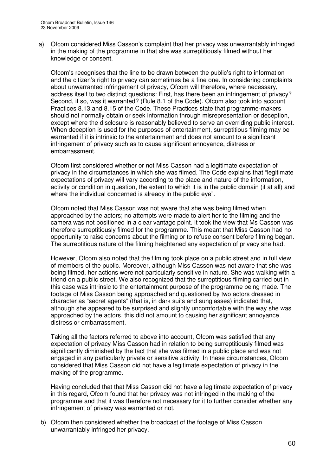a) Ofcom considered Miss Casson's complaint that her privacy was unwarrantably infringed in the making of the programme in that she was surreptitiously filmed without her knowledge or consent.

Ofcom's recognises that the line to be drawn between the public's right to information and the citizen's right to privacy can sometimes be a fine one. In considering complaints about unwarranted infringement of privacy, Ofcom will therefore, where necessary, address itself to two distinct questions: First, has there been an infringement of privacy? Second, if so, was it warranted? (Rule 8.1 of the Code). Ofcom also took into account Practices 8.13 and 8.15 of the Code. These Practices state that programme-makers should not normally obtain or seek information through misrepresentation or deception, except where the disclosure is reasonably believed to serve an overriding public interest. When deception is used for the purposes of entertainment, surreptitious filming may be warranted if it is intrinsic to the entertainment and does not amount to a significant infringement of privacy such as to cause significant annoyance, distress or embarrassment.

Ofcom first considered whether or not Miss Casson had a legitimate expectation of privacy in the circumstances in which she was filmed. The Code explains that "legitimate expectations of privacy will vary according to the place and nature of the information, activity or condition in question, the extent to which it is in the public domain (if at all) and where the individual concerned is already in the public eye".

Ofcom noted that Miss Casson was not aware that she was being filmed when approached by the actors; no attempts were made to alert her to the filming and the camera was not positioned in a clear vantage point. It took the view that Ms Casson was therefore surreptitiously filmed for the programme. This meant that Miss Casson had no opportunity to raise concerns about the filming or to refuse consent before filming began. The surreptitious nature of the filming heightened any expectation of privacy she had.

However, Ofcom also noted that the filming took place on a public street and in full view of members of the public. Moreover, although Miss Casson was not aware that she was being filmed, her actions were not particularly sensitive in nature. She was walking with a friend on a public street. We also recognized that the surreptitious filming carried out in this case was intrinsic to the entertainment purpose of the programme being made. The footage of Miss Casson being approached and questioned by two actors dressed in character as "secret agents" (that is, in dark suits and sunglasses) indicated that, although she appeared to be surprised and slightly uncomfortable with the way she was approached by the actors, this did not amount to causing her significant annoyance, distress or embarrassment.

Taking all the factors referred to above into account, Ofcom was satisfied that any expectation of privacy Miss Casson had in relation to being surreptitiously filmed was significantly diminished by the fact that she was filmed in a public place and was not engaged in any particularly private or sensitive activity. In these circumstances, Ofcom considered that Miss Casson did not have a legitimate expectation of privacy in the making of the programme.

Having concluded that that Miss Casson did not have a legitimate expectation of privacy in this regard, Ofcom found that her privacy was not infringed in the making of the programme and that it was therefore not necessary for it to further consider whether any infringement of privacy was warranted or not.

b) Ofcom then considered whether the broadcast of the footage of Miss Casson unwarrantably infringed her privacy.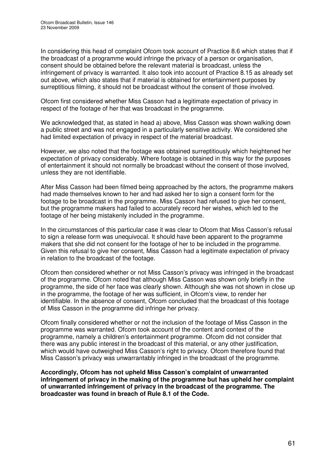In considering this head of complaint Ofcom took account of Practice 8.6 which states that if the broadcast of a programme would infringe the privacy of a person or organisation, consent should be obtained before the relevant material is broadcast, unless the infringement of privacy is warranted. It also took into account of Practice 8.15 as already set out above, which also states that if material is obtained for entertainment purposes by surreptitious filming, it should not be broadcast without the consent of those involved.

Ofcom first considered whether Miss Casson had a legitimate expectation of privacy in respect of the footage of her that was broadcast in the programme.

We acknowledged that, as stated in head a) above, Miss Casson was shown walking down a public street and was not engaged in a particularly sensitive activity. We considered she had limited expectation of privacy in respect of the material broadcast.

However, we also noted that the footage was obtained surreptitiously which heightened her expectation of privacy considerably. Where footage is obtained in this way for the purposes of entertainment it should not normally be broadcast without the consent of those involved, unless they are not identifiable.

After Miss Casson had been filmed being approached by the actors, the programme makers had made themselves known to her and had asked her to sign a consent form for the footage to be broadcast in the programme. Miss Casson had refused to give her consent, but the programme makers had failed to accurately record her wishes, which led to the footage of her being mistakenly included in the programme.

In the circumstances of this particular case it was clear to Ofcom that Miss Casson's refusal to sign a release form was unequivocal. It should have been apparent to the programme makers that she did not consent for the footage of her to be included in the programme. Given this refusal to give her consent, Miss Casson had a legitimate expectation of privacy in relation to the broadcast of the footage.

Ofcom then considered whether or not Miss Casson's privacy was infringed in the broadcast of the programme. Ofcom noted that although Miss Casson was shown only briefly in the programme, the side of her face was clearly shown. Although she was not shown in close up in the programme, the footage of her was sufficient, in Ofcom's view, to render her identifiable. In the absence of consent, Ofcom concluded that the broadcast of this footage of Miss Casson in the programme did infringe her privacy.

Ofcom finally considered whether or not the inclusion of the footage of Miss Casson in the programme was warranted. Ofcom took account of the content and context of the programme, namely a children's entertainment programme. Ofcom did not consider that there was any public interest in the broadcast of this material, or any other justification, which would have outweighed Miss Casson's right to privacy. Ofcom therefore found that Miss Casson's privacy was unwarrantably infringed in the broadcast of the programme.

**Accordingly, Ofcom has not upheld Miss Casson's complaint of unwarranted infringement of privacy in the making of the programme but has upheld her complaint of unwarranted infringement of privacy in the broadcast of the programme. The broadcaster was found in breach of Rule 8.1 of the Code.**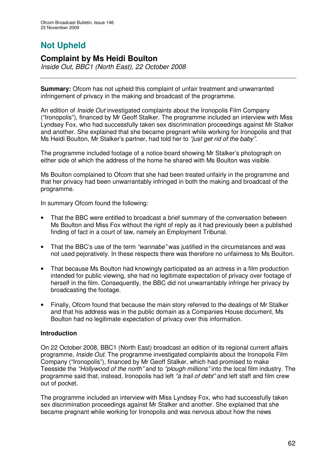# **Not Upheld**

## **Complaint by Ms Heidi Boulton**

*Inside Out, BBC1 (North East), 22 October 2008*

**Summary:** Ofcom has not upheld this complaint of unfair treatment and unwarranted infringement of privacy in the making and broadcast of the programme.

An edition of *Inside Out* investigated complaints about the Ironopolis Film Company ("Ironopolis"), financed by Mr Geoff Stalker. The programme included an interview with Miss Lyndsey Fox, who had successfully taken sex discrimination proceedings against Mr Stalker and another. She explained that she became pregnant while working for Ironopolis and that Ms Heidi Boulton, Mr Stalker's partner, had told her to *"just get rid of the baby"*.

The programme included footage of a notice board showing Mr Stalker's photograph on either side of which the address of the home he shared with Ms Boulton was visible.

Ms Boulton complained to Ofcom that she had been treated unfairly in the programme and that her privacy had been unwarrantably infringed in both the making and broadcast of the programme.

In summary Ofcom found the following:

- That the BBC were entitled to broadcast a brief summary of the conversation between Ms Boulton and Miss Fox without the right of reply as it had previously been a published finding of fact in a court of law, namely an Employment Tribunal.
- That the BBC's use of the term *"wannabe"* was justified in the circumstances and was not used pejoratively. In these respects there was therefore no unfairness to Ms Boulton.
- That because Ms Boulton had knowingly participated as an actress in a film production intended for public viewing, she had no legitimate expectation of privacy over footage of herself in the film. Consequently, the BBC did not unwarrantably infringe her privacy by broadcasting the footage.
- Finally, Ofcom found that because the main story referred to the dealings of Mr Stalker and that his address was in the public domain as a Companies House document, Ms Boulton had no legitimate expectation of privacy over this information.

### **Introduction**

On 22 October 2008, BBC1 (North East) broadcast an edition of its regional current affairs programme, *Inside Out*. The programme investigated complaints about the Ironopolis Film Company ("Ironopolis"), financed by Mr Geoff Stalker, which had promised to make Teesside the *"Hollywood of the north"* and to *"plough millions"* into the local film industry. The programme said that, instead, Ironopolis had left *"a trail of debt"* and left staff and film crew out of pocket.

The programme included an interview with Miss Lyndsey Fox, who had successfully taken sex discrimination proceedings against Mr Stalker and another. She explained that she became pregnant while working for Ironopolis and was nervous about how the news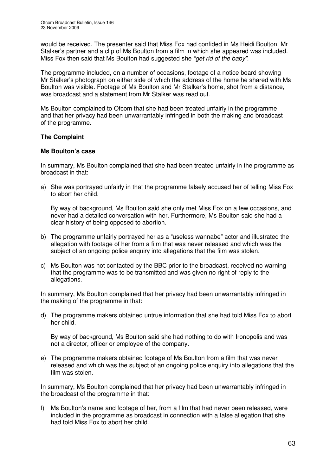would be received. The presenter said that Miss Fox had confided in Ms Heidi Boulton, Mr Stalker's partner and a clip of Ms Boulton from a film in which she appeared was included. Miss Fox then said that Ms Boulton had suggested she *"get rid of the baby".*

The programme included, on a number of occasions, footage of a notice board showing Mr Stalker's photograph on either side of which the address of the home he shared with Ms Boulton was visible. Footage of Ms Boulton and Mr Stalker's home, shot from a distance, was broadcast and a statement from Mr Stalker was read out.

Ms Boulton complained to Ofcom that she had been treated unfairly in the programme and that her privacy had been unwarrantably infringed in both the making and broadcast of the programme.

### **The Complaint**

### **Ms Boulton's case**

In summary, Ms Boulton complained that she had been treated unfairly in the programme as broadcast in that:

a) She was portrayed unfairly in that the programme falsely accused her of telling Miss Fox to abort her child.

By way of background, Ms Boulton said she only met Miss Fox on a few occasions, and never had a detailed conversation with her. Furthermore, Ms Boulton said she had a clear history of being opposed to abortion.

- b) The programme unfairly portrayed her as a "useless wannabe" actor and illustrated the allegation with footage of her from a film that was never released and which was the subject of an ongoing police enquiry into allegations that the film was stolen.
- c) Ms Boulton was not contacted by the BBC prior to the broadcast, received no warning that the programme was to be transmitted and was given no right of reply to the allegations.

In summary, Ms Boulton complained that her privacy had been unwarrantably infringed in the making of the programme in that:

d) The programme makers obtained untrue information that she had told Miss Fox to abort her child.

By way of background, Ms Boulton said she had nothing to do with Ironopolis and was not a director, officer or employee of the company.

e) The programme makers obtained footage of Ms Boulton from a film that was never released and which was the subject of an ongoing police enquiry into allegations that the film was stolen.

In summary, Ms Boulton complained that her privacy had been unwarrantably infringed in the broadcast of the programme in that:

f) Ms Boulton's name and footage of her, from a film that had never been released, were included in the programme as broadcast in connection with a false allegation that she had told Miss Fox to abort her child.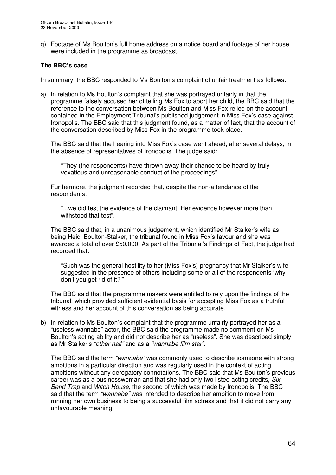g) Footage of Ms Boulton's full home address on a notice board and footage of her house were included in the programme as broadcast.

## **The BBC's case**

In summary, the BBC responded to Ms Boulton's complaint of unfair treatment as follows:

a) In relation to Ms Boulton's complaint that she was portrayed unfairly in that the programme falsely accused her of telling Ms Fox to abort her child, the BBC said that the reference to the conversation between Ms Boulton and Miss Fox relied on the account contained in the Employment Tribunal's published judgement in Miss Fox's case against Ironopolis. The BBC said that this judgment found, as a matter of fact, that the account of the conversation described by Miss Fox in the programme took place.

The BBC said that the hearing into Miss Fox's case went ahead, after several delays, in the absence of representatives of Ironopolis. The judge said:

"They (the respondents) have thrown away their chance to be heard by truly vexatious and unreasonable conduct of the proceedings".

Furthermore, the judgment recorded that, despite the non-attendance of the respondents:

"...we did test the evidence of the claimant. Her evidence however more than withstood that test".

The BBC said that, in a unanimous judgement, which identified Mr Stalker's wife as being Heidi Boulton-Stalker, the tribunal found in Miss Fox's favour and she was awarded a total of over £50,000. As part of the Tribunal's Findings of Fact, the judge had recorded that:

"Such was the general hostility to her (Miss Fox's) pregnancy that Mr Stalker's wife suggested in the presence of others including some or all of the respondents 'why don't you get rid of it?'"

The BBC said that the programme makers were entitled to rely upon the findings of the tribunal, which provided sufficient evidential basis for accepting Miss Fox as a truthful witness and her account of this conversation as being accurate.

b) In relation to Ms Boulton's complaint that the programme unfairly portrayed her as a "useless wannabe" actor, the BBC said the programme made no comment on Ms Boulton's acting ability and did not describe her as "useless". She was described simply as Mr Stalker's *"other half"* and as a *"wannabe film star"*.

The BBC said the term *"wannabe"* was commonly used to describe someone with strong ambitions in a particular direction and was regularly used in the context of acting ambitions without any derogatory connotations. The BBC said that Ms Boulton's previous career was as a businesswoman and that she had only two listed acting credits, *Six Bend Trap* and *Witch House*, the second of which was made by Ironopolis. The BBC said that the term *"wannabe"* was intended to describe her ambition to move from running her own business to being a successful film actress and that it did not carry any unfavourable meaning.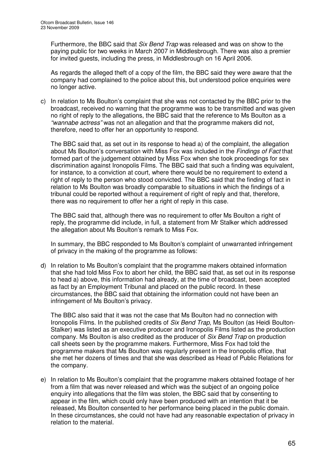Furthermore, the BBC said that *Six Bend Trap* was released and was on show to the paying public for two weeks in March 2007 in Middlesbrough. There was also a premier for invited guests, including the press, in Middlesbrough on 16 April 2006.

As regards the alleged theft of a copy of the film, the BBC said they were aware that the company had complained to the police about this, but understood police enquiries were no longer active.

c) In relation to Ms Boulton's complaint that she was not contacted by the BBC prior to the broadcast, received no warning that the programme was to be transmitted and was given no right of reply to the allegations, the BBC said that the reference to Ms Boulton as a *"wannabe actress"* was not an allegation and that the programme makers did not, therefore, need to offer her an opportunity to respond.

The BBC said that, as set out in its response to head a) of the complaint, the allegation about Ms Boulton's conversation with Miss Fox was included in the *Findings of Fact* that formed part of the judgement obtained by Miss Fox when she took proceedings for sex discrimination against Ironopolis Films. The BBC said that such a finding was equivalent, for instance, to a conviction at court, where there would be no requirement to extend a right of reply to the person who stood convicted. The BBC said that the finding of fact in relation to Ms Boulton was broadly comparable to situations in which the findings of a tribunal could be reported without a requirement of right of reply and that, therefore, there was no requirement to offer her a right of reply in this case.

The BBC said that, although there was no requirement to offer Ms Boulton a right of reply, the programme did include, in full, a statement from Mr Stalker which addressed the allegation about Ms Boulton's remark to Miss Fox.

In summary, the BBC responded to Ms Boulton's complaint of unwarranted infringement of privacy in the making of the programme as follows:

d) In relation to Ms Boulton's complaint that the programme makers obtained information that she had told Miss Fox to abort her child, the BBC said that, as set out in its response to head a) above, this information had already, at the time of broadcast, been accepted as fact by an Employment Tribunal and placed on the public record. In these circumstances, the BBC said that obtaining the information could not have been an infringement of Ms Boulton's privacy.

The BBC also said that it was not the case that Ms Boulton had no connection with Ironopolis Films. In the published credits of *Six Bend Trap*, Ms Boulton (as Heidi Boulton-Stalker) was listed as an executive producer and Ironopolis Films listed as the production company. Ms Boulton is also credited as the producer of *Six Bend Trap* on production call sheets seen by the programme makers. Furthermore, Miss Fox had told the programme makers that Ms Boulton was regularly present in the Ironopolis office, that she met her dozens of times and that she was described as Head of Public Relations for the company.

e) In relation to Ms Boulton's complaint that the programme makers obtained footage of her from a film that was never released and which was the subject of an ongoing police enquiry into allegations that the film was stolen, the BBC said that by consenting to appear in the film, which could only have been produced with an intention that it be released, Ms Boulton consented to her performance being placed in the public domain. In these circumstances, she could not have had any reasonable expectation of privacy in relation to the material.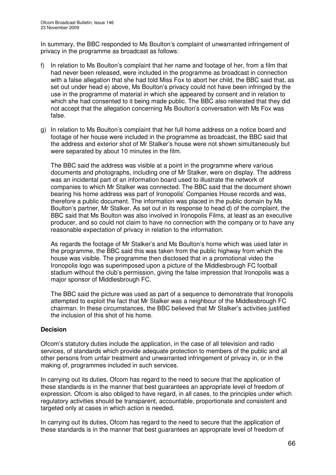In summary, the BBC responded to Ms Boulton's complaint of unwarranted infringement of privacy in the programme as broadcast as follows:

- f) In relation to Ms Boulton's complaint that her name and footage of her, from a film that had never been released, were included in the programme as broadcast in connection with a false allegation that she had told Miss Fox to abort her child, the BBC said that, as set out under head e) above, Ms Boulton's privacy could not have been infringed by the use in the programme of material in which she appeared by consent and in relation to which she had consented to it being made public. The BBC also reiterated that they did not accept that the allegation concerning Ms Boulton's conversation with Ms Fox was false.
- g) In relation to Ms Boulton's complaint that her full home address on a notice board and footage of her house were included in the programme as broadcast, the BBC said that the address and exterior shot of Mr Stalker's house were not shown simultaneously but were separated by about 10 minutes in the film.

The BBC said the address was visible at a point in the programme where various documents and photographs, including one of Mr Stalker, were on display. The address was an incidental part of an information board used to illustrate the network of companies to which Mr Stalker was connected. The BBC said that the document shown bearing his home address was part of Ironopolis' Companies House records and was, therefore a public document. The information was placed in the public domain by Ms Boulton's partner, Mr Stalker. As set out in its response to head d) of the complaint, the BBC said that Ms Boulton was also involved in Ironopolis Films, at least as an executive producer, and so could not claim to have no connection with the company or to have any reasonable expectation of privacy in relation to the information.

As regards the footage of Mr Stalker's and Ms Boulton's home which was used later in the programme, the BBC said this was taken from the public highway from which the house was visible. The programme then disclosed that in a promotional video the Ironopolis logo was superimposed upon a picture of the Middlesbrough FC football stadium without the club's permission, giving the false impression that Ironopolis was a major sponsor of Middlesbrough FC.

The BBC said the picture was used as part of a sequence to demonstrate that Ironopolis attempted to exploit the fact that Mr Stalker was a neighbour of the Middlesbrough FC chairman. In these circumstances, the BBC believed that Mr Stalker's activities justified the inclusion of this shot of his home.

### **Decision**

Ofcom's statutory duties include the application, in the case of all television and radio services, of standards which provide adequate protection to members of the public and all other persons from unfair treatment and unwarranted infringement of privacy in, or in the making of, programmes included in such services.

In carrying out its duties, Ofcom has regard to the need to secure that the application of these standards is in the manner that best guarantees an appropriate level of freedom of expression. Ofcom is also obliged to have regard, in all cases, to the principles under which regulatory activities should be transparent, accountable, proportionate and consistent and targeted only at cases in which action is needed.

In carrying out its duties, Ofcom has regard to the need to secure that the application of these standards is in the manner that best guarantees an appropriate level of freedom of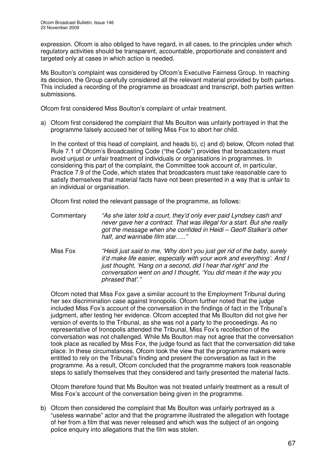expression. Ofcom is also obliged to have regard, in all cases, to the principles under which regulatory activities should be transparent, accountable, proportionate and consistent and targeted only at cases in which action is needed.

Ms Boulton's complaint was considered by Ofcom's Executive Fairness Group. In reaching its decision, the Group carefully considered all the relevant material provided by both parties. This included a recording of the programme as broadcast and transcript, both parties written submissions.

Ofcom first considered Miss Boulton's complaint of unfair treatment.

a) Ofcom first considered the complaint that Ms Boulton was unfairly portrayed in that the programme falsely accused her of telling Miss Fox to abort her child.

In the context of this head of complaint, and heads b), c) and d) below, Ofcom noted that Rule 7.1 of Ofcom's Broadcasting Code ("the Code") provides that broadcasters must avoid unjust or unfair treatment of individuals or organisations in programmes. In considering this part of the complaint, the Committee took account of, in particular, Practice 7.9 of the Code, which states that broadcasters must take reasonable care to satisfy themselves that material facts have not been presented in a way that is unfair to an individual or organisation.

Ofcom first noted the relevant passage of the programme, as follows:

- Commentary *"As she later told a court, they'd only ever paid Lyndsey cash and never gave her a contract. That was illegal for a start. But she really got the message when she confided in Heidi – Geoff Stalker's other half, and wannabe film star….."*
- Miss Fox *"Heidi just said to me, 'Why don't you just get rid of the baby, surely it'd make life easier, especially with your work and everything'. And I just thought, 'Hang on a second, did I hear that right' and the conversation went on and I thought, 'You did mean it the way you phrased that'."*

Ofcom noted that Miss Fox gave a similar account to the Employment Tribunal during her sex discrimination case against Ironopolis. Ofcom further noted that the judge included Miss Fox's account of the conversation in the findings of fact in the Tribunal's judgment, after testing her evidence. Ofcom accepted that Ms Boulton did not give her version of events to the Tribunal, as she was not a party to the proceedings. As no representative of Ironopolis attended the Tribunal, Miss Fox's recollection of the conversation was not challenged. While Ms Boulton may not agree that the conversation took place as recalled by Miss Fox, the judge found as fact that the conversation did take place. In these circumstances, Ofcom took the view that the programme makers were entitled to rely on the Tribunal's finding and present the conversation as fact in the programme. As a result, Ofcom concluded that the programme makers took reasonable steps to satisfy themselves that they considered and fairly presented the material facts.

Ofcom therefore found that Ms Boulton was not treated unfairly treatment as a result of Miss Fox's account of the conversation being given in the programme.

b) Ofcom then considered the complaint that Ms Boulton was unfairly portrayed as a "useless wannabe" actor and that the programme illustrated the allegation with footage of her from a film that was never released and which was the subject of an ongoing police enquiry into allegations that the film was stolen.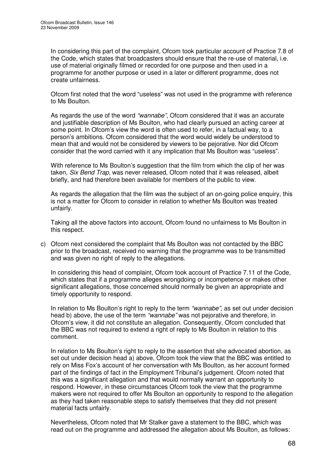In considering this part of the complaint, Ofcom took particular account of Practice 7.8 of the Code, which states that broadcasters should ensure that the re-use of material, i.e. use of material originally filmed or recorded for one purpose and then used in a programme for another purpose or used in a later or different programme, does not create unfairness.

Ofcom first noted that the word "useless" was not used in the programme with reference to Ms Boulton.

As regards the use of the word *"wannabe"*, Ofcom considered that it was an accurate and justifiable description of Ms Boulton, who had clearly pursued an acting career at some point. In Ofcom's view the word is often used to refer, in a factual way, to a person's ambitions. Ofcom considered that the word would widely be understood to mean that and would not be considered by viewers to be pejorative. Nor did Ofcom consider that the word carried with it any implication that Ms Boulton was "useless".

With reference to Ms Boulton's suggestion that the film from which the clip of her was taken, *Six Bend Trap*, was never released, Ofcom noted that it was released, albeit briefly, and had therefore been available for members of the public to view.

As regards the allegation that the film was the subject of an on-going police enquiry, this is not a matter for Ofcom to consider in relation to whether Ms Boulton was treated unfairly.

Taking all the above factors into account, Ofcom found no unfairness to Ms Boulton in this respect.

c) Ofcom next considered the complaint that Ms Boulton was not contacted by the BBC prior to the broadcast, received no warning that the programme was to be transmitted and was given no right of reply to the allegations.

In considering this head of complaint, Ofcom took account of Practice 7.11 of the Code, which states that if a programme alleges wrongdoing or incompetence or makes other significant allegations, those concerned should normally be given an appropriate and timely opportunity to respond.

In relation to Ms Boulton's right to reply to the term *"wannabe"*, as set out under decision head b) above, the use of the term *"wannabe"* was not pejorative and therefore, in Ofcom's view, it did not constitute an allegation. Consequently, Ofcom concluded that the BBC was not required to extend a right of reply to Ms Boulton in relation to this comment.

In relation to Ms Boulton's right to reply to the assertion that she advocated abortion, as set out under decision head a) above, Ofcom took the view that the BBC was entitled to rely on Miss Fox's account of her conversation with Ms Boulton, as her account formed part of the findings of fact in the Employment Tribunal's judgement. Ofcom noted that this was a significant allegation and that would normally warrant an opportunity to respond. However, in these circumstances Ofcom took the view that the programme makers were not required to offer Ms Boulton an opportunity to respond to the allegation as they had taken reasonable steps to satisfy themselves that they did not present material facts unfairly.

Nevertheless, Ofcom noted that Mr Stalker gave a statement to the BBC, which was read out on the programme and addressed the allegation about Ms Boulton, as follows: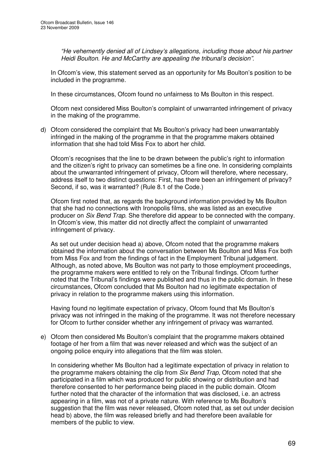*"He vehemently denied all of Lindsey's allegations, including those about his partner Heidi Boulton. He and McCarthy are appealing the tribunal's decision"*.

In Ofcom's view, this statement served as an opportunity for Ms Boulton's position to be included in the programme.

In these circumstances, Ofcom found no unfairness to Ms Boulton in this respect.

Ofcom next considered Miss Boulton's complaint of unwarranted infringement of privacy in the making of the programme.

d) Ofcom considered the complaint that Ms Boulton's privacy had been unwarrantably infringed in the making of the programme in that the programme makers obtained information that she had told Miss Fox to abort her child.

Ofcom's recognises that the line to be drawn between the public's right to information and the citizen's right to privacy can sometimes be a fine one. In considering complaints about the unwarranted infringement of privacy, Ofcom will therefore, where necessary, address itself to two distinct questions: First, has there been an infringement of privacy? Second, if so, was it warranted? (Rule 8.1 of the Code.)

Ofcom first noted that, as regards the background information provided by Ms Boulton that she had no connections with Ironopolis films, she was listed as an executive producer on *Six Bend Trap*. She therefore did appear to be connected with the company. In Ofcom's view, this matter did not directly affect the complaint of unwarranted infringement of privacy.

As set out under decision head a) above, Ofcom noted that the programme makers obtained the information about the conversation between Ms Boulton and Miss Fox both from Miss Fox and from the findings of fact in the Employment Tribunal judgement. Although, as noted above, Ms Boulton was not party to those employment proceedings, the programme makers were entitled to rely on the Tribunal findings. Ofcom further noted that the Tribunal's findings were published and thus in the public domain. In these circumstances, Ofcom concluded that Ms Boulton had no legitimate expectation of privacy in relation to the programme makers using this information.

Having found no legitimate expectation of privacy, Ofcom found that Ms Boulton's privacy was not infringed in the making of the programme. It was not therefore necessary for Ofcom to further consider whether any infringement of privacy was warranted.

e) Ofcom then considered Ms Boulton's complaint that the programme makers obtained footage of her from a film that was never released and which was the subject of an ongoing police enquiry into allegations that the film was stolen.

In considering whether Ms Boulton had a legitimate expectation of privacy in relation to the programme makers obtaining the clip from *Six Bend Trap*, Ofcom noted that she participated in a film which was produced for public showing or distribution and had therefore consented to her performance being placed in the public domain. Ofcom further noted that the character of the information that was disclosed, i.e. an actress appearing in a film, was not of a private nature. With reference to Ms Boulton's suggestion that the film was never released, Ofcom noted that, as set out under decision head b) above, the film was released briefly and had therefore been available for members of the public to view.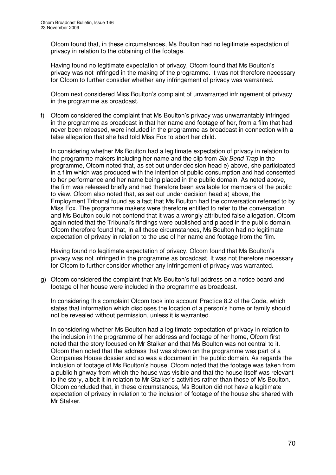Ofcom found that, in these circumstances, Ms Boulton had no legitimate expectation of privacy in relation to the obtaining of the footage.

Having found no legitimate expectation of privacy, Ofcom found that Ms Boulton's privacy was not infringed in the making of the programme. It was not therefore necessary for Ofcom to further consider whether any infringement of privacy was warranted.

Ofcom next considered Miss Boulton's complaint of unwarranted infringement of privacy in the programme as broadcast.

f) Ofcom considered the complaint that Ms Boulton's privacy was unwarrantably infringed in the programme as broadcast in that her name and footage of her, from a film that had never been released, were included in the programme as broadcast in connection with a false allegation that she had told Miss Fox to abort her child.

In considering whether Ms Boulton had a legitimate expectation of privacy in relation to the programme makers including her name and the clip from *Six Bend Trap* in the programme, Ofcom noted that, as set out under decision head e) above, she participated in a film which was produced with the intention of public consumption and had consented to her performance and her name being placed in the public domain. As noted above, the film was released briefly and had therefore been available for members of the public to view. Ofcom also noted that, as set out under decision head a) above, the Employment Tribunal found as a fact that Ms Boulton had the conversation referred to by Miss Fox. The programme makers were therefore entitled to refer to the conversation and Ms Boulton could not contend that it was a wrongly attributed false allegation. Ofcom again noted that the Tribunal's findings were published and placed in the public domain. Ofcom therefore found that, in all these circumstances, Ms Boulton had no legitimate expectation of privacy in relation to the use of her name and footage from the film.

Having found no legitimate expectation of privacy, Ofcom found that Ms Boulton's privacy was not infringed in the programme as broadcast. It was not therefore necessary for Ofcom to further consider whether any infringement of privacy was warranted.

g) Ofcom considered the complaint that Ms Boulton's full address on a notice board and footage of her house were included in the programme as broadcast.

In considering this complaint Ofcom took into account Practice 8.2 of the Code, which states that information which discloses the location of a person's home or family should not be revealed without permission, unless it is warranted.

In considering whether Ms Boulton had a legitimate expectation of privacy in relation to the inclusion in the programme of her address and footage of her home, Ofcom first noted that the story focused on Mr Stalker and that Ms Boulton was not central to it. Ofcom then noted that the address that was shown on the programme was part of a Companies House dossier and so was a document in the public domain. As regards the inclusion of footage of Ms Boulton's house, Ofcom noted that the footage was taken from a public highway from which the house was visible and that the house itself was relevant to the story, albeit it in relation to Mr Stalker's activities rather than those of Ms Boulton. Ofcom concluded that, in these circumstances, Ms Boulton did not have a legitimate expectation of privacy in relation to the inclusion of footage of the house she shared with Mr Stalker.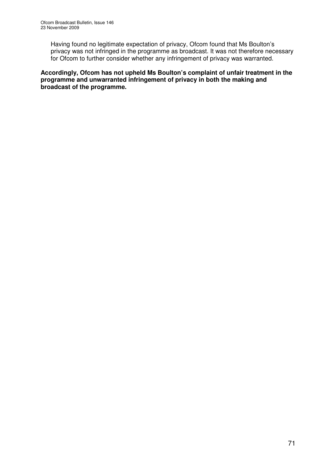Having found no legitimate expectation of privacy, Ofcom found that Ms Boulton's privacy was not infringed in the programme as broadcast. It was not therefore necessary for Ofcom to further consider whether any infringement of privacy was warranted.

**Accordingly, Ofcom has not upheld Ms Boulton's complaint of unfair treatment in the programme and unwarranted infringement of privacy in both the making and broadcast of the programme.**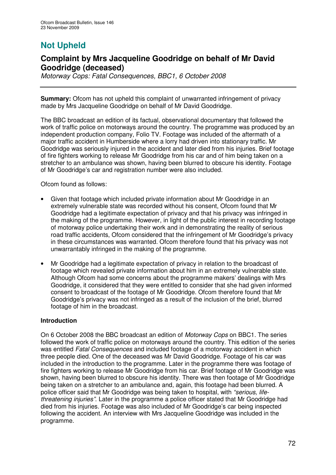# **Not Upheld**

## **Complaint by Mrs Jacqueline Goodridge on behalf of Mr David Goodridge (deceased)**

*Motorway Cops: Fatal Consequences, BBC1, 6 October 2008*

**Summary:** Ofcom has not upheld this complaint of unwarranted infringement of privacy made by Mrs Jacqueline Goodridge on behalf of Mr David Goodridge.

The BBC broadcast an edition of its factual, observational documentary that followed the work of traffic police on motorways around the country. The programme was produced by an independent production company, Folio TV. Footage was included of the aftermath of a major traffic accident in Humberside where a lorry had driven into stationary traffic. Mr Goodridge was seriously injured in the accident and later died from his injuries. Brief footage of fire fighters working to release Mr Goodridge from his car and of him being taken on a stretcher to an ambulance was shown, having been blurred to obscure his identity. Footage of Mr Goodridge's car and registration number were also included.

Ofcom found as follows:

- Given that footage which included private information about Mr Goodridge in an extremely vulnerable state was recorded without his consent, Ofcom found that Mr Goodridge had a legitimate expectation of privacy and that his privacy was infringed in the making of the programme. However, in light of the public interest in recording footage of motorway police undertaking their work and in demonstrating the reality of serious road traffic accidents, Ofcom considered that the infringement of Mr Goodridge's privacy in these circumstances was warranted. Ofcom therefore found that his privacy was not unwarrantably infringed in the making of the programme.
- Mr Goodridge had a legitimate expectation of privacy in relation to the broadcast of footage which revealed private information about him in an extremely vulnerable state. Although Ofcom had some concerns about the programme makers' dealings with Mrs Goodridge, it considered that they were entitled to consider that she had given informed consent to broadcast of the footage of Mr Goodridge. Ofcom therefore found that Mr Goodridge's privacy was not infringed as a result of the inclusion of the brief, blurred footage of him in the broadcast.

## **Introduction**

On 6 October 2008 the BBC broadcast an edition of *Motorway Cops* on BBC1. The series followed the work of traffic police on motorways around the country. This edition of the series was entitled *Fatal Consequences* and included footage of a motorway accident in which three people died. One of the deceased was Mr David Goodridge. Footage of his car was included in the introduction to the programme. Later in the programme there was footage of fire fighters working to release Mr Goodridge from his car. Brief footage of Mr Goodridge was shown, having been blurred to obscure his identity. There was then footage of Mr Goodridge being taken on a stretcher to an ambulance and, again, this footage had been blurred. A police officer said that Mr Goodridge was being taken to hospital, with *"serious, lifethreatening injuries"*. Later in the programme a police officer stated that Mr Goodridge had died from his injuries. Footage was also included of Mr Goodridge's car being inspected following the accident. An interview with Mrs Jacqueline Goodridge was included in the programme.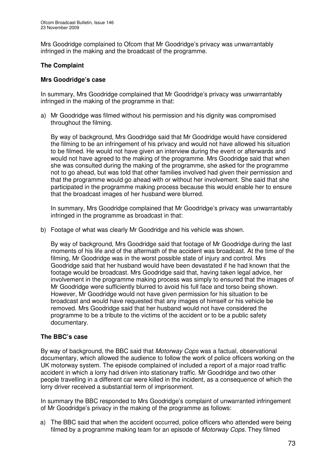Mrs Goodridge complained to Ofcom that Mr Goodridge's privacy was unwarrantably infringed in the making and the broadcast of the programme.

## **The Complaint**

### **Mrs Goodridge's case**

In summary, Mrs Goodridge complained that Mr Goodridge's privacy was unwarrantably infringed in the making of the programme in that:

a) Mr Goodridge was filmed without his permission and his dignity was compromised throughout the filming.

By way of background, Mrs Goodridge said that Mr Goodridge would have considered the filming to be an infringement of his privacy and would not have allowed his situation to be filmed. He would not have given an interview during the event or afterwards and would not have agreed to the making of the programme. Mrs Goodridge said that when she was consulted during the making of the programme, she asked for the programme not to go ahead, but was told that other families involved had given their permission and that the programme would go ahead with or without her involvement. She said that she participated in the programme making process because this would enable her to ensure that the broadcast images of her husband were blurred.

In summary, Mrs Goodridge complained that Mr Goodridge's privacy was unwarrantably infringed in the programme as broadcast in that:

b) Footage of what was clearly Mr Goodridge and his vehicle was shown.

By way of background, Mrs Goodridge said that footage of Mr Goodridge during the last moments of his life and of the aftermath of the accident was broadcast. At the time of the filming, Mr Goodridge was in the worst possible state of injury and control. Mrs Goodridge said that her husband would have been devastated if he had known that the footage would be broadcast. Mrs Goodridge said that, having taken legal advice, her involvement in the programme making process was simply to ensured that the images of Mr Goodridge were sufficiently blurred to avoid his full face and torso being shown. However, Mr Goodridge would not have given permission for his situation to be broadcast and would have requested that any images of himself or his vehicle be removed. Mrs Goodridge said that her husband would not have considered the programme to be a tribute to the victims of the accident or to be a public safety documentary.

## **The BBC's case**

By way of background, the BBC said that *Motorway Cops* was a factual, observational documentary, which allowed the audience to follow the work of police officers working on the UK motorway system. The episode complained of included a report of a major road traffic accident in which a lorry had driven into stationary traffic. Mr Goodridge and two other people travelling in a different car were killed in the incident, as a consequence of which the lorry driver received a substantial term of imprisonment.

In summary the BBC responded to Mrs Goodridge's complaint of unwarranted infringement of Mr Goodridge's privacy in the making of the programme as follows:

a) The BBC said that when the accident occurred, police officers who attended were being filmed by a programme making team for an episode of *Motorway Cops*. They filmed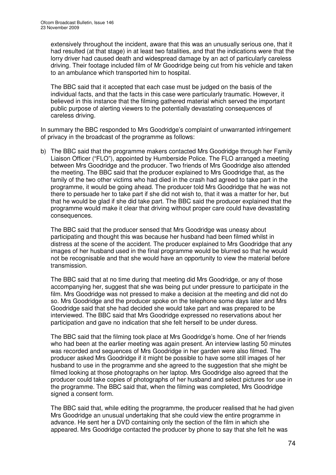extensively throughout the incident, aware that this was an unusually serious one, that it had resulted (at that stage) in at least two fatalities, and that the indications were that the lorry driver had caused death and widespread damage by an act of particularly careless driving. Their footage included film of Mr Goodridge being cut from his vehicle and taken to an ambulance which transported him to hospital.

The BBC said that it accepted that each case must be judged on the basis of the individual facts, and that the facts in this case were particularly traumatic. However, it believed in this instance that the filming gathered material which served the important public purpose of alerting viewers to the potentially devastating consequences of careless driving.

In summary the BBC responded to Mrs Goodridge's complaint of unwarranted infringement of privacy in the broadcast of the programme as follows:

b) The BBC said that the programme makers contacted Mrs Goodridge through her Family Liaison Officer ("FLO"), appointed by Humberside Police. The FLO arranged a meeting between Mrs Goodridge and the producer. Two friends of Mrs Goodridge also attended the meeting. The BBC said that the producer explained to Mrs Goodridge that, as the family of the two other victims who had died in the crash had agreed to take part in the programme, it would be going ahead. The producer told Mrs Goodridge that he was not there to persuade her to take part if she did not wish to, that it was a matter for her, but that he would be glad if she did take part. The BBC said the producer explained that the programme would make it clear that driving without proper care could have devastating consequences.

The BBC said that the producer sensed that Mrs Goodridge was uneasy about participating and thought this was because her husband had been filmed whilst in distress at the scene of the accident. The producer explained to Mrs Goodridge that any images of her husband used in the final programme would be blurred so that he would not be recognisable and that she would have an opportunity to view the material before transmission.

The BBC said that at no time during that meeting did Mrs Goodridge, or any of those accompanying her, suggest that she was being put under pressure to participate in the film. Mrs Goodridge was not pressed to make a decision at the meeting and did not do so. Mrs Goodridge and the producer spoke on the telephone some days later and Mrs Goodridge said that she had decided she would take part and was prepared to be interviewed. The BBC said that Mrs Goodridge expressed no reservations about her participation and gave no indication that she felt herself to be under duress.

The BBC said that the filming took place at Mrs Goodridge's home. One of her friends who had been at the earlier meeting was again present. An interview lasting 50 minutes was recorded and sequences of Mrs Goodridge in her garden were also filmed. The producer asked Mrs Goodridge if it might be possible to have some still images of her husband to use in the programme and she agreed to the suggestion that she might be filmed looking at those photographs on her laptop. Mrs Goodridge also agreed that the producer could take copies of photographs of her husband and select pictures for use in the programme. The BBC said that, when the filming was completed, Mrs Goodridge signed a consent form.

The BBC said that, while editing the programme, the producer realised that he had given Mrs Goodridge an unusual undertaking that she could view the entire programme in advance. He sent her a DVD containing only the section of the film in which she appeared. Mrs Goodridge contacted the producer by phone to say that she felt he was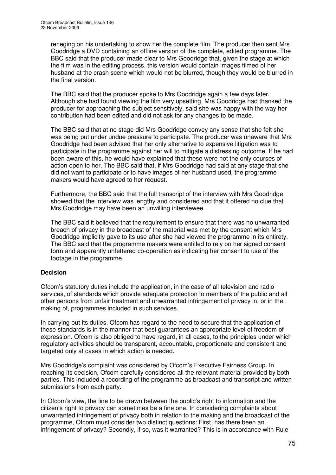reneging on his undertaking to show her the complete film. The producer then sent Mrs Goodridge a DVD containing an offline version of the complete, edited programme. The BBC said that the producer made clear to Mrs Goodridge that, given the stage at which the film was in the editing process, this version would contain images filmed of her husband at the crash scene which would not be blurred, though they would be blurred in the final version.

The BBC said that the producer spoke to Mrs Goodridge again a few days later. Although she had found viewing the film very upsetting, Mrs Goodridge had thanked the producer for approaching the subject sensitively, said she was happy with the way her contribution had been edited and did not ask for any changes to be made.

The BBC said that at no stage did Mrs Goodridge convey any sense that she felt she was being put under undue pressure to participate. The producer was unaware that Mrs Goodridge had been advised that her only alternative to expensive litigation was to participate in the programme against her will to mitigate a distressing outcome. If he had been aware of this, he would have explained that these were not the only courses of action open to her. The BBC said that, if Mrs Goodridge had said at any stage that she did not want to participate or to have images of her husband used, the programme makers would have agreed to her request.

Furthermore, the BBC said that the full transcript of the interview with Mrs Goodridge showed that the interview was lengthy and considered and that it offered no clue that Mrs Goodridge may have been an unwilling interviewee.

The BBC said it believed that the requirement to ensure that there was no unwarranted breach of privacy in the broadcast of the material was met by the consent which Mrs Goodridge implicitly gave to its use after she had viewed the programme in its entirety. The BBC said that the programme makers were entitled to rely on her signed consent form and apparently unfettered co-operation as indicating her consent to use of the footage in the programme.

## **Decision**

Ofcom's statutory duties include the application, in the case of all television and radio services, of standards which provide adequate protection to members of the public and all other persons from unfair treatment and unwarranted infringement of privacy in, or in the making of, programmes included in such services.

In carrying out its duties, Ofcom has regard to the need to secure that the application of these standards is in the manner that best guarantees an appropriate level of freedom of expression. Ofcom is also obliged to have regard, in all cases, to the principles under which regulatory activities should be transparent, accountable, proportionate and consistent and targeted only at cases in which action is needed.

Mrs Goodridge's complaint was considered by Ofcom's Executive Fairness Group. In reaching its decision, Ofcom carefully considered all the relevant material provided by both parties. This included a recording of the programme as broadcast and transcript and written submissions from each party.

In Ofcom's view, the line to be drawn between the public's right to information and the citizen's right to privacy can sometimes be a fine one. In considering complaints about unwarranted infringement of privacy both in relation to the making and the broadcast of the programme, Ofcom must consider two distinct questions: First, has there been an infringement of privacy? Secondly, if so, was it warranted? This is in accordance with Rule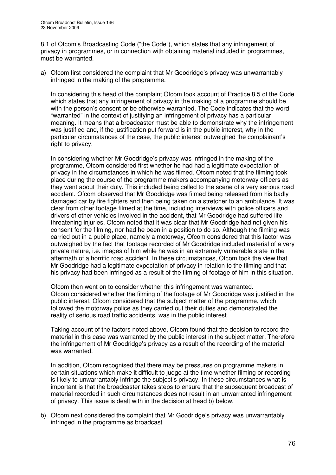8.1 of Ofcom's Broadcasting Code ("the Code"), which states that any infringement of privacy in programmes, or in connection with obtaining material included in programmes, must be warranted.

a) Ofcom first considered the complaint that Mr Goodridge's privacy was unwarrantably infringed in the making of the programme.

In considering this head of the complaint Ofcom took account of Practice 8.5 of the Code which states that any infringement of privacy in the making of a programme should be with the person's consent or be otherwise warranted. The Code indicates that the word "warranted" in the context of justifying an infringement of privacy has a particular meaning. It means that a broadcaster must be able to demonstrate why the infringement was justified and, if the justification put forward is in the public interest, why in the particular circumstances of the case, the public interest outweighed the complainant's right to privacy.

In considering whether Mr Goodridge's privacy was infringed in the making of the programme, Ofcom considered first whether he had had a legitimate expectation of privacy in the circumstances in which he was filmed. Ofcom noted that the filming took place during the course of the programme makers accompanying motorway officers as they went about their duty. This included being called to the scene of a very serious road accident. Ofcom observed that Mr Goodridge was filmed being released from his badly damaged car by fire fighters and then being taken on a stretcher to an ambulance. It was clear from other footage filmed at the time, including interviews with police officers and drivers of other vehicles involved in the accident, that Mr Goodridge had suffered life threatening injuries. Ofcom noted that it was clear that Mr Goodridge had not given his consent for the filming, nor had he been in a position to do so. Although the filming was carried out in a public place, namely a motorway, Ofcom considered that this factor was outweighed by the fact that footage recorded of Mr Goodridge included material of a very private nature, i.e. images of him while he was in an extremely vulnerable state in the aftermath of a horrific road accident. In these circumstances, Ofcom took the view that Mr Goodridge had a legitimate expectation of privacy in relation to the filming and that his privacy had been infringed as a result of the filming of footage of him in this situation.

Ofcom then went on to consider whether this infringement was warranted. Ofcom considered whether the filming of the footage of Mr Goodridge was justified in the public interest. Ofcom considered that the subject matter of the programme, which followed the motorway police as they carried out their duties and demonstrated the reality of serious road traffic accidents, was in the public interest.

Taking account of the factors noted above, Ofcom found that the decision to record the material in this case was warranted by the public interest in the subject matter. Therefore the infringement of Mr Goodridge's privacy as a result of the recording of the material was warranted.

In addition, Ofcom recognised that there may be pressures on programme makers in certain situations which make it difficult to judge at the time whether filming or recording is likely to unwarrantably infringe the subject's privacy. In these circumstances what is important is that the broadcaster takes steps to ensure that the subsequent broadcast of material recorded in such circumstances does not result in an unwarranted infringement of privacy. This issue is dealt with in the decision at head b) below.

b) Ofcom next considered the complaint that Mr Goodridge's privacy was unwarrantably infringed in the programme as broadcast.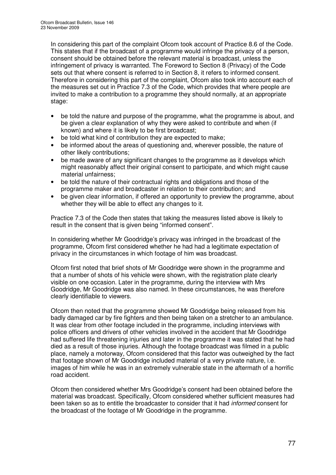In considering this part of the complaint Ofcom took account of Practice 8.6 of the Code. This states that if the broadcast of a programme would infringe the privacy of a person, consent should be obtained before the relevant material is broadcast, unless the infringement of privacy is warranted. The Foreword to Section 8 (Privacy) of the Code sets out that where consent is referred to in Section 8, it refers to informed consent. Therefore in considering this part of the complaint, Ofcom also took into account each of the measures set out in Practice 7.3 of the Code, which provides that where people are invited to make a contribution to a programme they should normally, at an appropriate stage:

- be told the nature and purpose of the programme, what the programme is about, and be given a clear explanation of why they were asked to contribute and when (if known) and where it is likely to be first broadcast;
- be told what kind of contribution they are expected to make;
- be informed about the areas of questioning and, wherever possible, the nature of other likely contributions;
- be made aware of any significant changes to the programme as it develops which might reasonably affect their original consent to participate, and which might cause material unfairness;
- be told the nature of their contractual rights and obligations and those of the programme maker and broadcaster in relation to their contribution; and
- be given clear information, if offered an opportunity to preview the programme, about whether they will be able to effect any changes to it.

Practice 7.3 of the Code then states that taking the measures listed above is likely to result in the consent that is given being "informed consent".

In considering whether Mr Goodridge's privacy was infringed in the broadcast of the programme, Ofcom first considered whether he had had a legitimate expectation of privacy in the circumstances in which footage of him was broadcast.

Ofcom first noted that brief shots of Mr Goodridge were shown in the programme and that a number of shots of his vehicle were shown, with the registration plate clearly visible on one occasion. Later in the programme, during the interview with Mrs Goodridge, Mr Goodridge was also named. In these circumstances, he was therefore clearly identifiable to viewers.

Ofcom then noted that the programme showed Mr Goodridge being released from his badly damaged car by fire fighters and then being taken on a stretcher to an ambulance. It was clear from other footage included in the programme, including interviews with police officers and drivers of other vehicles involved in the accident that Mr Goodridge had suffered life threatening injuries and later in the programme it was stated that he had died as a result of those injuries. Although the footage broadcast was filmed in a public place, namely a motorway, Ofcom considered that this factor was outweighed by the fact that footage shown of Mr Goodridge included material of a very private nature, i.e. images of him while he was in an extremely vulnerable state in the aftermath of a horrific road accident.

Ofcom then considered whether Mrs Goodridge's consent had been obtained before the material was broadcast. Specifically, Ofcom considered whether sufficient measures had been taken so as to entitle the broadcaster to consider that it had *informed* consent for the broadcast of the footage of Mr Goodridge in the programme.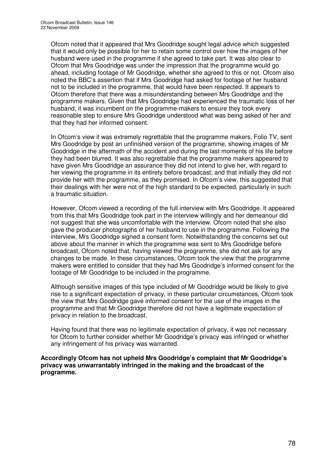Ofcom noted that it appeared that Mrs Goodridge sought legal advice which suggested that it would only be possible for her to retain some control over how the images of her husband were used in the programme if she agreed to take part. It was also clear to Ofcom that Mrs Goodridge was under the impression that the programme would go ahead, including footage of Mr Goodridge, whether she agreed to this or not. Ofcom also noted the BBC's assertion that if Mrs Goodridge had asked for footage of her husband not to be included in the programme, that would have been respected. It appears to Ofcom therefore that there was a misunderstanding between Mrs Goodridge and the programme makers. Given that Mrs Goodridge had experienced the traumatic loss of her husband, it was incumbent on the programme-makers to ensure they took every reasonable step to ensure Mrs Goodridge understood what was being asked of her and that they had her informed consent.

In Ofcom's view it was extremely regrettable that the programme makers, Folio TV, sent Mrs Goodridge by post an unfinished version of the programme, showing images of Mr Goodridge in the aftermath of the accident and during the last moments of his life before they had been blurred. It was also regrettable that the programme makers appeared to have given Mrs Goodridge an assurance they did not intend to give her, with regard to her viewing the programme in its entirety before broadcast; and that initially they did not provide her with the programme, as they promised. In Ofcom's view, this suggested that their dealings with her were not of the high standard to be expected, particularly in such a traumatic situation.

However, Ofcom viewed a recording of the full interview with Mrs Goodridge. It appeared from this that Mrs Goodridge took part in the interview willingly and her demeanour did not suggest that she was uncomfortable with the interview. Ofcom noted that she also gave the producer photographs of her husband to use in the programme. Following the interview, Mrs Goodridge signed a consent form. Notwithstanding the concerns set out above about the manner in which the programme was sent to Mrs Goodridge before broadcast, Ofcom noted that, having viewed the programme, she did not ask for any changes to be made. In these circumstances, Ofcom took the view that the programme makers were entitled to consider that they had Mrs Goodridge's informed consent for the footage of Mr Goodridge to be included in the programme.

Although sensitive images of this type included of Mr Goodridge would be likely to give rise to a significant expectation of privacy, in these particular circumstances, Ofcom took the view that Mrs Goodridge gave informed consent for the use of the images in the programme and that Mr Goodridge therefore did not have a legitimate expectation of privacy in relation to the broadcast.

Having found that there was no legitimate expectation of privacy, it was not necessary for Ofcom to further consider whether Mr Goodridge's privacy was infringed or whether any infringement of his privacy was warranted.

**Accordingly Ofcom has not upheld Mrs Goodridge's complaint that Mr Goodridge's privacy was unwarrantably infringed in the making and the broadcast of the programme.**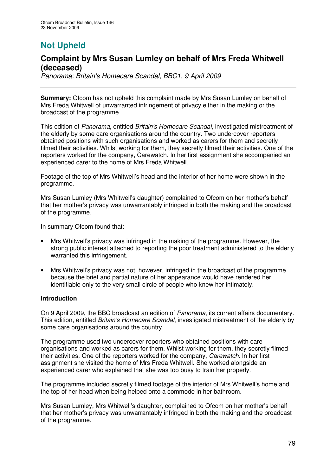# **Not Upheld**

## **Complaint by Mrs Susan Lumley on behalf of Mrs Freda Whitwell (deceased)**

*Panorama: Britain's Homecare Scandal, BBC1, 9 April 2009*

**Summary:** Ofcom has not upheld this complaint made by Mrs Susan Lumley on behalf of Mrs Freda Whitwell of unwarranted infringement of privacy either in the making or the broadcast of the programme.

This edition of *Panorama*, entitled *Britain's Homecare Scandal*, investigated mistreatment of the elderly by some care organisations around the country. Two undercover reporters obtained positions with such organisations and worked as carers for them and secretly filmed their activities. Whilst working for them, they secretly filmed their activities. One of the reporters worked for the company, Carewatch. In her first assignment she accompanied an experienced carer to the home of Mrs Freda Whitwell.

Footage of the top of Mrs Whitwell's head and the interior of her home were shown in the programme.

Mrs Susan Lumley (Mrs Whitwell's daughter) complained to Ofcom on her mother's behalf that her mother's privacy was unwarrantably infringed in both the making and the broadcast of the programme.

In summary Ofcom found that:

- Mrs Whitwell's privacy was infringed in the making of the programme. However, the strong public interest attached to reporting the poor treatment administered to the elderly warranted this infringement.
- Mrs Whitwell's privacy was not, however, infringed in the broadcast of the programme because the brief and partial nature of her appearance would have rendered her identifiable only to the very small circle of people who knew her intimately.

## **Introduction**

On 9 April 2009, the BBC broadcast an edition of *Panorama*, its current affairs documentary. This edition, entitled *Britain's Homecare Scandal*, investigated mistreatment of the elderly by some care organisations around the country.

The programme used two undercover reporters who obtained positions with care organisations and worked as carers for them. Whilst working for them, they secretly filmed their activities. One of the reporters worked for the company, *Carewatch.* In her first assignment she visited the home of Mrs Freda Whitwell. She worked alongside an experienced carer who explained that she was too busy to train her properly.

The programme included secretly filmed footage of the interior of Mrs Whitwell's home and the top of her head when being helped onto a commode in her bathroom.

Mrs Susan Lumley, Mrs Whitwell's daughter, complained to Ofcom on her mother's behalf that her mother's privacy was unwarrantably infringed in both the making and the broadcast of the programme.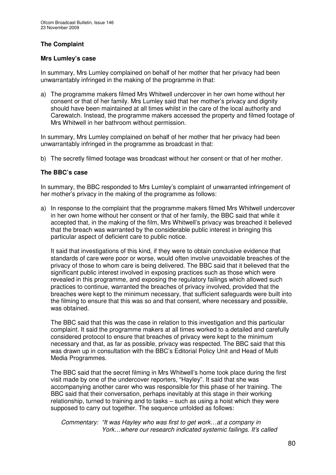## **The Complaint**

## **Mrs Lumley's case**

In summary, Mrs Lumley complained on behalf of her mother that her privacy had been unwarrantably infringed in the making of the programme in that:

a) The programme makers filmed Mrs Whitwell undercover in her own home without her consent or that of her family. Mrs Lumley said that her mother's privacy and dignity should have been maintained at all times whilst in the care of the local authority and Carewatch. Instead, the programme makers accessed the property and filmed footage of Mrs Whitwell in her bathroom without permission.

In summary, Mrs Lumley complained on behalf of her mother that her privacy had been unwarrantably infringed in the programme as broadcast in that:

b) The secretly filmed footage was broadcast without her consent or that of her mother.

## **The BBC's case**

In summary, the BBC responded to Mrs Lumley's complaint of unwarranted infringement of her mother's privacy in the making of the programme as follows:

a) In response to the complaint that the programme makers filmed Mrs Whitwell undercover in her own home without her consent or that of her family, the BBC said that while it accepted that, in the making of the film, Mrs Whitwell's privacy was breached it believed that the breach was warranted by the considerable public interest in bringing this particular aspect of deficient care to public notice.

It said that investigations of this kind, if they were to obtain conclusive evidence that standards of care were poor or worse, would often involve unavoidable breaches of the privacy of those to whom care is being delivered. The BBC said that it believed that the significant public interest involved in exposing practices such as those which were revealed in this programme, and exposing the regulatory failings which allowed such practices to continue, warranted the breaches of privacy involved, provided that the breaches were kept to the minimum necessary, that sufficient safeguards were built into the filming to ensure that this was so and that consent, where necessary and possible, was obtained.

The BBC said that this was the case in relation to this investigation and this particular complaint. It said the programme makers at all times worked to a detailed and carefully considered protocol to ensure that breaches of privacy were kept to the minimum necessary and that, as far as possible, privacy was respected. The BBC said that this was drawn up in consultation with the BBC's Editorial Policy Unit and Head of Multi Media Programmes.

The BBC said that the secret filming in Mrs Whitwell's home took place during the first visit made by one of the undercover reporters, "Hayley". It said that she was accompanying another carer who was responsible for this phase of her training. The BBC said that their conversation, perhaps inevitably at this stage in their working relationship, turned to training and to tasks – such as using a hoist which they were supposed to carry out together. The sequence unfolded as follows:

*Commentary: "It was Hayley who was first to get work…at a company in York…where our research indicated systemic failings. It's called*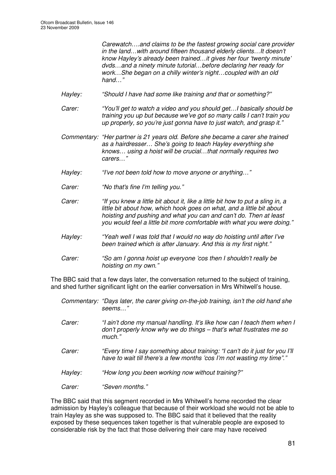*Carewatch….and claims to be the fastest growing social care provider in the land…with around fifteen thousand elderly clients…It doesn't know Hayley's already been trained…it gives her four 'twenty minute' dvds…and a ninety minute tutorial…before declaring her ready for work…She began on a chilly winter's night…coupled with an old hand…"*

- *Hayley: "Should I have had some like training and that or something?"*
- *Carer: "You'll get to watch a video and you should get…I basically should be training you up but because we've got so many calls I can't train you up properly, so you're just gonna have to just watch, and grasp it."*
- *Commentary: "Her partner is 21 years old. Before she became a carer she trained as a hairdresser… She's going to teach Hayley everything she knows… using a hoist will be crucial…that normally requires two carers…"*
- *Hayley: "I've not been told how to move anyone or anything…"*
- *Carer: "No that's fine I'm telling you."*
- Carer: "If you knew a little bit about it, like a little bit how to put a sling in, a *little bit about how, which hook goes on what, and a little bit about hoisting and pushing and what you can and can't do. Then at least you would feel a little bit more comfortable with what you were doing."*
- *Hayley: "Yeah well I was told that I would no way do hoisting until after I've been trained which is after January. And this is my first night."*
- *Carer: "So am I gonna hoist up everyone 'cos then I shouldn't really be hoisting on my own."*

The BBC said that a few days later, the conversation returned to the subject of training, and shed further significant light on the earlier conversation in Mrs Whitwell's house.

- *Commentary: "Days later, the carer giving on-the-job training, isn't the old hand she seems…"*
- *Carer: "I ain't done my manual handling. It's like how can I teach them when I don't properly know why we do things – that's what frustrates me so much."*
- *Carer: "Every time I say something about training: "I can't do it just for you I'll have to wait till there's a few months 'cos I'm not wasting my time"."*
- *Hayley: "How long you been working now without training?"*
- *Carer: "Seven months."*

The BBC said that this segment recorded in Mrs Whitwell's home recorded the clear admission by Hayley's colleague that because of their workload she would not be able to train Hayley as she was supposed to. The BBC said that it believed that the reality exposed by these sequences taken together is that vulnerable people are exposed to considerable risk by the fact that those delivering their care may have received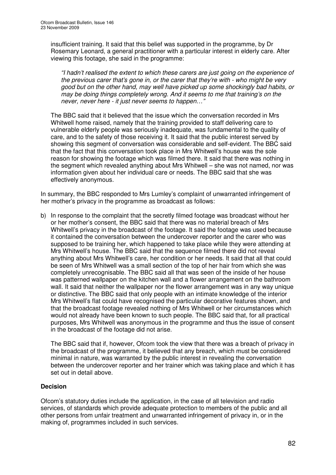insufficient training. It said that this belief was supported in the programme, by Dr Rosemary Leonard, a general practitioner with a particular interest in elderly care. After viewing this footage, she said in the programme:

*"I hadn't realised the extent to which these carers are just going on the experience of the previous carer that's gone in, or the carer that they're with - who might be very good but on the other hand, may well have picked up some shockingly bad habits, or may be doing things completely wrong. And it seems to me that training's on the never, never here - it just never seems to happen…"*

The BBC said that it believed that the issue which the conversation recorded in Mrs Whitwell home raised, namely that the training provided to staff delivering care to vulnerable elderly people was seriously inadequate, was fundamental to the quality of care, and to the safety of those receiving it. It said that the public interest served by showing this segment of conversation was considerable and self-evident. The BBC said that the fact that this conversation took place in Mrs Whitwell's house was the sole reason for showing the footage which was filmed there. It said that there was nothing in the segment which revealed anything about Mrs Whitwell – she was not named, nor was information given about her individual care or needs. The BBC said that she was effectively anonymous.

In summary, the BBC responded to Mrs Lumley's complaint of unwarranted infringement of her mother's privacy in the programme as broadcast as follows:

b) In response to the complaint that the secretly filmed footage was broadcast without her or her mother's consent, the BBC said that there was no material breach of Mrs Whitwell's privacy in the broadcast of the footage. It said the footage was used because it contained the conversation between the undercover reporter and the carer who was supposed to be training her, which happened to take place while they were attending at Mrs Whitwell's house. The BBC said that the sequence filmed there did not reveal anything about Mrs Whitwell's care, her condition or her needs. It said that all that could be seen of Mrs Whitwell was a small section of the top of her hair from which she was completely unrecognisable. The BBC said all that was seen of the inside of her house was patterned wallpaper on the kitchen wall and a flower arrangement on the bathroom wall. It said that neither the wallpaper nor the flower arrangement was in any way unique or distinctive. The BBC said that only people with an intimate knowledge of the interior Mrs Whitwell's flat could have recognised the particular decorative features shown, and that the broadcast footage revealed nothing of Mrs Whitwell or her circumstances which would not already have been known to such people. The BBC said that, for all practical purposes, Mrs Whitwell was anonymous in the programme and thus the issue of consent in the broadcast of the footage did not arise.

The BBC said that if, however, Ofcom took the view that there was a breach of privacy in the broadcast of the programme, it believed that any breach, which must be considered minimal in nature, was warranted by the public interest in revealing the conversation between the undercover reporter and her trainer which was taking place and which it has set out in detail above.

## **Decision**

Ofcom's statutory duties include the application, in the case of all television and radio services, of standards which provide adequate protection to members of the public and all other persons from unfair treatment and unwarranted infringement of privacy in, or in the making of, programmes included in such services.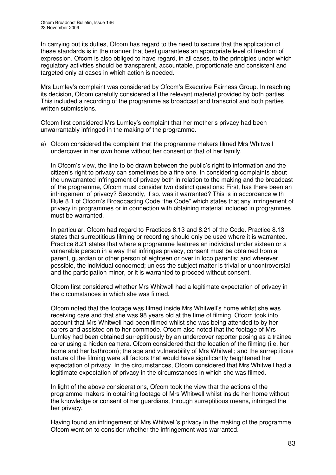In carrying out its duties, Ofcom has regard to the need to secure that the application of these standards is in the manner that best guarantees an appropriate level of freedom of expression. Ofcom is also obliged to have regard, in all cases, to the principles under which regulatory activities should be transparent, accountable, proportionate and consistent and targeted only at cases in which action is needed.

Mrs Lumley's complaint was considered by Ofcom's Executive Fairness Group. In reaching its decision, Ofcom carefully considered all the relevant material provided by both parties. This included a recording of the programme as broadcast and transcript and both parties written submissions.

Ofcom first considered Mrs Lumley's complaint that her mother's privacy had been unwarrantably infringed in the making of the programme.

a) Ofcom considered the complaint that the programme makers filmed Mrs Whitwell undercover in her own home without her consent or that of her family.

In Ofcom's view, the line to be drawn between the public's right to information and the citizen's right to privacy can sometimes be a fine one. In considering complaints about the unwarranted infringement of privacy both in relation to the making and the broadcast of the programme, Ofcom must consider two distinct questions: First, has there been an infringement of privacy? Secondly, if so, was it warranted? This is in accordance with Rule 8.1 of Ofcom's Broadcasting Code "the Code" which states that any infringement of privacy in programmes or in connection with obtaining material included in programmes must be warranted.

In particular, Ofcom had regard to Practices 8.13 and 8.21 of the Code. Practice 8.13 states that surreptitious filming or recording should only be used where it is warranted. Practice 8.21 states that where a programme features an individual under sixteen or a vulnerable person in a way that infringes privacy, consent must be obtained from a parent, guardian or other person of eighteen or over in loco parentis; and wherever possible, the individual concerned; unless the subject matter is trivial or uncontroversial and the participation minor, or it is warranted to proceed without consent.

Ofcom first considered whether Mrs Whitwell had a legitimate expectation of privacy in the circumstances in which she was filmed.

Ofcom noted that the footage was filmed inside Mrs Whitwell's home whilst she was receiving care and that she was 98 years old at the time of filming. Ofcom took into account that Mrs Whitwell had been filmed whilst she was being attended to by her carers and assisted on to her commode. Ofcom also noted that the footage of Mrs Lumley had been obtained surreptitiously by an undercover reporter posing as a trainee carer using a hidden camera. Ofcom considered that the location of the filming (i.e. her home and her bathroom); the age and vulnerability of Mrs Whitwell; and the surreptitious nature of the filming were all factors that would have significantly heightened her expectation of privacy. In the circumstances, Ofcom considered that Mrs Whitwell had a legitimate expectation of privacy in the circumstances in which she was filmed.

In light of the above considerations, Ofcom took the view that the actions of the programme makers in obtaining footage of Mrs Whitwell whilst inside her home without the knowledge or consent of her guardians, through surreptitious means, infringed the her privacy.

Having found an infringement of Mrs Whitwell's privacy in the making of the programme, Ofcom went on to consider whether the infringement was warranted.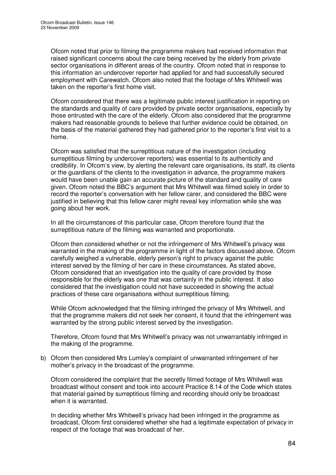Ofcom noted that prior to filming the programme makers had received information that raised significant concerns about the care being received by the elderly from private sector organisations in different areas of the country. Ofcom noted that in response to this information an undercover reporter had applied for and had successfully secured employment with Carewatch. Ofcom also noted that the footage of Mrs Whitwell was taken on the reporter's first home visit.

Ofcom considered that there was a legitimate public interest justification in reporting on the standards and quality of care provided by private sector organisations, especially by those entrusted with the care of the elderly. Ofcom also considered that the programme makers had reasonable grounds to believe that further evidence could be obtained, on the basis of the material gathered they had gathered prior to the reporter's first visit to a home.

Ofcom was satisfied that the surreptitious nature of the investigation (including surreptitious filming by undercover reporters) was essential to its authenticity and credibility. In Ofcom's view, by alerting the relevant care organisations, its staff, its clients or the guardians of the clients to the investigation in advance, the programme makers would have been unable gain an accurate picture of the standard and quality of care given. Ofcom noted the BBC's argument that Mrs Whitwell was filmed solely in order to record the reporter's conversation with her fellow carer, and considered the BBC were justified in believing that this fellow carer might reveal key information while she was going about her work.

In all the circumstances of this particular case, Ofcom therefore found that the surreptitious nature of the filming was warranted and proportionate.

Ofcom then considered whether or not the infringement of Mrs Whitwell's privacy was warranted in the making of the programme in light of the factors discussed above. Ofcom carefully weighed a vulnerable, elderly person's right to privacy against the public interest served by the filming of her care in these circumstances. As stated above, Ofcom considered that an investigation into the quality of care provided by those responsible for the elderly was one that was certainly in the public interest. It also considered that the investigation could not have succeeded in showing the actual practices of these care organisations without surreptitious filming.

While Ofcom acknowledged that the filming infringed the privacy of Mrs Whitwell, and that the programme makers did not seek her consent, it found that the infringement was warranted by the strong public interest served by the investigation.

Therefore, Ofcom found that Mrs Whitwell's privacy was not unwarrantably infringed in the making of the programme.

b) Ofcom then considered Mrs Lumley's complaint of unwarranted infringement of her mother's privacy in the broadcast of the programme.

Ofcom considered the complaint that the secretly filmed footage of Mrs Whitwell was broadcast without consent and took into account Practice 8.14 of the Code which states that material gained by surreptitious filming and recording should only be broadcast when it is warranted.

In deciding whether Mrs Whitwell's privacy had been infringed in the programme as broadcast, Ofcom first considered whether she had a legitimate expectation of privacy in respect of the footage that was broadcast of her.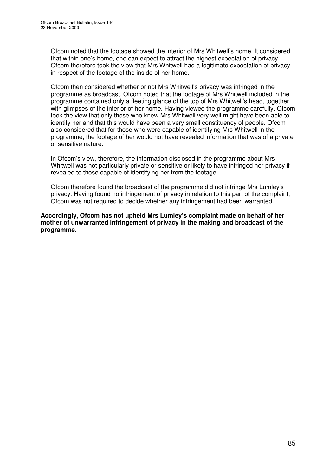Ofcom noted that the footage showed the interior of Mrs Whitwell's home. It considered that within one's home, one can expect to attract the highest expectation of privacy. Ofcom therefore took the view that Mrs Whitwell had a legitimate expectation of privacy in respect of the footage of the inside of her home.

Ofcom then considered whether or not Mrs Whitwell's privacy was infringed in the programme as broadcast. Ofcom noted that the footage of Mrs Whitwell included in the programme contained only a fleeting glance of the top of Mrs Whitwell's head, together with glimpses of the interior of her home. Having viewed the programme carefully, Ofcom took the view that only those who knew Mrs Whitwell very well might have been able to identify her and that this would have been a very small constituency of people. Ofcom also considered that for those who were capable of identifying Mrs Whitwell in the programme, the footage of her would not have revealed information that was of a private or sensitive nature.

In Ofcom's view, therefore, the information disclosed in the programme about Mrs Whitwell was not particularly private or sensitive or likely to have infringed her privacy if revealed to those capable of identifying her from the footage.

Ofcom therefore found the broadcast of the programme did not infringe Mrs Lumley's privacy. Having found no infringement of privacy in relation to this part of the complaint, Ofcom was not required to decide whether any infringement had been warranted.

**Accordingly, Ofcom has not upheld Mrs Lumley's complaint made on behalf of her mother of unwarranted infringement of privacy in the making and broadcast of the programme.**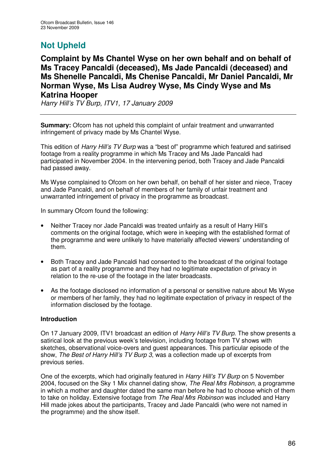# **Not Upheld**

**Complaint by Ms Chantel Wyse on her own behalf and on behalf of Ms Tracey Pancaldi (deceased), Ms Jade Pancaldi (deceased) and Ms Shenelle Pancaldi, Ms Chenise Pancaldi, Mr Daniel Pancaldi, Mr Norman Wyse, Ms Lisa Audrey Wyse, Ms Cindy Wyse and Ms Katrina Hooper**

*Harry Hill's TV Burp, ITV1, 17 January 2009*

**Summary:** Ofcom has not upheld this complaint of unfair treatment and unwarranted infringement of privacy made by Ms Chantel Wyse.

This edition of *Harry Hill's TV Burp* was a "best of" programme which featured and satirised footage from a reality programme in which Ms Tracey and Ms Jade Pancaldi had participated in November 2004. In the intervening period, both Tracey and Jade Pancaldi had passed away.

Ms Wyse complained to Ofcom on her own behalf, on behalf of her sister and niece, Tracey and Jade Pancaldi, and on behalf of members of her family of unfair treatment and unwarranted infringement of privacy in the programme as broadcast.

In summary Ofcom found the following:

- Neither Tracey nor Jade Pancaldi was treated unfairly as a result of Harry Hill's comments on the original footage, which were in keeping with the established format of the programme and were unlikely to have materially affected viewers' understanding of them.
- Both Tracey and Jade Pancaldi had consented to the broadcast of the original footage as part of a reality programme and they had no legitimate expectation of privacy in relation to the re-use of the footage in the later broadcasts.
- As the footage disclosed no information of a personal or sensitive nature about Ms Wyse or members of her family, they had no legitimate expectation of privacy in respect of the information disclosed by the footage.

## **Introduction**

On 17 January 2009, ITV1 broadcast an edition of *Harry Hill's TV Burp*. The show presents a satirical look at the previous week's television, including footage from TV shows with sketches, observational voice-overs and guest appearances. This particular episode of the show, *The Best of Harry Hill's TV Burp 3*, was a collection made up of excerpts from previous series.

One of the excerpts, which had originally featured in *Harry Hill's TV Burp* on 5 November 2004, focused on the Sky 1 Mix channel dating show, *The Real Mrs Robinson*, a programme in which a mother and daughter dated the same man before he had to choose which of them to take on holiday. Extensive footage from *The Real Mrs Robinson* was included and Harry Hill made jokes about the participants, Tracey and Jade Pancaldi (who were not named in the programme) and the show itself.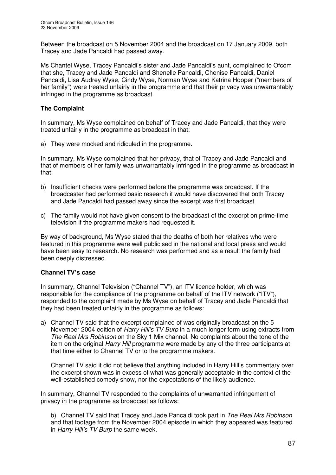Between the broadcast on 5 November 2004 and the broadcast on 17 January 2009, both Tracey and Jade Pancaldi had passed away.

Ms Chantel Wyse, Tracey Pancaldi's sister and Jade Pancaldi's aunt, complained to Ofcom that she, Tracey and Jade Pancaldi and Shenelle Pancaldi, Chenise Pancaldi, Daniel Pancaldi, Lisa Audrey Wyse, Cindy Wyse, Norman Wyse and Katrina Hooper ("members of her family") were treated unfairly in the programme and that their privacy was unwarrantably infringed in the programme as broadcast.

## **The Complaint**

In summary, Ms Wyse complained on behalf of Tracey and Jade Pancaldi, that they were treated unfairly in the programme as broadcast in that:

a) They were mocked and ridiculed in the programme.

In summary, Ms Wyse complained that her privacy, that of Tracey and Jade Pancaldi and that of members of her family was unwarrantably infringed in the programme as broadcast in that:

- b) Insufficient checks were performed before the programme was broadcast. If the broadcaster had performed basic research it would have discovered that both Tracey and Jade Pancaldi had passed away since the excerpt was first broadcast.
- c) The family would not have given consent to the broadcast of the excerpt on prime-time television if the programme makers had requested it.

By way of background, Ms Wyse stated that the deaths of both her relatives who were featured in this programme were well publicised in the national and local press and would have been easy to research. No research was performed and as a result the family had been deeply distressed.

## **Channel TV's case**

In summary, Channel Television ("Channel TV"), an ITV licence holder, which was responsible for the compliance of the programme on behalf of the ITV network ("ITV"), responded to the complaint made by Ms Wyse on behalf of Tracey and Jade Pancaldi that they had been treated unfairly in the programme as follows:

a) Channel TV said that the excerpt complained of was originally broadcast on the 5 November 2004 edition of *Harry Hill's TV Burp* in a much longer form using extracts from *The Real Mrs Robinson* on the Sky 1 Mix channel. No complaints about the tone of the item on the original *Harry Hill* programme were made by any of the three participants at that time either to Channel TV or to the programme makers.

Channel TV said it did not believe that anything included in Harry Hill's commentary over the excerpt shown was in excess of what was generally acceptable in the context of the well-established comedy show, nor the expectations of the likely audience.

In summary, Channel TV responded to the complaints of unwarranted infringement of privacy in the programme as broadcast as follows:

b) Channel TV said that Tracey and Jade Pancaldi took part in *The Real Mrs Robinson* and that footage from the November 2004 episode in which they appeared was featured in *Harry Hill's TV Burp* the same week.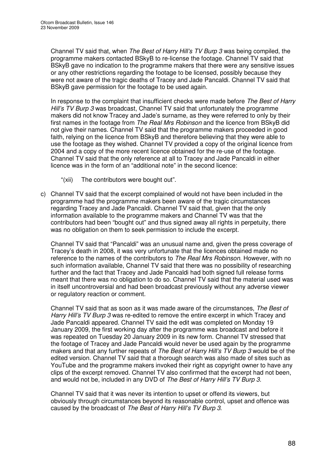Channel TV said that, when *The Best of Harry Hill's TV Burp 3* was being compiled, the programme makers contacted BSkyB to re-license the footage. Channel TV said that BSkyB gave no indication to the programme makers that there were any sensitive issues or any other restrictions regarding the footage to be licensed, possibly because they were not aware of the tragic deaths of Tracey and Jade Pancaldi. Channel TV said that BSkyB gave permission for the footage to be used again.

In response to the complaint that insufficient checks were made before *The Best of Harry Hill's TV Burp 3* was broadcast, Channel TV said that unfortunately the programme makers did not know Tracey and Jade's surname, as they were referred to only by their first names in the footage from *The Real Mrs Robinson* and the licence from BSkyB did not give their names. Channel TV said that the programme makers proceeded in good faith, relying on the licence from BSkyB and therefore believing that they were able to use the footage as they wished. Channel TV provided a copy of the original licence from 2004 and a copy of the more recent licence obtained for the re-use of the footage. Channel TV said that the only reference at all to Tracey and Jade Pancaldi in either licence was in the form of an "additional note" in the second licence:

- "(xii) The contributors were bought out".
- c) Channel TV said that the excerpt complained of would not have been included in the programme had the programme makers been aware of the tragic circumstances regarding Tracey and Jade Pancaldi. Channel TV said that, given that the only information available to the programme makers and Channel TV was that the contributors had been "bought out" and thus signed away all rights in perpetuity, there was no obligation on them to seek permission to include the excerpt.

Channel TV said that "Pancaldi" was an unusual name and, given the press coverage of Tracey's death in 2008, it was very unfortunate that the licences obtained made no reference to the names of the contributors to *The Real Mrs Robinson*. However, with no such information available, Channel TV said that there was no possibility of researching further and the fact that Tracey and Jade Pancaldi had both signed full release forms meant that there was no obligation to do so. Channel TV said that the material used was in itself uncontroversial and had been broadcast previously without any adverse viewer or regulatory reaction or comment.

Channel TV said that as soon as it was made aware of the circumstances, *The Best of Harry Hill's TV Burp 3* was re-edited to remove the entire excerpt in which Tracey and Jade Pancaldi appeared. Channel TV said the edit was completed on Monday 19 January 2009, the first working day after the programme was broadcast and before it was repeated on Tuesday 20 January 2009 in its new form. Channel TV stressed that the footage of Tracey and Jade Pancaldi would never be used again by the programme makers and that any further repeats of *The Best of Harry Hill's TV Burp 3* would be of the edited version. Channel TV said that a thorough search was also made of sites such as YouTube and the programme makers invoked their right as copyright owner to have any clips of the excerpt removed. Channel TV also confirmed that the excerpt had not been, and would not be, included in any DVD of *The Best of Harry Hill's TV Burp 3.*

Channel TV said that it was never its intention to upset or offend its viewers, but obviously through circumstances beyond its reasonable control, upset and offence was caused by the broadcast of *The Best of Harry Hill's TV Burp 3*.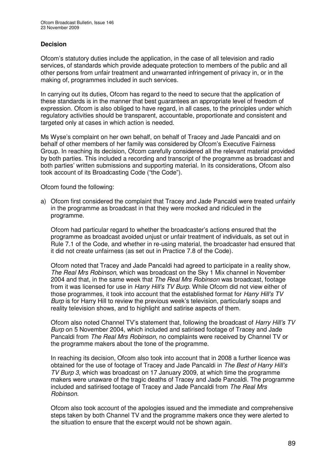## **Decision**

Ofcom's statutory duties include the application, in the case of all television and radio services, of standards which provide adequate protection to members of the public and all other persons from unfair treatment and unwarranted infringement of privacy in, or in the making of, programmes included in such services.

In carrying out its duties, Ofcom has regard to the need to secure that the application of these standards is in the manner that best guarantees an appropriate level of freedom of expression. Ofcom is also obliged to have regard, in all cases, to the principles under which regulatory activities should be transparent, accountable, proportionate and consistent and targeted only at cases in which action is needed.

Ms Wyse's complaint on her own behalf, on behalf of Tracey and Jade Pancaldi and on behalf of other members of her family was considered by Ofcom's Executive Fairness Group. In reaching its decision, Ofcom carefully considered all the relevant material provided by both parties. This included a recording and transcript of the programme as broadcast and both parties' written submissions and supporting material. In its considerations, Ofcom also took account of its Broadcasting Code ("the Code").

Ofcom found the following:

a) Ofcom first considered the complaint that Tracey and Jade Pancaldi were treated unfairly in the programme as broadcast in that they were mocked and ridiculed in the programme.

Ofcom had particular regard to whether the broadcaster's actions ensured that the programme as broadcast avoided unjust or unfair treatment of individuals, as set out in Rule 7.1 of the Code, and whether in re-using material, the broadcaster had ensured that it did not create unfairness (as set out in Practice 7.8 of the Code).

Ofcom noted that Tracey and Jade Pancaldi had agreed to participate in a reality show, *The Real Mrs Robinson*, which was broadcast on the Sky 1 Mix channel in November 2004 and that, in the same week that *The Real Mrs Robinson* was broadcast, footage from it was licensed for use in *Harry Hill's TV Burp*. While Ofcom did not view either of those programmes, it took into account that the established format for *Harry Hill's TV Burp* is for Harry Hill to review the previous week's television, particularly soaps and reality television shows, and to highlight and satirise aspects of them.

Ofcom also noted Channel TV's statement that, following the broadcast of *Harry Hill's TV Burp* on 5 November 2004, which included and satirised footage of Tracey and Jade Pancaldi from *The Real Mrs Robinson*, no complaints were received by Channel TV or the programme makers about the tone of the programme.

In reaching its decision, Ofcom also took into account that in 2008 a further licence was obtained for the use of footage of Tracey and Jade Pancaldi in *The Best of Harry Hill's TV Burp 3*, which was broadcast on 17 January 2009, at which time the programme makers were unaware of the tragic deaths of Tracey and Jade Pancaldi. The programme included and satirised footage of Tracey and Jade Pancaldi from *The Real Mrs Robinson*.

Ofcom also took account of the apologies issued and the immediate and comprehensive steps taken by both Channel TV and the programme makers once they were alerted to the situation to ensure that the excerpt would not be shown again.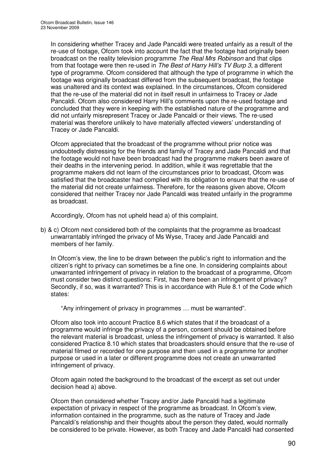In considering whether Tracey and Jade Pancaldi were treated unfairly as a result of the re-use of footage, Ofcom took into account the fact that the footage had originally been broadcast on the reality television programme *The Real Mrs Robinson* and that clips from that footage were then re-used in *The Best of Harry Hill's TV Burp 3*, a different type of programme. Ofcom considered that although the type of programme in which the footage was originally broadcast differed from the subsequent broadcast, the footage was unaltered and its context was explained. In the circumstances, Ofcom considered that the re-use of the material did not in itself result in unfairness to Tracey or Jade Pancaldi. Ofcom also considered Harry Hill's comments upon the re-used footage and concluded that they were in keeping with the established nature of the programme and did not unfairly misrepresent Tracey or Jade Pancaldi or their views. The re-used material was therefore unlikely to have materially affected viewers' understanding of Tracey or Jade Pancaldi.

Ofcom appreciated that the broadcast of the programme without prior notice was undoubtedly distressing for the friends and family of Tracey and Jade Pancaldi and that the footage would not have been broadcast had the programme makers been aware of their deaths in the intervening period. In addition, while it was regrettable that the programme makers did not learn of the circumstances prior to broadcast, Ofcom was satisfied that the broadcaster had complied with its obligation to ensure that the re-use of the material did not create unfairness. Therefore, for the reasons given above, Ofcom considered that neither Tracey nor Jade Pancaldi was treated unfairly in the programme as broadcast.

Accordingly, Ofcom has not upheld head a) of this complaint.

b) & c) Ofcom next considered both of the complaints that the programme as broadcast unwarrantably infringed the privacy of Ms Wyse, Tracey and Jade Pancaldi and members of her family.

In Ofcom's view, the line to be drawn between the public's right to information and the citizen's right to privacy can sometimes be a fine one. In considering complaints about unwarranted infringement of privacy in relation to the broadcast of a programme, Ofcom must consider two distinct questions: First, has there been an infringement of privacy? Secondly, if so, was it warranted? This is in accordance with Rule 8.1 of the Code which states:

"Any infringement of privacy in programmes … must be warranted".

Ofcom also took into account Practice 8.6 which states that if the broadcast of a programme would infringe the privacy of a person, consent should be obtained before the relevant material is broadcast, unless the infringement of privacy is warranted. It also considered Practice 8.10 which states that broadcasters should ensure that the re-use of material filmed or recorded for one purpose and then used in a programme for another purpose or used in a later or different programme does not create an unwarranted infringement of privacy.

Ofcom again noted the background to the broadcast of the excerpt as set out under decision head a) above.

Ofcom then considered whether Tracey and/or Jade Pancaldi had a legitimate expectation of privacy in respect of the programme as broadcast. In Ofcom's view, information contained in the programme, such as the nature of Tracey and Jade Pancaldi's relationship and their thoughts about the person they dated, would normally be considered to be private. However, as both Tracey and Jade Pancaldi had consented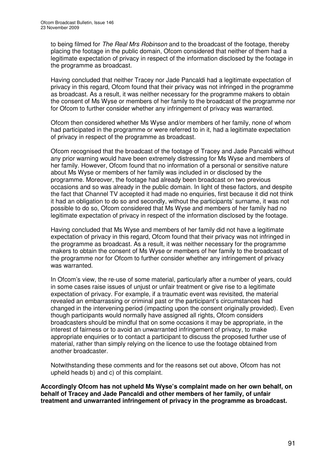to being filmed for *The Real Mrs Robinson* and to the broadcast of the footage, thereby placing the footage in the public domain, Ofcom considered that neither of them had a legitimate expectation of privacy in respect of the information disclosed by the footage in the programme as broadcast.

Having concluded that neither Tracey nor Jade Pancaldi had a legitimate expectation of privacy in this regard, Ofcom found that their privacy was not infringed in the programme as broadcast. As a result, it was neither necessary for the programme makers to obtain the consent of Ms Wyse or members of her family to the broadcast of the programme nor for Ofcom to further consider whether any infringement of privacy was warranted.

Ofcom then considered whether Ms Wyse and/or members of her family, none of whom had participated in the programme or were referred to in it, had a legitimate expectation of privacy in respect of the programme as broadcast.

Ofcom recognised that the broadcast of the footage of Tracey and Jade Pancaldi without any prior warning would have been extremely distressing for Ms Wyse and members of her family. However, Ofcom found that no information of a personal or sensitive nature about Ms Wyse or members of her family was included in or disclosed by the programme. Moreover, the footage had already been broadcast on two previous occasions and so was already in the public domain. In light of these factors, and despite the fact that Channel TV accepted it had made no enquiries, first because it did not think it had an obligation to do so and secondly, without the participants' surname, it was not possible to do so, Ofcom considered that Ms Wyse and members of her family had no legitimate expectation of privacy in respect of the information disclosed by the footage.

Having concluded that Ms Wyse and members of her family did not have a legitimate expectation of privacy in this regard, Ofcom found that their privacy was not infringed in the programme as broadcast. As a result, it was neither necessary for the programme makers to obtain the consent of Ms Wyse or members of her family to the broadcast of the programme nor for Ofcom to further consider whether any infringement of privacy was warranted.

In Ofcom's view, the re-use of some material, particularly after a number of years, could in some cases raise issues of unjust or unfair treatment or give rise to a legitimate expectation of privacy. For example, if a traumatic event was revisited, the material revealed an embarrassing or criminal past or the participant's circumstances had changed in the intervening period (impacting upon the consent originally provided). Even though participants would normally have assigned all rights, Ofcom considers broadcasters should be mindful that on some occasions it may be appropriate, in the interest of fairness or to avoid an unwarranted infringement of privacy, to make appropriate enquiries or to contact a participant to discuss the proposed further use of material, rather than simply relying on the licence to use the footage obtained from another broadcaster.

Notwithstanding these comments and for the reasons set out above, Ofcom has not upheld heads b) and c) of this complaint.

**Accordingly Ofcom has not upheld Ms Wyse's complaint made on her own behalf, on behalf of Tracey and Jade Pancaldi and other members of her family, of unfair treatment and unwarranted infringement of privacy in the programme as broadcast.**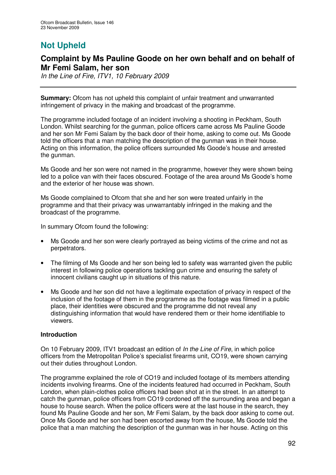# **Not Upheld**

## **Complaint by Ms Pauline Goode on her own behalf and on behalf of Mr Femi Salam, her son**

*In the Line of Fire, ITV1, 10 February 2009*

**Summary:** Ofcom has not upheld this complaint of unfair treatment and unwarranted infringement of privacy in the making and broadcast of the programme.

The programme included footage of an incident involving a shooting in Peckham, South London. Whilst searching for the gunman, police officers came across Ms Pauline Goode and her son Mr Femi Salam by the back door of their home, asking to come out. Ms Goode told the officers that a man matching the description of the gunman was in their house. Acting on this information, the police officers surrounded Ms Goode's house and arrested the gunman.

Ms Goode and her son were not named in the programme, however they were shown being led to a police van with their faces obscured. Footage of the area around Ms Goode's home and the exterior of her house was shown.

Ms Goode complained to Ofcom that she and her son were treated unfairly in the programme and that their privacy was unwarrantably infringed in the making and the broadcast of the programme.

In summary Ofcom found the following:

- Ms Goode and her son were clearly portrayed as being victims of the crime and not as perpetrators.
- The filming of Ms Goode and her son being led to safety was warranted given the public interest in following police operations tackling gun crime and ensuring the safety of innocent civilians caught up in situations of this nature.
- Ms Goode and her son did not have a legitimate expectation of privacy in respect of the inclusion of the footage of them in the programme as the footage was filmed in a public place, their identities were obscured and the programme did not reveal any distinguishing information that would have rendered them or their home identifiable to viewers.

## **Introduction**

On 10 February 2009, ITV1 broadcast an edition of *In the Line of Fire*, in which police officers from the Metropolitan Police's specialist firearms unit, CO19, were shown carrying out their duties throughout London.

The programme explained the role of CO19 and included footage of its members attending incidents involving firearms. One of the incidents featured had occurred in Peckham, South London, when plain-clothes police officers had been shot at in the street. In an attempt to catch the gunman, police officers from CO19 cordoned off the surrounding area and began a house to house search. When the police officers were at the last house in the search, they found Ms Pauline Goode and her son, Mr Femi Salam, by the back door asking to come out. Once Ms Goode and her son had been escorted away from the house, Ms Goode told the police that a man matching the description of the gunman was in her house. Acting on this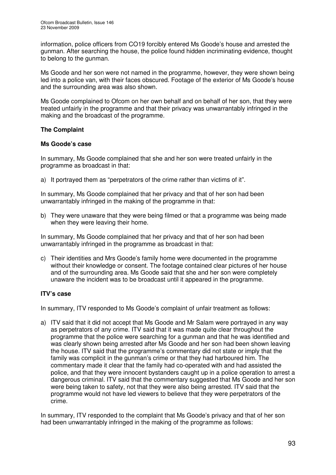information, police officers from CO19 forcibly entered Ms Goode's house and arrested the gunman. After searching the house, the police found hidden incriminating evidence, thought to belong to the gunman.

Ms Goode and her son were not named in the programme, however, they were shown being led into a police van, with their faces obscured. Footage of the exterior of Ms Goode's house and the surrounding area was also shown.

Ms Goode complained to Ofcom on her own behalf and on behalf of her son, that they were treated unfairly in the programme and that their privacy was unwarrantably infringed in the making and the broadcast of the programme.

## **The Complaint**

## **Ms Goode's case**

In summary, Ms Goode complained that she and her son were treated unfairly in the programme as broadcast in that:

a) It portrayed them as "perpetrators of the crime rather than victims of it".

In summary, Ms Goode complained that her privacy and that of her son had been unwarrantably infringed in the making of the programme in that:

b) They were unaware that they were being filmed or that a programme was being made when they were leaving their home.

In summary, Ms Goode complained that her privacy and that of her son had been unwarrantably infringed in the programme as broadcast in that:

c) Their identities and Mrs Goode's family home were documented in the programme without their knowledge or consent. The footage contained clear pictures of her house and of the surrounding area. Ms Goode said that she and her son were completely unaware the incident was to be broadcast until it appeared in the programme.

## **ITV's case**

In summary, ITV responded to Ms Goode's complaint of unfair treatment as follows:

a) ITV said that it did not accept that Ms Goode and Mr Salam were portrayed in any way as perpetrators of any crime. ITV said that it was made quite clear throughout the programme that the police were searching for a gunman and that he was identified and was clearly shown being arrested after Ms Goode and her son had been shown leaving the house. ITV said that the programme's commentary did not state or imply that the family was complicit in the gunman's crime or that they had harboured him. The commentary made it clear that the family had co-operated with and had assisted the police, and that they were innocent bystanders caught up in a police operation to arrest a dangerous criminal. ITV said that the commentary suggested that Ms Goode and her son were being taken to safety, not that they were also being arrested. ITV said that the programme would not have led viewers to believe that they were perpetrators of the crime.

In summary, ITV responded to the complaint that Ms Goode's privacy and that of her son had been unwarrantably infringed in the making of the programme as follows: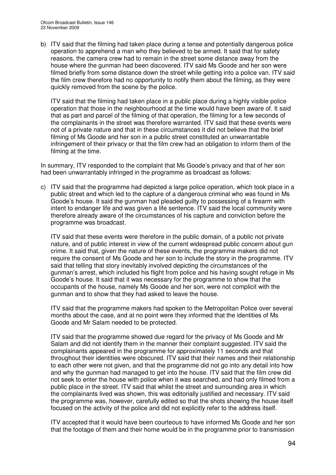b) ITV said that the filming had taken place during a tense and potentially dangerous police operation to apprehend a man who they believed to be armed. It said that for safety reasons, the camera crew had to remain in the street some distance away from the house where the gunman had been discovered. ITV said Ms Goode and her son were filmed briefly from some distance down the street while getting into a police van. ITV said the film crew therefore had no opportunity to notify them about the filming, as they were quickly removed from the scene by the police.

ITV said that the filming had taken place in a public place during a highly visible police operation that those in the neighbourhood at the time would have been aware of. It said that as part and parcel of the filming of that operation, the filming for a few seconds of the complainants in the street was therefore warranted. ITV said that these events were not of a private nature and that in these circumstances it did not believe that the brief filming of Ms Goode and her son in a public street constituted an unwarrantable infringement of their privacy or that the film crew had an obligation to inform them of the filming at the time.

In summary, ITV responded to the complaint that Ms Goode's privacy and that of her son had been unwarrantably infringed in the programme as broadcast as follows:

c) ITV said that the programme had depicted a large police operation, which took place in a public street and which led to the capture of a dangerous criminal who was found in Ms Goode's house. It said the gunman had pleaded guilty to possessing of a firearm with intent to endanger life and was given a life sentence. ITV said the local community were therefore already aware of the circumstances of his capture and conviction before the programme was broadcast.

ITV said that these events were therefore in the public domain, of a public not private nature, and of public interest in view of the current widespread public concern about gun crime. It said that, given the nature of these events, the programme makers did not require the consent of Ms Goode and her son to include the story in the programme. ITV said that telling that story inevitably involved depicting the circumstances of the gunman's arrest, which included his flight from police and his having sought refuge in Ms Goode's house. It said that it was necessary for the programme to show that the occupants of the house, namely Ms Goode and her son, were not complicit with the gunman and to show that they had asked to leave the house.

ITV said that the programme makers had spoken to the Metropolitan Police over several months about the case, and at no point were they informed that the identities of Ms Goode and Mr Salam needed to be protected.

ITV said that the programme showed due regard for the privacy of Ms Goode and Mr Salam and did not identify them in the manner their complaint suggested. ITV said the complainants appeared in the programme for approximately 11 seconds and that throughout their identities were obscured. ITV said that their names and their relationship to each other were not given, and that the programme did not go into any detail into how and why the gunman had managed to get into the house. ITV said that the film crew did not seek to enter the house with police when it was searched, and had only filmed from a public place in the street. ITV said that whilst the street and surrounding area in which the complainants lived was shown, this was editorially justified and necessary. ITV said the programme was, however, carefully edited so that the shots showing the house itself focused on the activity of the police and did not explicitly refer to the address itself.

ITV accepted that it would have been courteous to have informed Ms Goode and her son that the footage of them and their home would be in the programme prior to transmission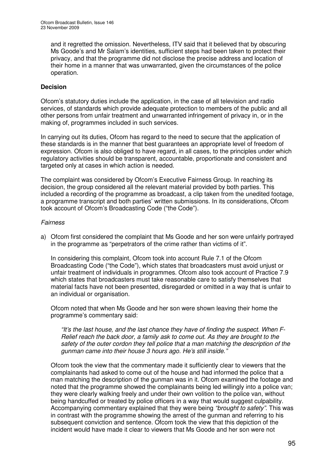and it regretted the omission. Nevertheless, ITV said that it believed that by obscuring Ms Goode's and Mr Salam's identities, sufficient steps had been taken to protect their privacy, and that the programme did not disclose the precise address and location of their home in a manner that was unwarranted, given the circumstances of the police operation.

## **Decision**

Ofcom's statutory duties include the application, in the case of all television and radio services, of standards which provide adequate protection to members of the public and all other persons from unfair treatment and unwarranted infringement of privacy in, or in the making of, programmes included in such services.

In carrying out its duties, Ofcom has regard to the need to secure that the application of these standards is in the manner that best guarantees an appropriate level of freedom of expression. Ofcom is also obliged to have regard, in all cases, to the principles under which regulatory activities should be transparent, accountable, proportionate and consistent and targeted only at cases in which action is needed.

The complaint was considered by Ofcom's Executive Fairness Group. In reaching its decision, the group considered all the relevant material provided by both parties. This included a recording of the programme as broadcast, a clip taken from the unedited footage, a programme transcript and both parties' written submissions. In its considerations, Ofcom took account of Ofcom's Broadcasting Code ("the Code").

#### *Fairness*

a) Ofcom first considered the complaint that Ms Goode and her son were unfairly portrayed in the programme as "perpetrators of the crime rather than victims of it".

In considering this complaint, Ofcom took into account Rule 7.1 of the Ofcom Broadcasting Code ("the Code"), which states that broadcasters must avoid unjust or unfair treatment of individuals in programmes. Ofcom also took account of Practice 7.9 which states that broadcasters must take reasonable care to satisfy themselves that material facts have not been presented, disregarded or omitted in a way that is unfair to an individual or organisation.

Ofcom noted that when Ms Goode and her son were shown leaving their home the programme's commentary said:

*"It's the last house, and the last chance they have of finding the suspect. When F-Relief reach the back door, a family ask to come out. As they are brought to the safety of the outer cordon they tell police that a man matching the description of the gunman came into their house 3 hours ago. He's still inside."*

Ofcom took the view that the commentary made it sufficiently clear to viewers that the complainants had asked to come out of the house and had informed the police that a man matching the description of the gunman was in it. Ofcom examined the footage and noted that the programme showed the complainants being led willingly into a police van; they were clearly walking freely and under their own volition to the police van, without being handcuffed or treated by police officers in a way that would suggest culpability. Accompanying commentary explained that they were being *"brought to safety"*. This was in contrast with the programme showing the arrest of the gunman and referring to his subsequent conviction and sentence. Ofcom took the view that this depiction of the incident would have made it clear to viewers that Ms Goode and her son were not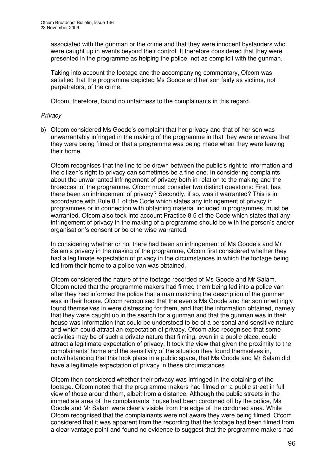associated with the gunman or the crime and that they were innocent bystanders who were caught up in events beyond their control. It therefore considered that they were presented in the programme as helping the police, not as complicit with the gunman.

Taking into account the footage and the accompanying commentary, Ofcom was satisfied that the programme depicted Ms Goode and her son fairly as victims, not perpetrators, of the crime.

Ofcom, therefore, found no unfairness to the complainants in this regard.

## *Privacy*

b) Ofcom considered Ms Goode's complaint that her privacy and that of her son was unwarrantably infringed in the making of the programme in that they were unaware that they were being filmed or that a programme was being made when they were leaving their home.

Ofcom recognises that the line to be drawn between the public's right to information and the citizen's right to privacy can sometimes be a fine one. In considering complaints about the unwarranted infringement of privacy both in relation to the making and the broadcast of the programme, Ofcom must consider two distinct questions: First, has there been an infringement of privacy? Secondly, if so, was it warranted? This is in accordance with Rule 8.1 of the Code which states any infringement of privacy in programmes or in connection with obtaining material included in programmes, must be warranted. Ofcom also took into account Practice 8.5 of the Code which states that any infringement of privacy in the making of a programme should be with the person's and/or organisation's consent or be otherwise warranted.

In considering whether or not there had been an infringement of Ms Goode's and Mr Salam's privacy in the making of the programme, Ofcom first considered whether they had a legitimate expectation of privacy in the circumstances in which the footage being led from their home to a police van was obtained.

Ofcom considered the nature of the footage recorded of Ms Goode and Mr Salam. Ofcom noted that the programme makers had filmed them being led into a police van after they had informed the police that a man matching the description of the gunman was in their house. Ofcom recognised that the events Ms Goode and her son unwittingly found themselves in were distressing for them, and that the information obtained, namely that they were caught up in the search for a gunman and that the gunman was in their house was information that could be understood to be of a personal and sensitive nature and which could attract an expectation of privacy. Ofcom also recognised that some activities may be of such a private nature that filming, even in a public place, could attract a legitimate expectation of privacy. It took the view that given the proximity to the complainants' home and the sensitivity of the situation they found themselves in, notwithstanding that this took place in a public space, that Ms Goode and Mr Salam did have a legitimate expectation of privacy in these circumstances.

Ofcom then considered whether their privacy was infringed in the obtaining of the footage. Ofcom noted that the programme makers had filmed on a public street in full view of those around them, albeit from a distance. Although the public streets in the immediate area of the complainants' house had been cordoned off by the police, Ms Goode and Mr Salam were clearly visible from the edge of the cordoned area. While Ofcom recognised that the complainants were not aware they were being filmed, Ofcom considered that it was apparent from the recording that the footage had been filmed from a clear vantage point and found no evidence to suggest that the programme makers had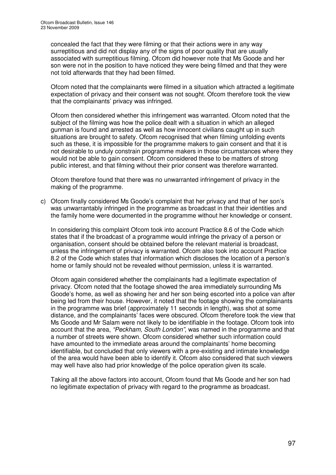concealed the fact that they were filming or that their actions were in any way surreptitious and did not display any of the signs of poor quality that are usually associated with surreptitious filming. Ofcom did however note that Ms Goode and her son were not in the position to have noticed they were being filmed and that they were not told afterwards that they had been filmed.

Ofcom noted that the complainants were filmed in a situation which attracted a legitimate expectation of privacy and their consent was not sought. Ofcom therefore took the view that the complainants' privacy was infringed.

Ofcom then considered whether this infringement was warranted. Ofcom noted that the subject of the filming was how the police dealt with a situation in which an alleged gunman is found and arrested as well as how innocent civilians caught up in such situations are brought to safety. Ofcom recognised that when filming unfolding events such as these, it is impossible for the programme makers to gain consent and that it is not desirable to unduly constrain programme makers in those circumstances where they would not be able to gain consent. Ofcom considered these to be matters of strong public interest, and that filming without their prior consent was therefore warranted.

Ofcom therefore found that there was no unwarranted infringement of privacy in the making of the programme.

c) Ofcom finally considered Ms Goode's complaint that her privacy and that of her son's was unwarrantably infringed in the programme as broadcast in that their identities and the family home were documented in the programme without her knowledge or consent.

In considering this complaint Ofcom took into account Practice 8.6 of the Code which states that if the broadcast of a programme would infringe the privacy of a person or organisation, consent should be obtained before the relevant material is broadcast, unless the infringement of privacy is warranted. Ofcom also took into account Practice 8.2 of the Code which states that information which discloses the location of a person's home or family should not be revealed without permission, unless it is warranted.

Ofcom again considered whether the complainants had a legitimate expectation of privacy. Ofcom noted that the footage showed the area immediately surrounding Ms Goode's home, as well as showing her and her son being escorted into a police van after being led from their house. However, it noted that the footage showing the complainants in the programme was brief (approximately 11 seconds in length), was shot at some distance, and the complainants' faces were obscured. Ofcom therefore took the view that Ms Goode and Mr Salam were not likely to be identifiable in the footage. Ofcom took into account that the area, *"Peckham, South London"*, was named in the programme and that a number of streets were shown. Ofcom considered whether such information could have amounted to the immediate areas around the complainants' home becoming identifiable, but concluded that only viewers with a pre-existing and intimate knowledge of the area would have been able to identify it. Ofcom also considered that such viewers may well have also had prior knowledge of the police operation given its scale.

Taking all the above factors into account, Ofcom found that Ms Goode and her son had no legitimate expectation of privacy with regard to the programme as broadcast.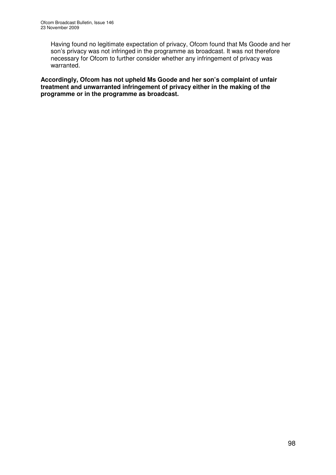Having found no legitimate expectation of privacy, Ofcom found that Ms Goode and her son's privacy was not infringed in the programme as broadcast. It was not therefore necessary for Ofcom to further consider whether any infringement of privacy was warranted.

**Accordingly, Ofcom has not upheld Ms Goode and her son's complaint of unfair treatment and unwarranted infringement of privacy either in the making of the programme or in the programme as broadcast.**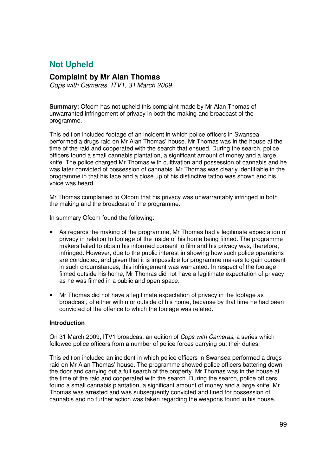## **Not Upheld**

## **Complaint by Mr Alan Thomas**

*Cops with Cameras, ITV1, 31 March 2009*

**Summary:** Ofcom has not upheld this complaint made by Mr Alan Thomas of unwarranted infringement of privacy in both the making and broadcast of the programme.

This edition included footage of an incident in which police officers in Swansea performed a drugs raid on Mr Alan Thomas' house. Mr Thomas was in the house at the time of the raid and cooperated with the search that ensued. During the search, police officers found a small cannabis plantation, a significant amount of money and a large knife. The police charged Mr Thomas with cultivation and possession of cannabis and he was later convicted of possession of cannabis. Mr Thomas was clearly identifiable in the programme in that his face and a close up of his distinctive tattoo was shown and his voice was heard.

Mr Thomas complained to Ofcom that his privacy was unwarrantably infringed in both the making and the broadcast of the programme.

In summary Ofcom found the following:

- As regards the making of the programme, Mr Thomas had a legitimate expectation of privacy in relation to footage of the inside of his home being filmed. The programme makers failed to obtain his informed consent to film and his privacy was, therefore, infringed. However, due to the public interest in showing how such police operations are conducted, and given that it is impossible for programme makers to gain consent in such circumstances, this infringement was warranted. In respect of the footage filmed outside his home, Mr Thomas did not have a legitimate expectation of privacy as he was filmed in a public and open space.
- Mr Thomas did not have a legitimate expectation of privacy in the footage as broadcast, of either within or outside of his home, because by that time he had been convicted of the offence to which the footage was related.

#### **Introduction**

On 31 March 2009, ITV1 broadcast an edition of *Cops with Cameras*, a series which followed police officers from a number of police forces carrying out their duties.

This edition included an incident in which police officers in Swansea performed a drugs raid on Mr Alan Thomas' house. The programme showed police officers battering down the door and carrying out a full search of the property. Mr Thomas was in the house at the time of the raid and cooperated with the search. During the search, police officers found a small cannabis plantation, a significant amount of money and a large knife. Mr Thomas was arrested and was subsequently convicted and fined for possession of cannabis and no further action was taken regarding the weapons found in his house.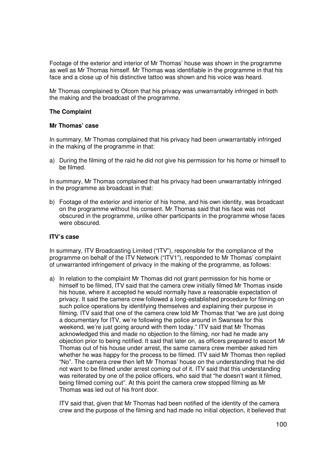Footage of the exterior and interior of Mr Thomas' house was shown in the programme as well as Mr Thomas himself. Mr Thomas was identifiable in the programme in that his face and a close up of his distinctive tattoo was shown and his voice was heard.

Mr Thomas complained to Ofcom that his privacy was unwarrantably infringed in both the making and the broadcast of the programme.

#### **The Complaint**

#### **Mr Thomas' case**

In summary, Mr Thomas complained that his privacy had been unwarrantably infringed in the making of the programme in that:

a) During the filming of the raid he did not give his permission for his home or himself to be filmed.

In summary, Mr Thomas complained that his privacy had been unwarrantably infringed in the programme as broadcast in that:

b) Footage of the exterior and interior of his home, and his own identity, was broadcast on the programme without his consent. Mr Thomas said that his face was not obscured in the programme, unlike other participants in the programme whose faces were obscured.

#### **ITV's case**

In summary, ITV Broadcasting Limited ("ITV"), responsible for the compliance of the programme on behalf of the ITV Network ("ITV1"), responded to Mr Thomas' complaint of unwarranted infringement of privacy in the making of the programme, as follows:

a) In relation to the complaint Mr Thomas did not grant permission for his home or himself to be filmed, ITV said that the camera crew initially filmed Mr Thomas inside his house, where it accepted he would normally have a reasonable expectation of privacy. It said the camera crew followed a long-established procedure for filming on such police operations by identifying themselves and explaining their purpose in filming. ITV said that one of the camera crew told Mr Thomas that "we are just doing a documentary for ITV, we're following the police around in Swansea for this weekend, we're just going around with them today." ITV said that Mr Thomas acknowledged this and made no objection to the filming, nor had he made any objection prior to being notified. It said that later on, as officers prepared to escort Mr Thomas out of his house under arrest, the same camera crew member asked him whether he was happy for the process to be filmed. ITV said Mr Thomas then replied "No". The camera crew then left Mr Thomas' house on the understanding that he did not want to be filmed under arrest coming out of it. ITV said that this understanding was reiterated by one of the police officers, who said that "he doesn't want it filmed, being filmed coming out". At this point the camera crew stopped filming as Mr Thomas was led out of his front door.

ITV said that, given that Mr Thomas had been notified of the identity of the camera crew and the purpose of the filming and had made no initial objection, it believed that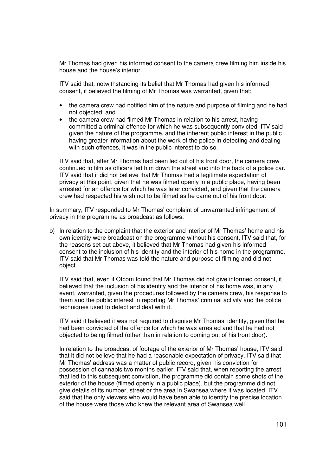Mr Thomas had given his informed consent to the camera crew filming him inside his house and the house's interior.

ITV said that, notwithstanding its belief that Mr Thomas had given his informed consent, it believed the filming of Mr Thomas was warranted, given that:

- the camera crew had notified him of the nature and purpose of filming and he had not objected; and
- the camera crew had filmed Mr Thomas in relation to his arrest, having committed a criminal offence for which he was subsequently convicted. ITV said given the nature of the programme, and the inherent public interest in the public having greater information about the work of the police in detecting and dealing with such offences, it was in the public interest to do so.

ITV said that, after Mr Thomas had been led out of his front door, the camera crew continued to film as officers led him down the street and into the back of a police car. ITV said that it did not believe that Mr Thomas had a legitimate expectation of privacy at this point, given that he was filmed openly in a public place, having been arrested for an offence for which he was later convicted, and given that the camera crew had respected his wish not to be filmed as he came out of his front door.

In summary, ITV responded to Mr Thomas' complaint of unwarranted infringement of privacy in the programme as broadcast as follows:

b) In relation to the complaint that the exterior and interior of Mr Thomas' home and his own identity were broadcast on the programme without his consent, ITV said that, for the reasons set out above, it believed that Mr Thomas had given his informed consent to the inclusion of his identity and the interior of his home in the programme. ITV said that Mr Thomas was told the nature and purpose of filming and did not object.

ITV said that, even if Ofcom found that Mr Thomas did not give informed consent, it believed that the inclusion of his identity and the interior of his home was, in any event, warranted, given the procedures followed by the camera crew, his response to them and the public interest in reporting Mr Thomas' criminal activity and the police techniques used to detect and deal with it.

ITV said it believed it was not required to disguise Mr Thomas' identity, given that he had been convicted of the offence for which he was arrested and that he had not objected to being filmed (other than in relation to coming out of his front door).

In relation to the broadcast of footage of the exterior of Mr Thomas' house, ITV said that it did not believe that he had a reasonable expectation of privacy. ITV said that Mr Thomas' address was a matter of public record, given his conviction for possession of cannabis two months earlier. ITV said that, when reporting the arrest that led to this subsequent conviction, the programme did contain some shots of the exterior of the house (filmed openly in a public place), but the programme did not give details of its number, street or the area in Swansea where it was located. ITV said that the only viewers who would have been able to identify the precise location of the house were those who knew the relevant area of Swansea well.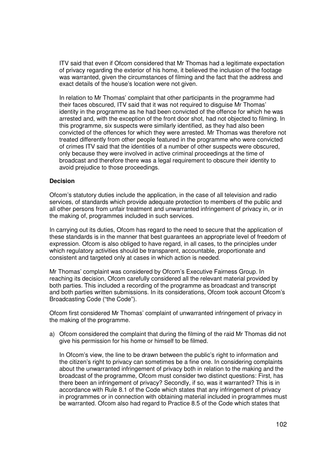ITV said that even if Ofcom considered that Mr Thomas had a legitimate expectation of privacy regarding the exterior of his home, it believed the inclusion of the footage was warranted, given the circumstances of filming and the fact that the address and exact details of the house's location were not given.

In relation to Mr Thomas' complaint that other participants in the programme had their faces obscured, ITV said that it was not required to disguise Mr Thomas' identity in the programme as he had been convicted of the offence for which he was arrested and, with the exception of the front door shot, had not objected to filming. In this programme, six suspects were similarly identified, as they had also been convicted of the offences for which they were arrested. Mr Thomas was therefore not treated differently from other people featured in the programme who were convicted of crimes ITV said that the identities of a number of other suspects were obscured, only because they were involved in active criminal proceedings at the time of broadcast and therefore there was a legal requirement to obscure their identity to avoid prejudice to those proceedings.

#### **Decision**

Ofcom's statutory duties include the application, in the case of all television and radio services, of standards which provide adequate protection to members of the public and all other persons from unfair treatment and unwarranted infringement of privacy in, or in the making of, programmes included in such services.

In carrying out its duties, Ofcom has regard to the need to secure that the application of these standards is in the manner that best guarantees an appropriate level of freedom of expression. Ofcom is also obliged to have regard, in all cases, to the principles under which regulatory activities should be transparent, accountable, proportionate and consistent and targeted only at cases in which action is needed.

Mr Thomas' complaint was considered by Ofcom's Executive Fairness Group. In reaching its decision, Ofcom carefully considered all the relevant material provided by both parties. This included a recording of the programme as broadcast and transcript and both parties written submissions. In its considerations, Ofcom took account Ofcom's Broadcasting Code ("the Code").

Ofcom first considered Mr Thomas' complaint of unwarranted infringement of privacy in the making of the programme.

a) Ofcom considered the complaint that during the filming of the raid Mr Thomas did not give his permission for his home or himself to be filmed.

In Ofcom's view, the line to be drawn between the public's right to information and the citizen's right to privacy can sometimes be a fine one. In considering complaints about the unwarranted infringement of privacy both in relation to the making and the broadcast of the programme, Ofcom must consider two distinct questions: First, has there been an infringement of privacy? Secondly, if so, was it warranted? This is in accordance with Rule 8.1 of the Code which states that any infringement of privacy in programmes or in connection with obtaining material included in programmes must be warranted. Ofcom also had regard to Practice 8.5 of the Code which states that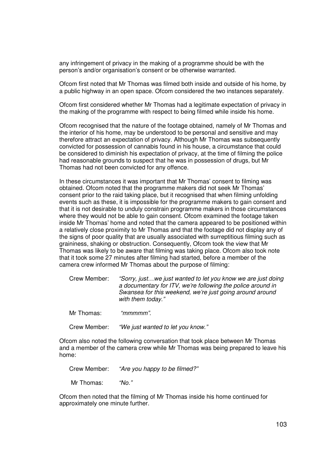any infringement of privacy in the making of a programme should be with the person's and/or organisation's consent or be otherwise warranted.

Ofcom first noted that Mr Thomas was filmed both inside and outside of his home, by a public highway in an open space. Ofcom considered the two instances separately.

Ofcom first considered whether Mr Thomas had a legitimate expectation of privacy in the making of the programme with respect to being filmed while inside his home.

Ofcom recognised that the nature of the footage obtained, namely of Mr Thomas and the interior of his home, may be understood to be personal and sensitive and may therefore attract an expectation of privacy. Although Mr Thomas was subsequently convicted for possession of cannabis found in his house, a circumstance that could be considered to diminish his expectation of privacy, at the time of filming the police had reasonable grounds to suspect that he was in possession of drugs, but Mr Thomas had not been convicted for any offence.

In these circumstances it was important that Mr Thomas' consent to filming was obtained. Ofcom noted that the programme makers did not seek Mr Thomas' consent prior to the raid taking place, but it recognised that when filming unfolding events such as these, it is impossible for the programme makers to gain consent and that it is not desirable to unduly constrain programme makers in those circumstances where they would not be able to gain consent. Ofcom examined the footage taken inside Mr Thomas' home and noted that the camera appeared to be positioned within a relatively close proximity to Mr Thomas and that the footage did not display any of the signs of poor quality that are usually associated with surreptitious filming such as graininess, shaking or obstruction. Consequently, Ofcom took the view that Mr Thomas was likely to be aware that filming was taking place. Ofcom also took note that it took some 27 minutes after filming had started, before a member of the camera crew informed Mr Thomas about the purpose of filming:

| Crew Member: | "Sorry, justwe just wanted to let you know we are just doing |
|--------------|--------------------------------------------------------------|
|              | a documentary for ITV, we're following the police around in  |
|              | Swansea for this weekend, we're just going around around     |
|              | with them today."                                            |

| Mr Thomas: | "mmmmm". |
|------------|----------|
|            |          |

Crew Member: *"We just wanted to let you know."*

Ofcom also noted the following conversation that took place between Mr Thomas and a member of the camera crew while Mr Thomas was being prepared to leave his home:

Crew Member: *"Are you happy to be filmed?"*

Mr Thomas: *"No."*

Ofcom then noted that the filming of Mr Thomas inside his home continued for approximately one minute further.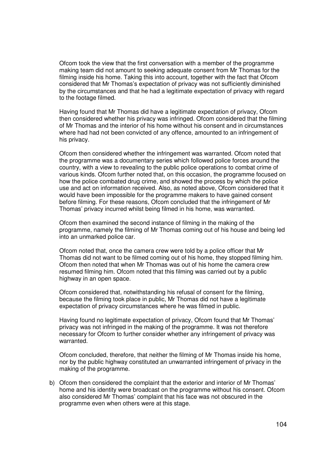Ofcom took the view that the first conversation with a member of the programme making team did not amount to seeking adequate consent from Mr Thomas for the filming inside his home. Taking this into account, together with the fact that Ofcom considered that Mr Thomas's expectation of privacy was not sufficiently diminished by the circumstances and that he had a legitimate expectation of privacy with regard to the footage filmed.

Having found that Mr Thomas did have a legitimate expectation of privacy, Ofcom then considered whether his privacy was infringed. Ofcom considered that the filming of Mr Thomas and the interior of his home without his consent and in circumstances where had had not been convicted of any offence, amounted to an infringement of his privacy.

Ofcom then considered whether the infringement was warranted. Ofcom noted that the programme was a documentary series which followed police forces around the country, with a view to revealing to the public police operations to combat crime of various kinds. Ofcom further noted that, on this occasion, the programme focused on how the police combated drug crime, and showed the process by which the police use and act on information received. Also, as noted above, Ofcom considered that it would have been impossible for the programme makers to have gained consent before filming. For these reasons, Ofcom concluded that the infringement of Mr Thomas' privacy incurred whilst being filmed in his home, was warranted.

Ofcom then examined the second instance of filming in the making of the programme, namely the filming of Mr Thomas coming out of his house and being led into an unmarked police car.

Ofcom noted that, once the camera crew were told by a police officer that Mr Thomas did not want to be filmed coming out of his home, they stopped filming him. Ofcom then noted that when Mr Thomas was out of his home the camera crew resumed filming him. Ofcom noted that this filming was carried out by a public highway in an open space.

Ofcom considered that, notwithstanding his refusal of consent for the filming, because the filming took place in public, Mr Thomas did not have a legitimate expectation of privacy circumstances where he was filmed in public.

Having found no legitimate expectation of privacy, Ofcom found that Mr Thomas' privacy was not infringed in the making of the programme. It was not therefore necessary for Ofcom to further consider whether any infringement of privacy was warranted.

Ofcom concluded, therefore, that neither the filming of Mr Thomas inside his home, nor by the public highway constituted an unwarranted infringement of privacy in the making of the programme.

b) Ofcom then considered the complaint that the exterior and interior of Mr Thomas' home and his identity were broadcast on the programme without his consent. Ofcom also considered Mr Thomas' complaint that his face was not obscured in the programme even when others were at this stage.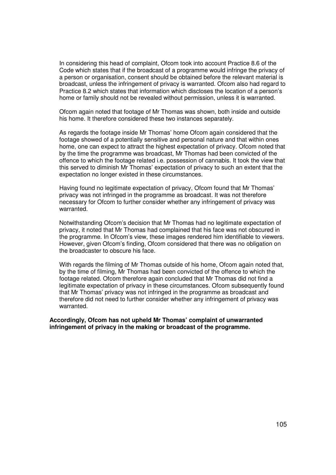In considering this head of complaint, Ofcom took into account Practice 8.6 of the Code which states that if the broadcast of a programme would infringe the privacy of a person or organisation, consent should be obtained before the relevant material is broadcast, unless the infringement of privacy is warranted. Ofcom also had regard to Practice 8.2 which states that information which discloses the location of a person's home or family should not be revealed without permission, unless it is warranted.

Ofcom again noted that footage of Mr Thomas was shown, both inside and outside his home. It therefore considered these two instances separately.

As regards the footage inside Mr Thomas' home Ofcom again considered that the footage showed of a potentially sensitive and personal nature and that within ones home, one can expect to attract the highest expectation of privacy. Ofcom noted that by the time the programme was broadcast, Mr Thomas had been convicted of the offence to which the footage related i.e. possession of cannabis. It took the view that this served to diminish Mr Thomas' expectation of privacy to such an extent that the expectation no longer existed in these circumstances.

Having found no legitimate expectation of privacy, Ofcom found that Mr Thomas' privacy was not infringed in the programme as broadcast. It was not therefore necessary for Ofcom to further consider whether any infringement of privacy was warranted.

Notwithstanding Ofcom's decision that Mr Thomas had no legitimate expectation of privacy, it noted that Mr Thomas had complained that his face was not obscured in the programme. In Ofcom's view, these images rendered him identifiable to viewers. However, given Ofcom's finding, Ofcom considered that there was no obligation on the broadcaster to obscure his face.

With regards the filming of Mr Thomas outside of his home, Ofcom again noted that, by the time of filming, Mr Thomas had been convicted of the offence to which the footage related. Ofcom therefore again concluded that Mr Thomas did not find a legitimate expectation of privacy in these circumstances. Ofcom subsequently found that Mr Thomas' privacy was not infringed in the programme as broadcast and therefore did not need to further consider whether any infringement of privacy was warranted.

**Accordingly, Ofcom has not upheld Mr Thomas' complaint of unwarranted infringement of privacy in the making or broadcast of the programme.**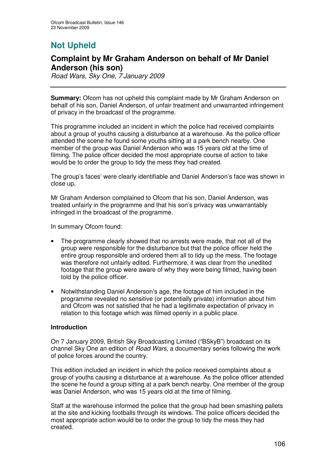# **Not Upheld**

## **Complaint by Mr Graham Anderson on behalf of Mr Daniel Anderson (his son)**

*Road Wars, Sky One, 7 January 2009*

**Summary:** Ofcom has not upheld this complaint made by Mr Graham Anderson on behalf of his son, Daniel Anderson, of unfair treatment and unwarranted infringement of privacy in the broadcast of the programme.

This programme included an incident in which the police had received complaints about a group of youths causing a disturbance at a warehouse. As the police officer attended the scene he found some youths sitting at a park bench nearby. One member of the group was Daniel Anderson who was 15 years old at the time of filming. The police officer decided the most appropriate course of action to take would be to order the group to tidy the mess they had created.

The group's faces' were clearly identifiable and Daniel Anderson's face was shown in close up.

Mr Graham Anderson complained to Ofcom that his son, Daniel Anderson, was treated unfairly in the programme and that his son's privacy was unwarrantably infringed in the broadcast of the programme.

In summary Ofcom found:

- The programme clearly showed that no arrests were made, that not all of the group were responsible for the disturbance but that the police officer held the entire group responsible and ordered them all to tidy up the mess. The footage was therefore not unfairly edited. Furthermore, it was clear from the unedited footage that the group were aware of why they were being filmed, having been told by the police officer.
- Notwithstanding Daniel Anderson's age, the footage of him included in the programme revealed no sensitive (or potentially private) information about him and Ofcom was not satisfied that he had a legitimate expectation of privacy in relation to this footage which was filmed openly in a public place.

## **Introduction**

On 7 January 2009, British Sky Broadcasting Limited ("BSkyB") broadcast on its channel Sky One an edition of *Road Wars*, a documentary series following the work of police forces around the country.

This edition included an incident in which the police received complaints about a group of youths causing a disturbance at a warehouse. As the police officer attended the scene he found a group sitting at a park bench nearby. One member of the group was Daniel Anderson, who was 15 years old at the time of filming.

Staff at the warehouse informed the police that the group had been smashing pallets at the site and kicking footballs through its windows. The police officers decided the most appropriate action would be to order the group to tidy the mess they had created.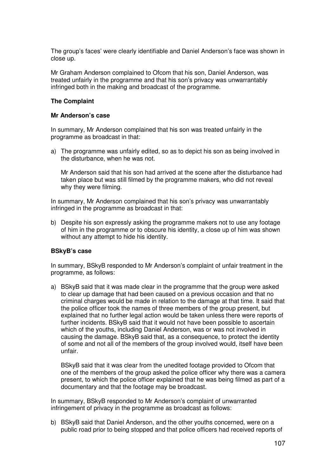The group's faces' were clearly identifiable and Daniel Anderson's face was shown in close up.

Mr Graham Anderson complained to Ofcom that his son, Daniel Anderson, was treated unfairly in the programme and that his son's privacy was unwarrantably infringed both in the making and broadcast of the programme.

### **The Complaint**

#### **Mr Anderson's case**

In summary, Mr Anderson complained that his son was treated unfairly in the programme as broadcast in that:

a) The programme was unfairly edited, so as to depict his son as being involved in the disturbance, when he was not.

Mr Anderson said that his son had arrived at the scene after the disturbance had taken place but was still filmed by the programme makers, who did not reveal why they were filming.

In summary, Mr Anderson complained that his son's privacy was unwarrantably infringed in the programme as broadcast in that:

b) Despite his son expressly asking the programme makers not to use any footage of him in the programme or to obscure his identity, a close up of him was shown without any attempt to hide his identity.

#### **BSkyB's case**

In summary, BSkyB responded to Mr Anderson's complaint of unfair treatment in the programme, as follows:

a) BSkyB said that it was made clear in the programme that the group were asked to clear up damage that had been caused on a previous occasion and that no criminal charges would be made in relation to the damage at that time. It said that the police officer took the names of three members of the group present, but explained that no further legal action would be taken unless there were reports of further incidents. BSkyB said that it would not have been possible to ascertain which of the youths, including Daniel Anderson, was or was not involved in causing the damage. BSkyB said that, as a consequence, to protect the identity of some and not all of the members of the group involved would, itself have been unfair.

BSkyB said that it was clear from the unedited footage provided to Ofcom that one of the members of the group asked the police officer why there was a camera present, to which the police officer explained that he was being filmed as part of a documentary and that the footage may be broadcast.

In summary, BSkyB responded to Mr Anderson's complaint of unwarranted infringement of privacy in the programme as broadcast as follows:

b) BSkyB said that Daniel Anderson, and the other youths concerned, were on a public road prior to being stopped and that police officers had received reports of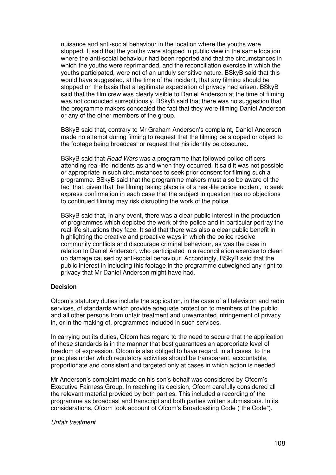nuisance and anti-social behaviour in the location where the youths were stopped. It said that the youths were stopped in public view in the same location where the anti-social behaviour had been reported and that the circumstances in which the youths were reprimanded, and the reconciliation exercise in which the youths participated, were not of an unduly sensitive nature. BSkyB said that this would have suggested, at the time of the incident, that any filming should be stopped on the basis that a legitimate expectation of privacy had arisen. BSkyB said that the film crew was clearly visible to Daniel Anderson at the time of filming was not conducted surreptitiously. BSkyB said that there was no suggestion that the programme makers concealed the fact that they were filming Daniel Anderson or any of the other members of the group.

BSkyB said that, contrary to Mr Graham Anderson's complaint, Daniel Anderson made no attempt during filming to request that the filming be stopped or object to the footage being broadcast or request that his identity be obscured.

BSkyB said that *Road Wars* was a programme that followed police officers attending real-life incidents as and when they occurred. It said it was not possible or appropriate in such circumstances to seek prior consent for filming such a programme. BSkyB said that the programme makers must also be aware of the fact that, given that the filming taking place is of a real-life police incident, to seek express confirmation in each case that the subject in question has no objections to continued filming may risk disrupting the work of the police.

BSkyB said that, in any event, there was a clear public interest in the production of programmes which depicted the work of the police and in particular portray the real-life situations they face. It said that there was also a clear public benefit in highlighting the creative and proactive ways in which the police resolve community conflicts and discourage criminal behaviour, as was the case in relation to Daniel Anderson, who participated in a reconciliation exercise to clean up damage caused by anti-social behaviour. Accordingly, BSkyB said that the public interest in including this footage in the programme outweighed any right to privacy that Mr Daniel Anderson might have had.

#### **Decision**

Ofcom's statutory duties include the application, in the case of all television and radio services, of standards which provide adequate protection to members of the public and all other persons from unfair treatment and unwarranted infringement of privacy in, or in the making of, programmes included in such services.

In carrying out its duties, Ofcom has regard to the need to secure that the application of these standards is in the manner that best guarantees an appropriate level of freedom of expression. Ofcom is also obliged to have regard, in all cases, to the principles under which regulatory activities should be transparent, accountable, proportionate and consistent and targeted only at cases in which action is needed.

Mr Anderson's complaint made on his son's behalf was considered by Ofcom's Executive Fairness Group. In reaching its decision, Ofcom carefully considered all the relevant material provided by both parties. This included a recording of the programme as broadcast and transcript and both parties written submissions. In its considerations, Ofcom took account of Ofcom's Broadcasting Code ("the Code").

#### *Unfair treatment*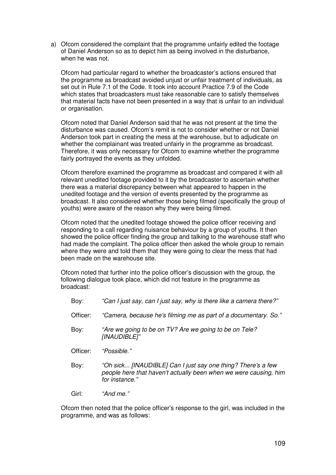a) Ofcom considered the complaint that the programme unfairly edited the footage of Daniel Anderson so as to depict him as being involved in the disturbance, when he was not.

Ofcom had particular regard to whether the broadcaster's actions ensured that the programme as broadcast avoided unjust or unfair treatment of individuals, as set out in Rule 7.1 of the Code. It took into account Practice 7.9 of the Code which states that broadcasters must take reasonable care to satisfy themselves that material facts have not been presented in a way that is unfair to an individual or organisation.

Ofcom noted that Daniel Anderson said that he was not present at the time the disturbance was caused. Ofcom's remit is not to consider whether or not Daniel Anderson took part in creating the mess at the warehouse, but to adjudicate on whether the complainant was treated unfairly in the programme as broadcast. Therefore, it was only necessary for Ofcom to examine whether the programme fairly portrayed the events as they unfolded.

Ofcom therefore examined the programme as broadcast and compared it with all relevant unedited footage provided to it by the broadcaster to ascertain whether there was a material discrepancy between what appeared to happen in the unedited footage and the version of events presented by the programme as broadcast. It also considered whether those being filmed (specifically the group of youths) were aware of the reason why they were being filmed.

Ofcom noted that the unedited footage showed the police officer receiving and responding to a call regarding nuisance behaviour by a group of youths. It then showed the police officer finding the group and talking to the warehouse staff who had made the complaint. The police officer then asked the whole group to remain where they were and told them that they were going to clear the mess that had been made on the warehouse site.

Ofcom noted that further into the police officer's discussion with the group, the following dialogue took place, which did not feature in the programme as broadcast:

Boy: *"Can I just say, can I just say, why is there like a camera there?"* Officer: *"Camera, because he's filming me as part of a documentary. So."* Boy: *"Are we going to be on TV? Are we going to be on Tele? [INAUDIBLE]"* Officer: *"Possible."* Boy: *"Oh sick... [INAUDIBLE] Can I just say one thing? There's a few people here that haven't actually been when we were causing, him for instance."* Girl: *"And me."*

Ofcom then noted that the police officer's response to the girl, was included in the programme, and was as follows: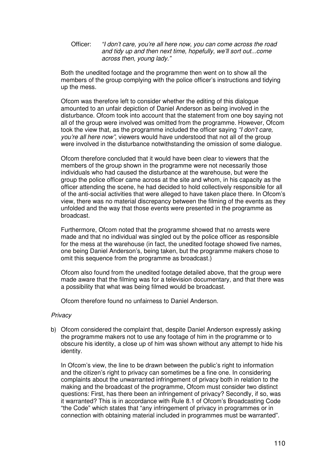Officer: *"I don't care, you're all here now, you can come across the road and tidy up and then next time, hopefully, we'll sort out...come across then, young lady."*

Both the unedited footage and the programme then went on to show all the members of the group complying with the police officer's instructions and tidying up the mess.

Ofcom was therefore left to consider whether the editing of this dialogue amounted to an unfair depiction of Daniel Anderson as being involved in the disturbance. Ofcom took into account that the statement from one boy saying not all of the group were involved was omitted from the programme. However, Ofcom took the view that, as the programme included the officer saying *"I don't care, you're all here now"*, viewers would have understood that not all of the group were involved in the disturbance notwithstanding the omission of some dialogue.

Ofcom therefore concluded that it would have been clear to viewers that the members of the group shown in the programme were not necessarily those individuals who had caused the disturbance at the warehouse, but were the group the police officer came across at the site and whom, in his capacity as the officer attending the scene, he had decided to hold collectively responsible for all of the anti-social activities that were alleged to have taken place there. In Ofcom's view, there was no material discrepancy between the filming of the events as they unfolded and the way that those events were presented in the programme as broadcast.

Furthermore, Ofcom noted that the programme showed that no arrests were made and that no individual was singled out by the police officer as responsible for the mess at the warehouse (in fact, the unedited footage showed five names, one being Daniel Anderson's, being taken, but the programme makers chose to omit this sequence from the programme as broadcast.)

Ofcom also found from the unedited footage detailed above, that the group were made aware that the filming was for a television documentary, and that there was a possibility that what was being filmed would be broadcast.

Ofcom therefore found no unfairness to Daniel Anderson.

## *Privacy*

b) Ofcom considered the complaint that, despite Daniel Anderson expressly asking the programme makers not to use any footage of him in the programme or to obscure his identity, a close up of him was shown without any attempt to hide his identity.

In Ofcom's view, the line to be drawn between the public's right to information and the citizen's right to privacy can sometimes be a fine one. In considering complaints about the unwarranted infringement of privacy both in relation to the making and the broadcast of the programme, Ofcom must consider two distinct questions: First, has there been an infringement of privacy? Secondly, if so, was it warranted? This is in accordance with Rule 8.1 of Ofcom's Broadcasting Code "the Code" which states that "any infringement of privacy in programmes or in connection with obtaining material included in programmes must be warranted".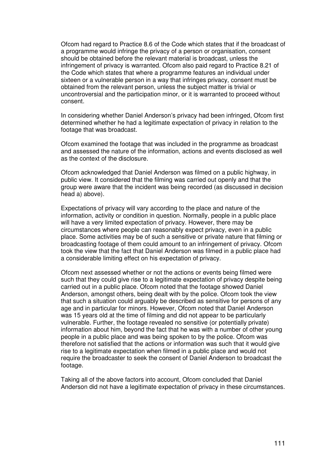Ofcom had regard to Practice 8.6 of the Code which states that if the broadcast of a programme would infringe the privacy of a person or organisation, consent should be obtained before the relevant material is broadcast, unless the infringement of privacy is warranted. Ofcom also paid regard to Practice 8.21 of the Code which states that where a programme features an individual under sixteen or a vulnerable person in a way that infringes privacy, consent must be obtained from the relevant person, unless the subject matter is trivial or uncontroversial and the participation minor, or it is warranted to proceed without consent.

In considering whether Daniel Anderson's privacy had been infringed, Ofcom first determined whether he had a legitimate expectation of privacy in relation to the footage that was broadcast.

Ofcom examined the footage that was included in the programme as broadcast and assessed the nature of the information, actions and events disclosed as well as the context of the disclosure.

Ofcom acknowledged that Daniel Anderson was filmed on a public highway, in public view. It considered that the filming was carried out openly and that the group were aware that the incident was being recorded (as discussed in decision head a) above).

Expectations of privacy will vary according to the place and nature of the information, activity or condition in question. Normally, people in a public place will have a very limited expectation of privacy. However, there may be circumstances where people can reasonably expect privacy, even in a public place. Some activities may be of such a sensitive or private nature that filming or broadcasting footage of them could amount to an infringement of privacy. Ofcom took the view that the fact that Daniel Anderson was filmed in a public place had a considerable limiting effect on his expectation of privacy.

Ofcom next assessed whether or not the actions or events being filmed were such that they could give rise to a legitimate expectation of privacy despite being carried out in a public place. Ofcom noted that the footage showed Daniel Anderson, amongst others, being dealt with by the police. Ofcom took the view that such a situation could arguably be described as sensitive for persons of any age and in particular for minors. However, Ofcom noted that Daniel Anderson was 15 years old at the time of filming and did not appear to be particularly vulnerable. Further, the footage revealed no sensitive (or potentially private) information about him, beyond the fact that he was with a number of other young people in a public place and was being spoken to by the police. Ofcom was therefore not satisfied that the actions or information was such that it would give rise to a legitimate expectation when filmed in a public place and would not require the broadcaster to seek the consent of Daniel Anderson to broadcast the footage.

Taking all of the above factors into account, Ofcom concluded that Daniel Anderson did not have a legitimate expectation of privacy in these circumstances.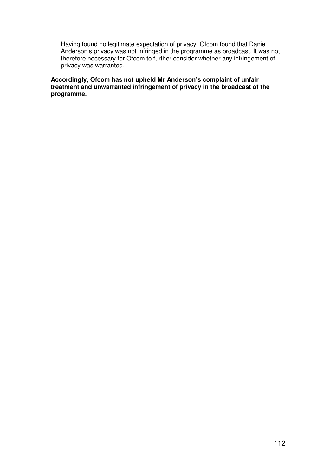Having found no legitimate expectation of privacy, Ofcom found that Daniel Anderson's privacy was not infringed in the programme as broadcast. It was not therefore necessary for Ofcom to further consider whether any infringement of privacy was warranted.

**Accordingly, Ofcom has not upheld Mr Anderson's complaint of unfair treatment and unwarranted infringement of privacy in the broadcast of the programme.**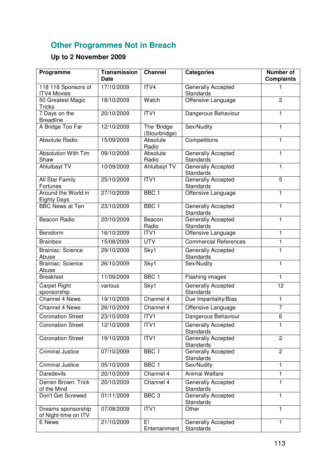## **Other Programmes Not in Breach**

## **Up to 2 November 2009**

| Programme                                  | <b>Transmission</b><br>Date | <b>Channel</b>               | <b>Categories</b>                             | <b>Number of</b><br><b>Complaints</b> |
|--------------------------------------------|-----------------------------|------------------------------|-----------------------------------------------|---------------------------------------|
| 118 118 Sponsors of<br><b>ITV4 Movies</b>  | 17/10/2009                  | ITV4                         | Generally Accepted<br><b>Standards</b>        |                                       |
| 50 Greatest Magic<br><b>Tricks</b>         | 18/10/2009                  | Watch                        | Offensive Language                            | $\overline{2}$                        |
| 7 Days on the<br><b>Breadline</b>          | 20/10/2009                  | ITV1                         | Dangerous Behaviour                           | 1                                     |
| A Bridge Too Far                           | 12/10/2009                  | The 'Bridge<br>(Stourbridge) | Sex/Nudity                                    | 1                                     |
| <b>Absolute Radio</b>                      | 15/09/2009                  | Absolute<br>Radio            | Competitions                                  | 1                                     |
| <b>Absolution With Tim</b><br>Shaw         | 09/10/2009                  | Absolute<br>Radio            | Generally Accepted<br><b>Standards</b>        | 1                                     |
| <b>Ahlulbayt TV</b>                        | 10/09/2009                  | Ahlulbayt TV                 | Generally Accepted<br><b>Standards</b>        | 1                                     |
| All Star Family<br>Fortunes                | 25/10/2009                  | ITVI                         | Generally Accepted<br><b>Standards</b>        | $\overline{5}$                        |
| Around the World in<br><b>Eighty Days</b>  | 27/10/2009                  | BBC <sub>1</sub>             | Offensive Language                            | 1                                     |
| <b>BBC News at Ten</b>                     | 23/10/2009                  | BBC <sub>1</sub>             | Generally Accepted<br><b>Standards</b>        | 1                                     |
| Beacon Radio                               | 20/10/2009                  | Beacon<br>Radio              | Generally Accepted<br><b>Standards</b>        | 1                                     |
| Benidorm                                   | 16/10/2009                  | ITV1                         | Offensive Language                            | 1                                     |
| <b>Brainbox</b>                            | 15/08/2009                  | <b>UTV</b>                   | <b>Commercial References</b>                  | 1                                     |
| Brainiac: Science<br>Abuse                 | 29/10/2009                  | Sky1                         | Generally Accepted<br><b>Standards</b>        | 1                                     |
| <b>Brainiac: Science</b><br>Abuse          | 26/10/2009                  | Sky1                         | Sex/Nudity                                    | $\mathbf{1}$                          |
| <b>Breakfast</b>                           | 11/09/2009                  | BBC <sub>1</sub>             | Flashing images                               | 1                                     |
| Carpet Right<br>sponsorship                | various                     | Sky1                         | Generally Accepted<br><b>Standards</b>        | 12                                    |
| Channel 4 News                             | 19/10/2009                  | Channel 4                    | Due Impartiality/Bias                         | 1                                     |
| Channel 4 News                             | 26/10/2009                  | Channel 4                    | Offensive Language                            | $\overline{7}$                        |
| <b>Coronation Street</b>                   | 23/10/2009                  | ITVI                         | Dangerous Behaviour                           | 6                                     |
| <b>Coronation Street</b>                   | 12/10/2009                  | ITV1                         | Generally Accepted<br><b>Standards</b>        | 1                                     |
| <b>Coronation Street</b>                   | 19/10/2009                  | ITVI                         | <b>Generally Accepted</b><br><b>Standards</b> | $\overline{2}$                        |
| <b>Criminal Justice</b>                    | 07/10/2009                  | BBC <sub>1</sub>             | <b>Generally Accepted</b><br>Standards        | $\overline{2}$                        |
| <b>Criminal Justice</b>                    | 05/10/2009                  | BBC <sub>1</sub>             | Sex/Nudity                                    | 1                                     |
| Daredevils                                 | 20/10/2009                  | Channel 4                    | <b>Animal Welfare</b>                         | 1                                     |
| Derren Brown: Trick<br>of the Mind         | 20/10/2009                  | Channel 4                    | Generally Accepted<br><b>Standards</b>        | 1                                     |
| Don't Get Screwed                          | 01/11/2009                  | BBC <sub>3</sub>             | Generally Accepted<br>Standards               | 1                                     |
| Dreams sponsorship<br>of Night-time on ITV | 07/08/2009                  | ITV1                         | Other                                         | 1                                     |
| E News                                     | 21/10/2009                  | E!<br>Entertainment          | Generally Accepted<br>Standards               | 1                                     |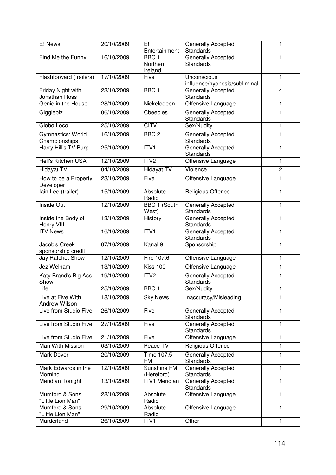| E! News                            | 20/10/2009 | E!<br>Entertainment     | Generally Accepted<br>Standards              | 1              |
|------------------------------------|------------|-------------------------|----------------------------------------------|----------------|
| Find Me the Funny                  | 16/10/2009 | BBC <sub>1</sub>        | Generally Accepted                           | 1              |
|                                    |            | Northern                | <b>Standards</b>                             |                |
|                                    |            | Ireland                 |                                              |                |
| Flashforward (trailers)            | 17/10/2009 | Five                    | Unconscious<br>influence/hypnosis/subliminal | 1              |
| Friday Night with                  | 23/10/2009 | BBC1                    | Generally Accepted                           | $\overline{4}$ |
| Jonathan Ross                      |            |                         | Standards                                    |                |
| Genie in the House                 | 28/10/2009 | Nickelodeon             | Offensive Language                           | $\mathbf{1}$   |
| Gigglebiz                          | 06/10/2009 | Cbeebies                | Generally Accepted<br><b>Standards</b>       | $\mathbf{1}$   |
| Globo Loco                         | 25/10/2009 | <b>CITV</b>             | Sex/Nudity                                   | 1              |
| Gymnastics: World                  | 16/10/2009 | BBC <sub>2</sub>        | Generally Accepted                           | 1              |
| Championships                      |            |                         | <b>Standards</b>                             |                |
| Harry Hill's TV Burp               | 25/10/2009 | ITVI                    | Generally Accepted<br><b>Standards</b>       | $\mathbf{1}$   |
| <b>Hell's Kitchen USA</b>          | 12/10/2009 | ITV2                    | Offensive Language                           | $\mathbf{1}$   |
| <b>Hidayat TV</b>                  | 04/10/2009 | <b>Hidayat TV</b>       | Violence                                     | $\overline{2}$ |
| How to be a Property<br>Developer  | 23/10/2009 | Five                    | Offensive Language                           | 1              |
| lain Lee (trailer)                 | 15/10/2009 | Absolute                | Religious Offence                            | 1              |
|                                    |            | Radio                   |                                              |                |
| Inside Out                         | 12/10/2009 | BBC 1 (South<br>West)   | Generally Accepted<br>Standards              | 1              |
| Inside the Body of                 | 13/10/2009 | History                 | Generally Accepted                           | 1              |
| Henry VIII                         |            |                         | Standards                                    |                |
| <b>ITV News</b>                    | 16/10/2009 | ITV1                    | Generally Accepted<br><b>Standards</b>       | 1              |
| Jacob's Creek                      | 07/10/2009 | Kanal 9                 | Sponsorship                                  | 1              |
| sponsorship credit                 |            |                         |                                              |                |
| Jay Ratchet Show                   | 12/10/2009 | Fire 107.6              | Offensive Language                           | $\mathbf{1}$   |
| Jez Welham                         | 13/10/2009 | Kiss 100                | Offensive Language                           | $\mathbf{1}$   |
| Katy Brand's Big Ass<br>Show       | 19/10/2009 | ITV <sub>2</sub>        | Generally Accepted<br><b>Standards</b>       | $\mathbf{1}$   |
| Life                               | 25/10/2009 | BBC <sub>1</sub>        | Sex/Nudity                                   | 1              |
| Live at Five With<br>Andrew Wilson | 18/10/2009 | <b>Sky News</b>         | Inaccuracy/Misleading                        | 1              |
| Live from Studio Five              | 26/10/2009 | Five                    | Generally Accepted<br>Standards              | $\mathbf{1}$   |
| Live from Studio Five              | 27/10/2009 | Five                    | <b>Generally Accepted</b>                    | 1              |
|                                    |            |                         | Standards                                    |                |
| Live from Studio Five              | 21/10/2009 | Five                    | Offensive Language                           | 1              |
| Man With Mission                   | 03/10/2009 | Peace TV                | Religious Offence                            | $\mathbf{1}$   |
| Mark Dover                         | 20/10/2009 | Time 107.5<br><b>FM</b> | Generally Accepted<br><b>Standards</b>       | 1              |
| Mark Edwards in the                | 12/10/2009 | Sunshine FM             | Generally Accepted                           | 1              |
| Morning                            |            | (Hereford)              | Standards                                    |                |
| Meridian Tonight                   | 13/10/2009 | <b>ITV1 Meridian</b>    | Generally Accepted<br>Standards              | 1              |
| Mumford & Sons                     | 28/10/2009 | Absolute                | Offensive Language                           | 1              |
| "Little Lion Man"                  |            | Radio                   |                                              |                |
| Mumford & Sons                     | 29/10/2009 | Absolute                | Offensive Language                           | 1              |
| "Little Lion Man"<br>Murderland    | 26/10/2009 | Radio<br>ITV1           | Other                                        | $\mathbf{1}$   |
|                                    |            |                         |                                              |                |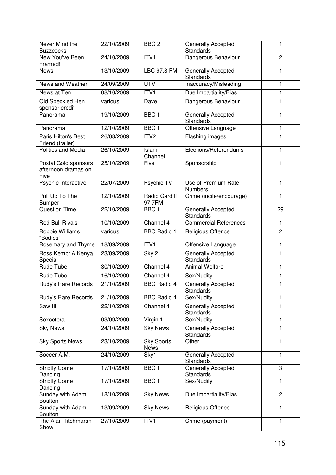| Never Mind the<br><b>Buzzcocks</b>                  | 22/10/2009 | BBC <sub>2</sub>          | Generally Accepted<br><b>Standards</b>        | 1              |
|-----------------------------------------------------|------------|---------------------------|-----------------------------------------------|----------------|
| New You've Been                                     | 24/10/2009 | ITV1                      | Dangerous Behaviour                           | $\overline{c}$ |
| Framed!<br><b>News</b>                              | 13/10/2009 | LBC 97.3 FM               | Generally Accepted<br><b>Standards</b>        | 1              |
| News and Weather                                    | 24/09/2009 | <b>UTV</b>                | Inaccuracy/Misleading                         | 1              |
| News at Ten                                         | 08/10/2009 | ITVI                      | Due Impartiality/Bias                         | 1              |
| Old Speckled Hen<br>sponsor credit                  | various    | Dave                      | Dangerous Behaviour                           | 1              |
| Panorama                                            | 19/10/2009 | BBC <sub>1</sub>          | Generally Accepted<br>Standards               | $\mathbf{1}$   |
| Panorama                                            | 12/10/2009 | BBC <sub>1</sub>          | Offensive Language                            | 1              |
| Paris Hilton's Best<br>Friend (trailer)             | 26/08/2009 | ITV <sub>2</sub>          | Flashing images                               | $\mathbf{1}$   |
| Politics and Media                                  | 26/10/2009 | Islam<br>Channel          | Elections/Referendums                         | 1              |
| Postal Gold sponsors<br>afternoon dramas on<br>Five | 25/10/2009 | Five                      | Sponsorship                                   | 1              |
| Psychic Interactive                                 | 22/07/2009 | Psychic TV                | Use of Premium Rate<br><b>Numbers</b>         | 1              |
| Pull Up To The<br><b>Bumper</b>                     | 12/10/2009 | Radio Cardiff<br>97.7FM   | Crime (incite/encourage)                      | $\mathbf{1}$   |
| <b>Question Time</b>                                | 22/10/2009 | BBC <sub>1</sub>          | Generally Accepted<br>Standards               | 29             |
| <b>Red Bull Rivals</b>                              | 10/10/2009 | Channel 4                 | <b>Commercial References</b>                  | 1              |
| Robbie Williams<br>"Bodies"                         | various    | <b>BBC</b> Radio 1        | Religious Offence                             | $\overline{2}$ |
| <b>Rosemary and Thyme</b>                           | 18/09/2009 | ITV1                      | Offensive Language                            | $\mathbf{1}$   |
| Ross Kemp: A Kenya<br>Special                       | 23/09/2009 | Sky 2                     | Generally Accepted<br>Standards               | $\mathbf{1}$   |
| <b>Rude Tube</b>                                    | 30/10/2009 | Channel 4                 | <b>Animal Welfare</b>                         | 1              |
| Rude Tube                                           | 16/10/2009 | Channel 4                 | Sex/Nudity                                    | $\mathbf{1}$   |
| Rudy's Rare Records                                 | 21/10/2009 | <b>BBC Radio 4</b>        | Generally Accepted<br>Standards               | 1              |
| Rudy's Rare Records                                 | 21/10/2009 | <b>BBC Radio 4</b>        | Sex/Nudity                                    | 1              |
| Saw III                                             | 22/10/2009 | Channel 4                 | <b>Generally Accepted</b><br><b>Standards</b> | 1              |
| Sexcetera                                           | 03/09/2009 | Virgin 1                  | Sex/Nudity                                    | 1              |
| <b>Sky News</b>                                     | 24/10/2009 | <b>Sky News</b>           | Generally Accepted<br><b>Standards</b>        | 1              |
| <b>Sky Sports News</b>                              | 23/10/2009 | <b>Sky Sports</b><br>News | Other                                         | $\mathbf{1}$   |
| Soccer A.M.                                         | 24/10/2009 | Sky1                      | Generally Accepted<br>Standards               | 1              |
| <b>Strictly Come</b><br>Dancing                     | 17/10/2009 | BBC <sub>1</sub>          | Generally Accepted<br>Standards               | 3              |
| <b>Strictly Come</b><br>Dancing                     | 17/10/2009 | BBC <sub>1</sub>          | Sex/Nudity                                    | $\mathbf{1}$   |
| Sunday with Adam<br><b>Boulton</b>                  | 18/10/2009 | <b>Sky News</b>           | Due Impartiality/Bias                         | $\overline{2}$ |
| Sunday with Adam<br><b>Boulton</b>                  | 13/09/2009 | <b>Sky News</b>           | Religious Offence                             | 1              |
| The Alan Titchmarsh<br>Show                         | 27/10/2009 | ITV1                      | Crime (payment)                               | 1              |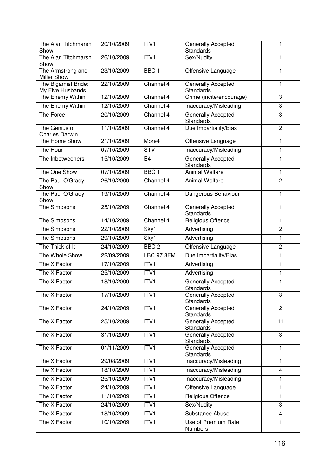| The Alan Titchmarsh<br>Show               | 20/10/2009 | ITV1              | Generally Accepted<br>Standards        | 1               |
|-------------------------------------------|------------|-------------------|----------------------------------------|-----------------|
| The Alan Titchmarsh                       | 26/10/2009 | ITV1              | Sex/Nudity                             | 1               |
| Show                                      |            |                   |                                        |                 |
| The Armstrong and                         | 23/10/2009 | BBC <sub>1</sub>  | Offensive Language                     | 1               |
| <b>Miller Show</b><br>The Bigamist Bride: | 22/10/2009 | Channel 4         | Generally Accepted                     | 1               |
| My Five Husbands                          |            |                   | Standards                              |                 |
| The Enemy Within                          | 12/10/2009 | Channel 4         | Crime (incite/encourage)               | 3               |
| The Enemy Within                          | 12/10/2009 | Channel 4         | Inaccuracy/Misleading                  | 3               |
| The Force                                 | 20/10/2009 | Channel 4         | Generally Accepted<br>Standards        | 3               |
| The Genius of<br><b>Charles Darwin</b>    | 11/10/2009 | Channel 4         | Due Impartiality/Bias                  | $\overline{c}$  |
| The Home Show                             | 21/10/2009 | More4             | Offensive Language                     | 1               |
| The Hour                                  | 07/10/2009 | STV               | Inaccuracy/Misleading                  | $\mathbf{1}$    |
| The Inbetweeners                          | 15/10/2009 | E <sub>4</sub>    | <b>Generally Accepted</b><br>Standards | 1               |
| The One Show                              | 07/10/2009 | BBC <sub>1</sub>  | <b>Animal Welfare</b>                  | 1               |
| The Paul O'Grady<br>Show                  | 26/10/2009 | Channel 4         | <b>Animal Welfare</b>                  | $\overline{2}$  |
| The Paul O'Grady<br>Show                  | 19/10/2009 | Channel 4         | Dangerous Behaviour                    | 1               |
| The Simpsons                              | 25/10/2009 | Channel 4         | Generally Accepted<br><b>Standards</b> | 1               |
| The Simpsons                              | 14/10/2009 | Channel 4         | Religious Offence                      | $\mathbf{1}$    |
| The Simpsons                              | 22/10/2009 | Sky1              | Advertising                            | $\overline{2}$  |
| The Simpsons                              | 29/10/2009 | Sky1              | Advertising                            | 1               |
| The Thick of It                           | 24/10/2009 | BBC <sub>2</sub>  | Offensive Language                     | $\overline{2}$  |
| The Whole Show                            | 22/09/2009 | <b>LBC 97.3FM</b> | Due Impartiality/Bias                  | 1               |
| The X Factor                              | 17/10/2009 | ITV1              | Advertising                            | $\mathbf{1}$    |
| The X Factor                              | 25/10/2009 | ITV1              | Advertising                            | 1               |
| The X Factor                              | 18/10/2009 | ITVI              | Generally Accepted<br>Standards        | $\mathbf{1}$    |
| The X Factor                              | 17/10/2009 | ITVI              | Generally Accepted<br>Standards        | З               |
| The X Factor                              | 24/10/2009 | ITVI              | Generally Accepted<br><b>Standards</b> | $\overline{c}$  |
| The X Factor                              | 25/10/2009 | ITVI              | Generally Accepted<br>Standards        | $\overline{11}$ |
| The X Factor                              | 31/10/2009 | ITVI              | Generally Accepted<br><b>Standards</b> | 3               |
| The X Factor                              | 01/11/2009 | ITV <sub>1</sub>  | <b>Generally Accepted</b><br>Standards | 1               |
| The X Factor                              | 29/08/2009 | ITVI              | Inaccuracy/Misleading                  | $\mathbf{1}$    |
| The X Factor                              | 18/10/2009 | ITV1              | Inaccuracy/Misleading                  | 4               |
| The X Factor                              | 25/10/2009 | ITV1              | Inaccuracy/Misleading                  | 1               |
| The X Factor                              | 24/10/2009 | ITVI              | Offensive Language                     | 1               |
| The X Factor                              | 11/10/2009 | ITV1              | Religious Offence                      | 1               |
| The X Factor                              | 24/10/2009 | ITV1              | Sex/Nudity                             | 3               |
| The X Factor                              | 18/10/2009 | ITV <sub>1</sub>  | Substance Abuse                        | $\overline{4}$  |
| The X Factor                              | 10/10/2009 | ITV1              | Use of Premium Rate<br>Numbers         | 1               |